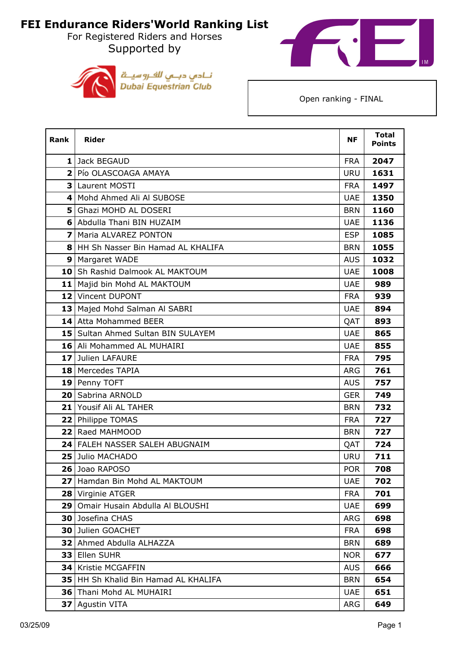For Registered Riders and Horses Supported by





| <b>Rank</b>             | <b>Rider</b>                              | <b>NF</b>  | <b>Total</b><br><b>Points</b> |
|-------------------------|-------------------------------------------|------------|-------------------------------|
|                         | 1 Jack BEGAUD                             | <b>FRA</b> | 2047                          |
|                         | 2 Pío OLASCOAGA AMAYA                     | <b>URU</b> | 1631                          |
|                         | 3 Laurent MOSTI                           | <b>FRA</b> | 1497                          |
| 4                       | Mohd Ahmed Ali Al SUBOSE                  | <b>UAE</b> | 1350                          |
| 5                       | Ghazi MOHD AL DOSERI                      | <b>BRN</b> | 1160                          |
|                         | 6 Abdulla Thani BIN HUZAIM                | <b>UAE</b> | 1136                          |
| $\overline{\mathbf{z}}$ | Maria ALVAREZ PONTON                      | <b>ESP</b> | 1085                          |
| 8                       | HH Sh Nasser Bin Hamad AL KHALIFA         | <b>BRN</b> | 1055                          |
| 9                       | Margaret WADE                             | <b>AUS</b> | 1032                          |
| 10 <sub>1</sub>         | Sh Rashid Dalmook AL MAKTOUM              | <b>UAE</b> | 1008                          |
|                         | 11 Majid bin Mohd AL MAKTOUM              | <b>UAE</b> | 989                           |
|                         | 12 Vincent DUPONT                         | <b>FRA</b> | 939                           |
|                         | 13 Majed Mohd Salman Al SABRI             | <b>UAE</b> | 894                           |
|                         | 14 Atta Mohammed BEER                     | QAT        | 893                           |
|                         | <b>15</b> Sultan Ahmed Sultan BIN SULAYEM | <b>UAE</b> | 865                           |
|                         | 16 Ali Mohammed AL MUHAIRI                | <b>UAE</b> | 855                           |
|                         | 17 Julien LAFAURE                         | <b>FRA</b> | 795                           |
|                         | 18 Mercedes TAPIA                         | <b>ARG</b> | 761                           |
|                         | 19 Penny TOFT                             | <b>AUS</b> | 757                           |
|                         | 20 Sabrina ARNOLD                         | <b>GER</b> | 749                           |
|                         | 21 Yousif Ali AL TAHER                    | <b>BRN</b> | 732                           |
|                         | 22 Philippe TOMAS                         | <b>FRA</b> | 727                           |
|                         | 22 Raed MAHMOOD                           | <b>BRN</b> | 727                           |
|                         | 24 FALEH NASSER SALEH ABUGNAIM            | QAT        | 724                           |
|                         | 25 Julio MACHADO                          | <b>URU</b> | 711                           |
|                         | 26 Joao RAPOSO                            | <b>POR</b> | 708                           |
| 27                      | Hamdan Bin Mohd AL MAKTOUM                | <b>UAE</b> | 702                           |
|                         | 28 Virginie ATGER                         | <b>FRA</b> | 701                           |
| 29                      | Omair Husain Abdulla Al BLOUSHI           | <b>UAE</b> | 699                           |
| 30                      | Josefina CHAS                             | <b>ARG</b> | 698                           |
| 30                      | Julien GOACHET                            | <b>FRA</b> | 698                           |
| 32                      | Ahmed Abdulla ALHAZZA                     | <b>BRN</b> | 689                           |
| 33                      | Ellen SUHR                                | <b>NOR</b> | 677                           |
| 34                      | Kristie MCGAFFIN                          | <b>AUS</b> | 666                           |
| 35                      | HH Sh Khalid Bin Hamad AL KHALIFA         | <b>BRN</b> | 654                           |
| 36                      | Thani Mohd AL MUHAIRI                     | <b>UAE</b> | 651                           |
| 37                      | <b>Agustin VITA</b>                       | ARG        | 649                           |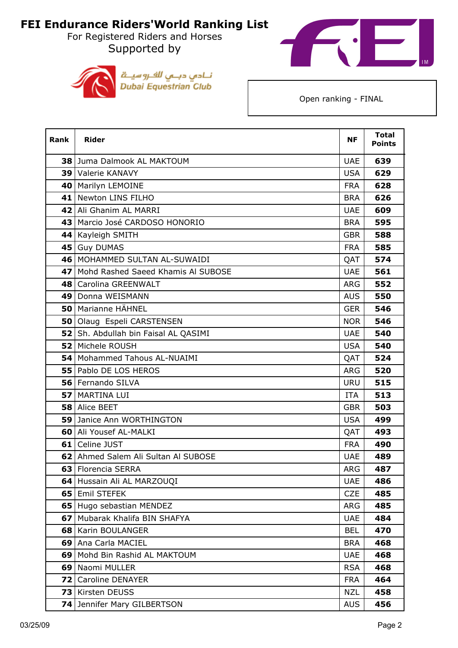For Registered Riders and Horses Supported by





| Rank | <b>Rider</b>                         | <b>NF</b>  | <b>Total</b><br><b>Points</b> |
|------|--------------------------------------|------------|-------------------------------|
|      | 38 Juma Dalmook AL MAKTOUM           | <b>UAE</b> | 639                           |
|      | 39 Valerie KANAVY                    | <b>USA</b> | 629                           |
|      | 40   Marilyn LEMOINE                 | <b>FRA</b> | 628                           |
| 41   | Newton LINS FILHO                    | <b>BRA</b> | 626                           |
|      | 42 Ali Ghanim AL MARRI               | <b>UAE</b> | 609                           |
|      | 43 Marcio José CARDOSO HONORIO       | <b>BRA</b> | 595                           |
|      | 44 Kayleigh SMITH                    | <b>GBR</b> | 588                           |
|      | 45 Guy DUMAS                         | <b>FRA</b> | 585                           |
|      | 46 MOHAMMED SULTAN AL-SUWAIDI        | QAT        | 574                           |
| 47 l | Mohd Rashed Saeed Khamis Al SUBOSE   | <b>UAE</b> | 561                           |
|      | 48 Carolina GREENWALT                | <b>ARG</b> | 552                           |
|      | 49   Donna WEISMANN                  | <b>AUS</b> | 550                           |
|      | 50   Marianne HÄHNEL                 | <b>GER</b> | 546                           |
|      | 50 Olaug Espeli CARSTENSEN           | <b>NOR</b> | 546                           |
|      | 52 Sh. Abdullah bin Faisal AL QASIMI | <b>UAE</b> | 540                           |
|      | 52 Michele ROUSH                     | <b>USA</b> | 540                           |
|      | 54   Mohammed Tahous AL-NUAIMI       | QAT        | 524                           |
|      | 55 Pablo DE LOS HEROS                | ARG        | 520                           |
|      | 56 Fernando SILVA                    | <b>URU</b> | 515                           |
|      | 57   MARTINA LUI                     | ITA        | 513                           |
|      | 58 Alice BEET                        | <b>GBR</b> | 503                           |
|      | 59 Janice Ann WORTHINGTON            | <b>USA</b> | 499                           |
|      | <b>60 Ali Yousef AL-MALKI</b>        | QAT        | 493                           |
|      | 61 Celine JUST                       | <b>FRA</b> | 490                           |
|      | 62 Ahmed Salem Ali Sultan Al SUBOSE  | <b>UAE</b> | 489                           |
|      | 63 Florencia SERRA                   | <b>ARG</b> | 487                           |
|      | 64 Hussain Ali AL MARZOUQI           | <b>UAE</b> | 486                           |
|      | 65 Emil STEFEK                       | <b>CZE</b> | 485                           |
|      | 65 Hugo sebastian MENDEZ             | <b>ARG</b> | 485                           |
|      | 67 Mubarak Khalifa BIN SHAFYA        | <b>UAE</b> | 484                           |
|      | 68   Karin BOULANGER                 | <b>BEL</b> | 470                           |
|      | 69   Ana Carla MACIEL                | <b>BRA</b> | 468                           |
|      | 69 Mohd Bin Rashid AL MAKTOUM        | <b>UAE</b> | 468                           |
|      | 69 Naomi MULLER                      | <b>RSA</b> | 468                           |
| 72 I | <b>Caroline DENAYER</b>              | <b>FRA</b> | 464                           |
|      | 73 Kirsten DEUSS                     | <b>NZL</b> | 458                           |
|      | 74 Jennifer Mary GILBERTSON          | <b>AUS</b> | 456                           |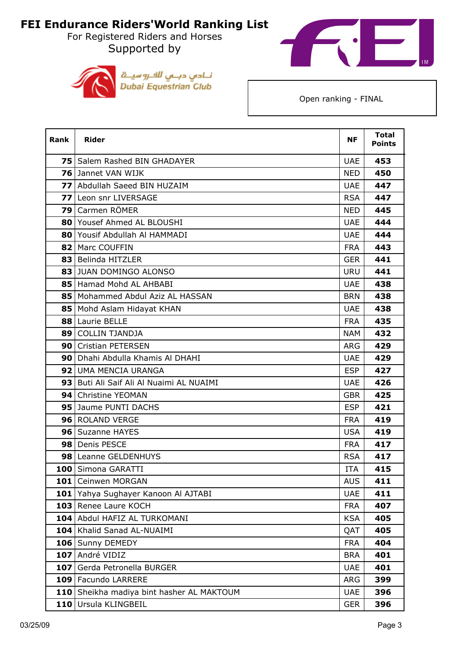For Registered Riders and Horses Supported by





| <b>Rank</b>     | <b>Rider</b>                              | <b>NF</b>  | <b>Total</b><br><b>Points</b> |
|-----------------|-------------------------------------------|------------|-------------------------------|
|                 | <b>75</b> Salem Rashed BIN GHADAYER       | <b>UAE</b> | 453                           |
|                 | <b>76</b> Jannet VAN WIJK                 | <b>NED</b> | 450                           |
|                 | 77 Abdullah Saeed BIN HUZAIM              | <b>UAE</b> | 447                           |
| 77 I            | Leon snr LIVERSAGE                        | <b>RSA</b> | 447                           |
| 791             | Carmen RÖMER                              | <b>NED</b> | 445                           |
|                 | 80 Yousef Ahmed AL BLOUSHI                | <b>UAE</b> | 444                           |
|                 | 80 Yousif Abdullah Al HAMMADI             | <b>UAE</b> | 444                           |
|                 | 82   Marc COUFFIN                         | <b>FRA</b> | 443                           |
|                 | 83 Belinda HITZLER                        | <b>GER</b> | 441                           |
|                 | 83 JUAN DOMINGO ALONSO                    | <b>URU</b> | 441                           |
|                 | 85 Hamad Mohd AL AHBABI                   | <b>UAE</b> | 438                           |
|                 | 85   Mohammed Abdul Aziz AL HASSAN        | <b>BRN</b> | 438                           |
|                 | 85 Mohd Aslam Hidayat KHAN                | <b>UAE</b> | 438                           |
|                 | 88 Laurie BELLE                           | <b>FRA</b> | 435                           |
| 891             | <b>COLLIN TJANDJA</b>                     | NAM        | 432                           |
|                 | 90 Cristian PETERSEN                      | <b>ARG</b> | 429                           |
|                 | 90 Dhahi Abdulla Khamis Al DHAHI          | <b>UAE</b> | 429                           |
| 92 <sub>1</sub> | UMA MENCIA URANGA                         | <b>ESP</b> | 427                           |
|                 | 93 Buti Ali Saif Ali Al Nuaimi AL NUAIMI  | <b>UAE</b> | 426                           |
| 94 l            | Christine YEOMAN                          | <b>GBR</b> | 425                           |
|                 | 95 Jaume PUNTI DACHS                      | <b>ESP</b> | 421                           |
|                 | 96 ROLAND VERGE                           | <b>FRA</b> | 419                           |
|                 | 96   Suzanne HAYES                        | <b>USA</b> | 419                           |
|                 | 98 Denis PESCE                            | <b>FRA</b> | 417                           |
|                 | 98 Leanne GELDENHUYS                      | <b>RSA</b> | 417                           |
| 100             | Simona GARATTI                            | <b>ITA</b> | 415                           |
| 101             | Ceinwen MORGAN                            | <b>AUS</b> | 411                           |
|                 | 101 Yahya Sughayer Kanoon Al AJTABI       | <b>UAE</b> | 411                           |
|                 | 103 Renee Laure KOCH                      | <b>FRA</b> | 407                           |
|                 | 104 Abdul HAFIZ AL TURKOMANI              | <b>KSA</b> | 405                           |
|                 | 104 Khalid Sanad AL-NUAIMI                | QAT        | 405                           |
|                 | 106 Sunny DEMEDY                          | <b>FRA</b> | 404                           |
|                 | 107 André VIDIZ                           | <b>BRA</b> | 401                           |
|                 | 107 Gerda Petronella BURGER               | <b>UAE</b> | 401                           |
|                 | 109 Facundo LARRERE                       | <b>ARG</b> | 399                           |
|                 | 110 Sheikha madiya bint hasher AL MAKTOUM | <b>UAE</b> | 396                           |
|                 | 110 Ursula KLINGBEIL                      | <b>GER</b> | 396                           |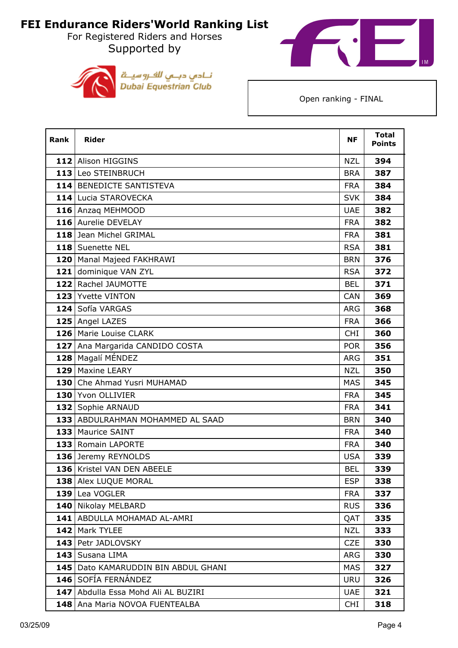For Registered Riders and Horses Supported by





| Rank | <b>Rider</b>                        | <b>NF</b>  | <b>Total</b><br><b>Points</b> |
|------|-------------------------------------|------------|-------------------------------|
|      | 112 Alison HIGGINS                  | <b>NZL</b> | 394                           |
|      | 113 Leo STEINBRUCH                  | <b>BRA</b> | 387                           |
|      | 114 BENEDICTE SANTISTEVA            | <b>FRA</b> | 384                           |
|      | 114 Lucia STAROVECKA                | <b>SVK</b> | 384                           |
|      | 116 Anzaq MEHMOOD                   | <b>UAE</b> | 382                           |
|      | 116 Aurelie DEVELAY                 | <b>FRA</b> | 382                           |
|      | 118 Jean Michel GRIMAL              | <b>FRA</b> | 381                           |
|      | 118 Suenette NEL                    | <b>RSA</b> | 381                           |
|      | 120   Manal Majeed FAKHRAWI         | <b>BRN</b> | 376                           |
|      | 121 dominique VAN ZYL               | <b>RSA</b> | 372                           |
|      | 122 Rachel JAUMOTTE                 | <b>BEL</b> | 371                           |
|      | 123 Yvette VINTON                   | CAN        | 369                           |
|      | 124 Sofía VARGAS                    | <b>ARG</b> | 368                           |
|      | 125 Angel LAZES                     | <b>FRA</b> | 366                           |
|      | 126 Marie Louise CLARK              | <b>CHI</b> | 360                           |
|      | 127   Ana Margarida CANDIDO COSTA   | <b>POR</b> | 356                           |
|      | 128 Magalí MÉNDEZ                   | <b>ARG</b> | 351                           |
|      | 129 Maxine LEARY                    | <b>NZL</b> | 350                           |
|      | 130 Che Ahmad Yusri MUHAMAD         | <b>MAS</b> | 345                           |
|      | 130 Yvon OLLIVIER                   | <b>FRA</b> | 345                           |
|      | 132 Sophie ARNAUD                   | <b>FRA</b> | 341                           |
|      | 133 ABDULRAHMAN MOHAMMED AL SAAD    | <b>BRN</b> | 340                           |
|      | 133 Maurice SAINT                   | <b>FRA</b> | 340                           |
|      | 133 Romain LAPORTE                  | <b>FRA</b> | 340                           |
|      | 136 Jeremy REYNOLDS                 | <b>USA</b> | 339                           |
|      | 136 Kristel VAN DEN ABEELE          | <b>BEL</b> | 339                           |
|      | 138 Alex LUQUE MORAL                | <b>ESP</b> | 338                           |
|      | 139 Lea VOGLER                      | <b>FRA</b> | 337                           |
|      | 140 Nikolay MELBARD                 | <b>RUS</b> | 336                           |
|      | 141   ABDULLA MOHAMAD AL-AMRI       | QAT        | 335                           |
|      | 142 Mark TYLEE                      | <b>NZL</b> | 333                           |
|      | 143 Petr JADLOVSKY                  | <b>CZE</b> | 330                           |
|      | 143   Susana LIMA                   | <b>ARG</b> | 330                           |
|      | 145 Dato KAMARUDDIN BIN ABDUL GHANI | <b>MAS</b> | 327                           |
|      | 146 SOFÍA FERNÁNDEZ                 | <b>URU</b> | 326                           |
|      | 147 Abdulla Essa Mohd Ali AL BUZIRI | <b>UAE</b> | 321                           |
|      | 148   Ana Maria NOVOA FUENTEALBA    | <b>CHI</b> | 318                           |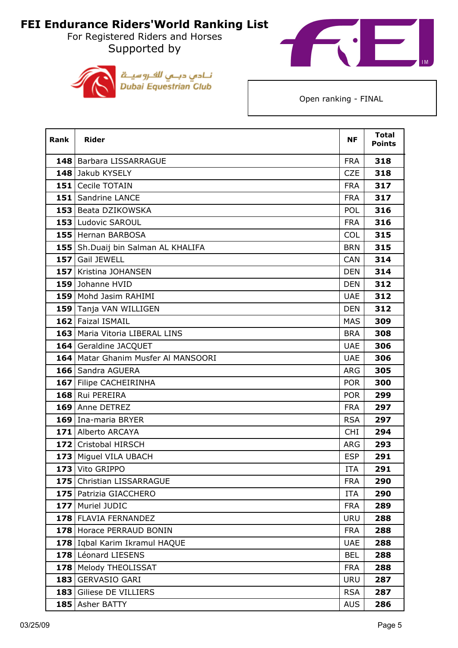For Registered Riders and Horses Supported by





| Rank | <b>Rider</b>                          | <b>NF</b>  | <b>Total</b><br><b>Points</b> |
|------|---------------------------------------|------------|-------------------------------|
|      | 148 Barbara LISSARRAGUE               | <b>FRA</b> | 318                           |
|      | 148 Jakub KYSELY                      | <b>CZE</b> | 318                           |
|      | 151 Cecile TOTAIN                     | <b>FRA</b> | 317                           |
|      | 151 Sandrine LANCE                    | <b>FRA</b> | 317                           |
|      | 153 Beata DZIKOWSKA                   | POL        | 316                           |
|      | 153 Ludovic SAROUL                    | <b>FRA</b> | 316                           |
|      | 155 Hernan BARBOSA                    | <b>COL</b> | 315                           |
|      | 155 Sh.Duaij bin Salman AL KHALIFA    | <b>BRN</b> | 315                           |
|      | 157 Gail JEWELL                       | CAN        | 314                           |
|      | 157 Kristina JOHANSEN                 | <b>DEN</b> | 314                           |
|      | 159 Johanne HVID                      | <b>DEN</b> | 312                           |
|      | 159 Mohd Jasim RAHIMI                 | <b>UAE</b> | 312                           |
|      | 159 Tanja VAN WILLIGEN                | <b>DEN</b> | 312                           |
|      | 162 Faizal ISMAIL                     | <b>MAS</b> | 309                           |
|      | 163 Maria Vitoria LIBERAL LINS        | <b>BRA</b> | 308                           |
|      | 164 Geraldine JACQUET                 | <b>UAE</b> | 306                           |
|      | 164   Matar Ghanim Musfer Al MANSOORI | <b>UAE</b> | 306                           |
|      | 166 Sandra AGUERA                     | <b>ARG</b> | 305                           |
|      | 167 Filipe CACHEIRINHA                | <b>POR</b> | 300                           |
|      | 168 Rui PEREIRA                       | <b>POR</b> | 299                           |
|      | 169 Anne DETREZ                       | <b>FRA</b> | 297                           |
|      | 169 Ina-maria BRYER                   | <b>RSA</b> | 297                           |
|      | 171 Alberto ARCAYA                    | <b>CHI</b> | 294                           |
|      | 172 Cristobal HIRSCH                  | <b>ARG</b> | 293                           |
|      | 173 Miguel VILA UBACH                 | <b>ESP</b> | 291                           |
|      | 173 Vito GRIPPO                       | <b>ITA</b> | 291                           |
|      | 175 Christian LISSARRAGUE             | <b>FRA</b> | 290                           |
|      | 175 Patrizia GIACCHERO                | <b>ITA</b> | 290                           |
|      | 177 Muriel JUDIC                      | <b>FRA</b> | 289                           |
|      | 178 FLAVIA FERNANDEZ                  | <b>URU</b> | 288                           |
|      | 178 Horace PERRAUD BONIN              | <b>FRA</b> | 288                           |
|      | 178 Iqbal Karim Ikramul HAQUE         | <b>UAE</b> | 288                           |
|      | 178 Léonard LIESENS                   | <b>BEL</b> | 288                           |
|      | 178 Melody THEOLISSAT                 | <b>FRA</b> | 288                           |
|      | 183 GERVASIO GARI                     | <b>URU</b> | 287                           |
|      | 183 Giliese DE VILLIERS               | <b>RSA</b> | 287                           |
|      | 185 Asher BATTY                       | <b>AUS</b> | 286                           |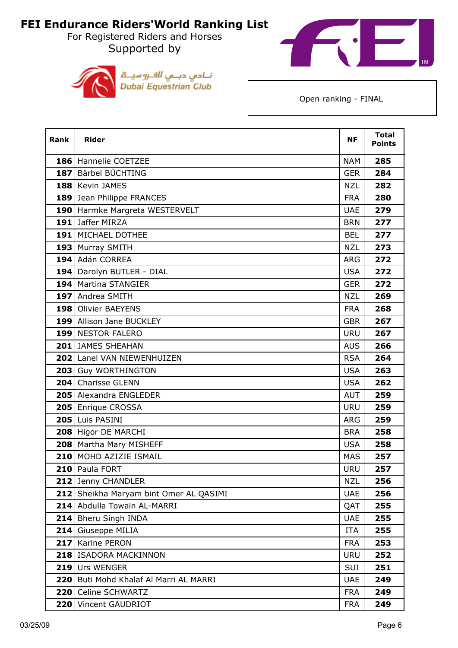For Registered Riders and Horses Supported by





| <b>Rank</b> | <b>Rider</b>                           | <b>NF</b>  | <b>Total</b><br><b>Points</b> |
|-------------|----------------------------------------|------------|-------------------------------|
|             | 186 Hannelie COETZEE                   | <b>NAM</b> | 285                           |
|             | 187 Bärbel BÜCHTING                    | <b>GER</b> | 284                           |
|             | 188 Kevin JAMES                        | <b>NZL</b> | 282                           |
|             | 189 Jean Philippe FRANCES              | <b>FRA</b> | 280                           |
|             | 190 Harmke Margreta WESTERVELT         | <b>UAE</b> | 279                           |
|             | 191 Jaffer MIRZA                       | <b>BRN</b> | 277                           |
|             | <b>191   MICHAEL DOTHEE</b>            | <b>BEL</b> | 277                           |
|             | 193 Murray SMITH                       | <b>NZL</b> | 273                           |
|             | 194 Adán CORREA                        | ARG        | 272                           |
|             | 194   Darolyn BUTLER - DIAL            | <b>USA</b> | 272                           |
|             | 194 Martina STANGIER                   | <b>GER</b> | 272                           |
|             | 197 Andrea SMITH                       | <b>NZL</b> | 269                           |
|             | 198 Olivier BAEYENS                    | <b>FRA</b> | 268                           |
|             | 199 Allison Jane BUCKLEY               | <b>GBR</b> | 267                           |
|             | 199 NESTOR FALERO                      | <b>URU</b> | 267                           |
|             | 201 JAMES SHEAHAN                      | <b>AUS</b> | 266                           |
|             | 202 Lanel VAN NIEWENHUIZEN             | <b>RSA</b> | 264                           |
|             | 203 Guy WORTHINGTON                    | <b>USA</b> | 263                           |
|             | 204 Charisse GLENN                     | <b>USA</b> | 262                           |
|             | 205 Alexandra ENGLEDER                 | <b>AUT</b> | 259                           |
|             | 205 Enrique CROSSA                     | <b>URU</b> | 259                           |
|             | 205 Luis PASINI                        | <b>ARG</b> | 259                           |
|             | 208 Higor DE MARCHI                    | <b>BRA</b> | 258                           |
|             | 208 Martha Mary MISHEFF                | <b>USA</b> | 258                           |
|             | 210 MOHD AZIZIE ISMAIL                 | <b>MAS</b> | 257                           |
|             | 210 Paula FORT                         | <b>URU</b> | 257                           |
|             | 212 Jenny CHANDLER                     | NZL        | 256                           |
|             | 212 Sheikha Maryam bint Omer AL QASIMI | <b>UAE</b> | 256                           |
| 214         | Abdulla Towain AL-MARRI                | QAT        | 255                           |
| 214         | Bheru Singh INDA                       | <b>UAE</b> | 255                           |
| 214         | Giuseppe MILIA                         | ITA        | 255                           |
| 217         | Karine PERON                           | <b>FRA</b> | 253                           |
|             | 218 ISADORA MACKINNON                  | <b>URU</b> | 252                           |
| 219         | Urs WENGER                             | SUI        | 251                           |
| 220         | Buti Mohd Khalaf Al Marri AL MARRI     | <b>UAE</b> | 249                           |
| 220         | Celine SCHWARTZ                        | <b>FRA</b> | 249                           |
| 220         | Vincent GAUDRIOT                       | <b>FRA</b> | 249                           |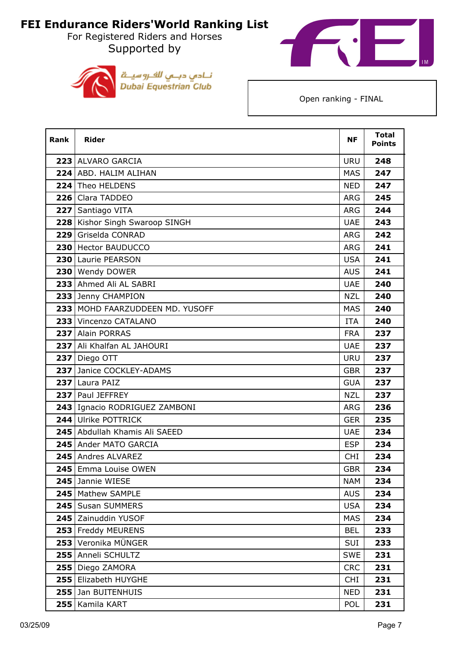For Registered Riders and Horses Supported by





| <b>Rank</b> | <b>Rider</b>                    | <b>NF</b>  | <b>Total</b><br><b>Points</b> |
|-------------|---------------------------------|------------|-------------------------------|
|             | 223 ALVARO GARCIA               | <b>URU</b> | 248                           |
|             | 224 ABD. HALIM ALIHAN           | <b>MAS</b> | 247                           |
|             | 224 Theo HELDENS                | <b>NED</b> | 247                           |
|             | 226 Clara TADDEO                | <b>ARG</b> | 245                           |
|             | 227 Santiago VITA               | <b>ARG</b> | 244                           |
| 228         | Kishor Singh Swaroop SINGH      | <b>UAE</b> | 243                           |
|             | 229 Griselda CONRAD             | <b>ARG</b> | 242                           |
|             | 230 Hector BAUDUCCO             | <b>ARG</b> | 241                           |
|             | 230 Laurie PEARSON              | <b>USA</b> | 241                           |
|             | 230 Wendy DOWER                 | <b>AUS</b> | 241                           |
|             | 233 Ahmed Ali AL SABRI          | <b>UAE</b> | 240                           |
|             | 233 Jenny CHAMPION              | <b>NZL</b> | 240                           |
|             | 233 MOHD FAARZUDDEEN MD. YUSOFF | <b>MAS</b> | 240                           |
|             | 233 Vincenzo CATALANO           | <b>ITA</b> | 240                           |
|             | 237 Alain PORRAS                | <b>FRA</b> | 237                           |
|             | 237 Ali Khalfan AL JAHOURI      | <b>UAE</b> | 237                           |
|             | 237 Diego OTT                   | <b>URU</b> | 237                           |
|             | 237 Janice COCKLEY-ADAMS        | <b>GBR</b> | 237                           |
|             | 237 Laura PAIZ                  | <b>GUA</b> | 237                           |
|             | 237 Paul JEFFREY                | <b>NZL</b> | 237                           |
|             | 243 Ignacio RODRIGUEZ ZAMBONI   | <b>ARG</b> | 236                           |
|             | 244 Ulrike POTTRICK             | <b>GER</b> | 235                           |
|             | 245 Abdullah Khamis Ali SAEED   | <b>UAE</b> | 234                           |
|             | 245 Ander MATO GARCIA           | <b>ESP</b> | 234                           |
|             | 245   Andres ALVAREZ            | <b>CHI</b> | 234                           |
|             | 245 Emma Louise OWEN            | <b>GBR</b> | 234                           |
|             | 245 Jannie WIESE                | <b>NAM</b> | 234                           |
|             | 245   Mathew SAMPLE             | <b>AUS</b> | 234                           |
|             | 245 Susan SUMMERS               | <b>USA</b> | 234                           |
|             | 245 Zainuddin YUSOF             | <b>MAS</b> | 234                           |
|             | 253 Freddy MEURENS              | <b>BEL</b> | 233                           |
|             | 253 Veronika MÜNGER             | SUI        | 233                           |
|             | 255 Anneli SCHULTZ              | <b>SWE</b> | 231                           |
|             | 255 Diego ZAMORA                | <b>CRC</b> | 231                           |
|             | 255 Elizabeth HUYGHE            | <b>CHI</b> | 231                           |
|             | 255 Jan BUITENHUIS              | <b>NED</b> | 231                           |
|             | 255   Kamila KART               | POL        | 231                           |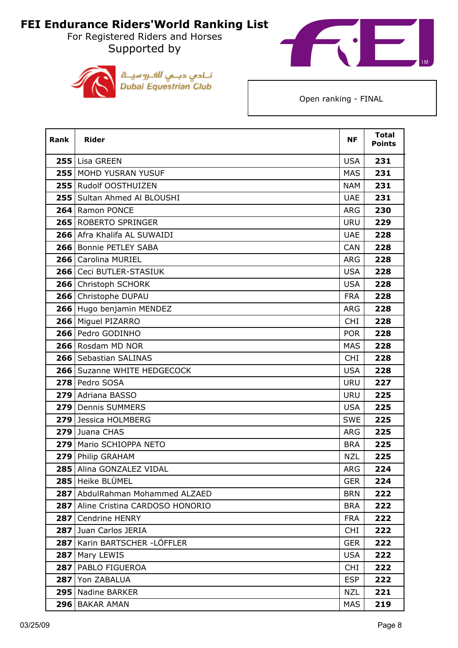For Registered Riders and Horses Supported by





| <b>Rank</b> | <b>Rider</b>                    | <b>NF</b>  | <b>Total</b><br><b>Points</b> |
|-------------|---------------------------------|------------|-------------------------------|
|             | 255 Lisa GREEN                  | <b>USA</b> | 231                           |
|             | 255 MOHD YUSRAN YUSUF           | <b>MAS</b> | 231                           |
|             | 255 Rudolf OOSTHUIZEN           | <b>NAM</b> | 231                           |
|             | 255   Sultan Ahmed Al BLOUSHI   | <b>UAE</b> | 231                           |
|             | 264 Ramon PONCE                 | <b>ARG</b> | 230                           |
|             | 265 ROBERTO SPRINGER            | <b>URU</b> | 229                           |
|             | 266 Afra Khalifa AL SUWAIDI     | <b>UAE</b> | 228                           |
|             | 266 Bonnie PETLEY SABA          | <b>CAN</b> | 228                           |
|             | 266 Carolina MURIEL             | <b>ARG</b> | 228                           |
|             | 266   Ceci BUTLER-STASIUK       | <b>USA</b> | 228                           |
|             | 266 Christoph SCHORK            | <b>USA</b> | 228                           |
|             | 266 Christophe DUPAU            | <b>FRA</b> | 228                           |
|             | 266 Hugo benjamin MENDEZ        | <b>ARG</b> | 228                           |
|             | 266 Miguel PIZARRO              | <b>CHI</b> | 228                           |
|             | 266 Pedro GODINHO               | <b>POR</b> | 228                           |
|             | 266 Rosdam MD NOR               | <b>MAS</b> | 228                           |
|             | 266 Sebastian SALINAS           | <b>CHI</b> | 228                           |
|             | 266   Suzanne WHITE HEDGECOCK   | <b>USA</b> | 228                           |
|             | 278 Pedro SOSA                  | <b>URU</b> | 227                           |
|             | 279 Adriana BASSO               | <b>URU</b> | 225                           |
|             | 279 Dennis SUMMERS              | <b>USA</b> | 225                           |
|             | 279 Jessica HOLMBERG            | <b>SWE</b> | 225                           |
|             | 279 Juana CHAS                  | <b>ARG</b> | 225                           |
|             | 279   Mario SCHIOPPA NETO       | <b>BRA</b> | 225                           |
|             | 279 Philip GRAHAM               | <b>NZL</b> | 225                           |
|             | 285 Alina GONZALEZ VIDAL        | <b>ARG</b> | 224                           |
|             | 285 Heike BLÜMEL                | <b>GER</b> | 224                           |
|             | 287 AbdulRahman Mohammed ALZAED | <b>BRN</b> | 222                           |
| 287         | Aline Cristina CARDOSO HONORIO  | <b>BRA</b> | 222                           |
| 287         | Cendrine HENRY                  | <b>FRA</b> | 222                           |
|             | 287 Juan Carlos JERIA           | <b>CHI</b> | 222                           |
| 287         | Karin BARTSCHER - LÖFFLER       | <b>GER</b> | 222                           |
|             | 287   Mary LEWIS                | <b>USA</b> | 222                           |
|             | 287   PABLO FIGUEROA            | <b>CHI</b> | 222                           |
| 287         | Yon ZABALUA                     | <b>ESP</b> | 222                           |
|             | 295 Nadine BARKER               | <b>NZL</b> | 221                           |
|             | 296 BAKAR AMAN                  | MAS        | 219                           |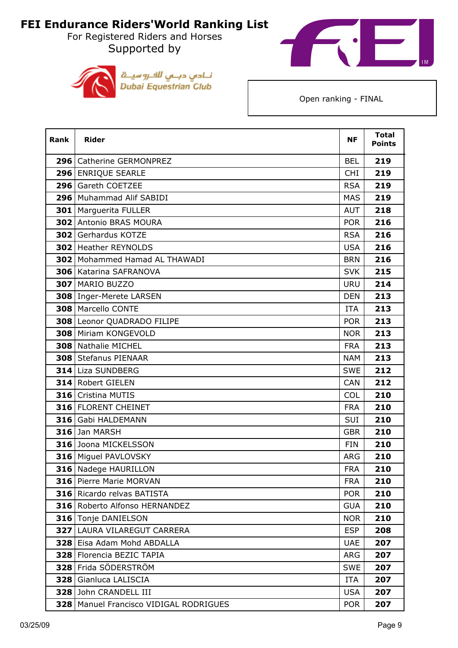For Registered Riders and Horses Supported by





| Rank | <b>Rider</b>                         | <b>NF</b>  | <b>Total</b><br><b>Points</b> |
|------|--------------------------------------|------------|-------------------------------|
|      | 296   Catherine GERMONPREZ           | <b>BEL</b> | 219                           |
|      | 296 ENRIQUE SEARLE                   | <b>CHI</b> | 219                           |
|      | 296 Gareth COETZEE                   | <b>RSA</b> | 219                           |
|      | 296 Muhammad Alif SABIDI             | <b>MAS</b> | 219                           |
|      | <b>301</b>   Marguerita FULLER       | <b>AUT</b> | 218                           |
|      | <b>302 Antonio BRAS MOURA</b>        | <b>POR</b> | 216                           |
|      | <b>302 Gerhardus KOTZE</b>           | <b>RSA</b> | 216                           |
|      | <b>302</b> Heather REYNOLDS          | <b>USA</b> | 216                           |
|      | <b>302</b> Mohammed Hamad AL THAWADI | <b>BRN</b> | 216                           |
|      | 306 Katarina SAFRANOVA               | <b>SVK</b> | 215                           |
|      | 307   MARIO BUZZO                    | <b>URU</b> | 214                           |
|      | 308   Inger-Merete LARSEN            | <b>DEN</b> | 213                           |
|      | 308 Marcello CONTE                   | <b>ITA</b> | 213                           |
|      | 308 Leonor QUADRADO FILIPE           | <b>POR</b> | 213                           |
|      | 308 Miriam KONGEVOLD                 | <b>NOR</b> | 213                           |
|      | 308 Nathalie MICHEL                  | <b>FRA</b> | 213                           |
|      | <b>308   Stefanus PIENAAR</b>        | <b>NAM</b> | 213                           |
|      | 314 Liza SUNDBERG                    | <b>SWE</b> | 212                           |
|      | 314 Robert GIELEN                    | <b>CAN</b> | 212                           |
|      | 316 Cristina MUTIS                   | <b>COL</b> | 210                           |
|      | 316 FLORENT CHEINET                  | <b>FRA</b> | 210                           |
|      | 316 Gabi HALDEMANN                   | <b>SUI</b> | 210                           |
|      | 316 Jan MARSH                        | <b>GBR</b> | 210                           |
|      | 316 Joona MICKELSSON                 | <b>FIN</b> | 210                           |
|      | 316 Miguel PAVLOVSKY                 | <b>ARG</b> | 210                           |
|      | 316 Nadege HAURILLON                 | <b>FRA</b> | 210                           |
|      | 316   Pierre Marie MORVAN            | <b>FRA</b> | 210                           |
|      | <b>316</b> Ricardo relvas BATISTA    | <b>POR</b> | 210                           |
|      | 316 Roberto Alfonso HERNANDEZ        | <b>GUA</b> | 210                           |
|      | 316 Tonje DANIELSON                  | <b>NOR</b> | 210                           |
|      | 327 LAURA VILAREGUT CARRERA          | <b>ESP</b> | 208                           |
|      | 328 Eisa Adam Mohd ABDALLA           | <b>UAE</b> | 207                           |
| 328  | Florencia BEZIC TAPIA                | <b>ARG</b> | 207                           |
| 328  | Frida SÖDERSTRÖM                     | <b>SWE</b> | 207                           |
| 328  | Gianluca LALISCIA                    | ITA        | 207                           |
| 328  | John CRANDELL III                    | <b>USA</b> | 207                           |
| 328  | Manuel Francisco VIDIGAL RODRIGUES   | <b>POR</b> | 207                           |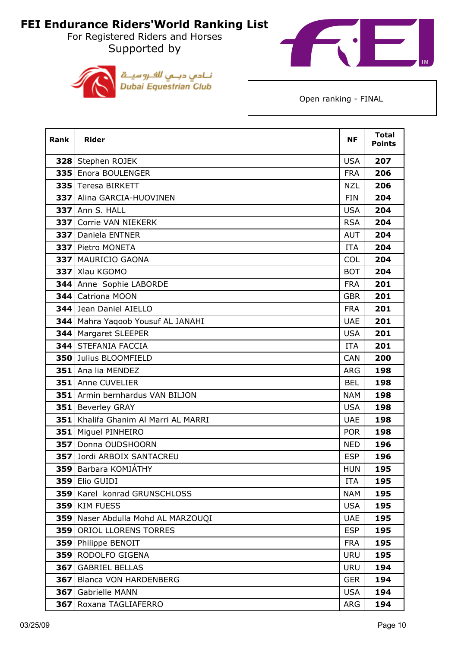For Registered Riders and Horses Supported by





| Rank | <b>Rider</b>                      | <b>NF</b>  | <b>Total</b><br><b>Points</b> |
|------|-----------------------------------|------------|-------------------------------|
|      | 328 Stephen ROJEK                 | <b>USA</b> | 207                           |
|      | 335 Enora BOULENGER               | <b>FRA</b> | 206                           |
|      | 335 Teresa BIRKETT                | <b>NZL</b> | 206                           |
|      | 337 Alina GARCIA-HUOVINEN         | <b>FIN</b> | 204                           |
|      | 337 Ann S. HALL                   | <b>USA</b> | 204                           |
| 337  | Corrie VAN NIEKERK                | <b>RSA</b> | 204                           |
|      | 337 Daniela ENTNER                | <b>AUT</b> | 204                           |
|      | 337 Pietro MONETA                 | <b>ITA</b> | 204                           |
|      | 337 MAURICIO GAONA                | <b>COL</b> | 204                           |
|      | 337 Xlau KGOMO                    | <b>BOT</b> | 204                           |
|      | 344 Anne Sophie LABORDE           | <b>FRA</b> | 201                           |
| 344  | Catriona MOON                     | <b>GBR</b> | 201                           |
|      | 344 Jean Daniel AIELLO            | <b>FRA</b> | 201                           |
|      | 344 Mahra Yaqoob Yousuf AL JANAHI | <b>UAE</b> | 201                           |
| 344  | <b>Margaret SLEEPER</b>           | <b>USA</b> | 201                           |
|      | <b>344 STEFANIA FACCIA</b>        | <b>ITA</b> | 201                           |
|      | 350 Julius BLOOMFIELD             | <b>CAN</b> | 200                           |
| 351  | Ana lia MENDEZ                    | <b>ARG</b> | 198                           |
|      | 351 Anne CUVELIER                 | <b>BEL</b> | 198                           |
| 351  | Armin bernhardus VAN BILJON       | <b>NAM</b> | 198                           |
| 351  | <b>Beverley GRAY</b>              | <b>USA</b> | 198                           |
| 351  | Khalifa Ghanim Al Marri AL MARRI  | <b>UAE</b> | 198                           |
|      | 351 Miguel PINHEIRO               | <b>POR</b> | 198                           |
| 357  | Donna OUDSHOORN                   | <b>NED</b> | 196                           |
|      | 357 Jordi ARBOIX SANTACREU        | <b>ESP</b> | 196                           |
|      | 359 Barbara KOMJATHY              | <b>HUN</b> | 195                           |
| 359  | Elio GUIDI                        | <b>ITA</b> | 195                           |
| 359  | Karel konrad GRUNSCHLOSS          | <b>NAM</b> | 195                           |
| 359  | <b>KIM FUESS</b>                  | <b>USA</b> | 195                           |
| 359  | Naser Abdulla Mohd AL MARZOUQI    | <b>UAE</b> | 195                           |
| 359  | ORIOL LLORENS TORRES              | <b>ESP</b> | 195                           |
| 359  | Philippe BENOIT                   | <b>FRA</b> | 195                           |
| 359  | RODOLFO GIGENA                    | <b>URU</b> | 195                           |
| 367  | <b>GABRIEL BELLAS</b>             | <b>URU</b> | 194                           |
| 367  | <b>Blanca VON HARDENBERG</b>      | <b>GER</b> | 194                           |
| 367  | Gabrielle MANN                    | <b>USA</b> | 194                           |
| 367  | Roxana TAGLIAFERRO                | ARG        | 194                           |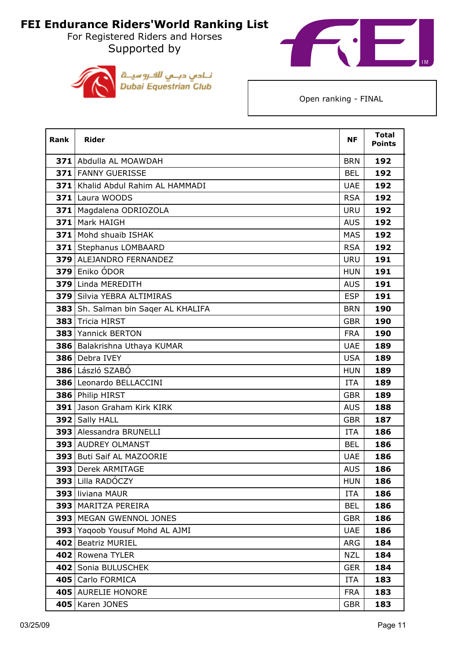For Registered Riders and Horses Supported by





| Rank | <b>Rider</b>                        | <b>NF</b>  | <b>Total</b><br><b>Points</b> |
|------|-------------------------------------|------------|-------------------------------|
|      | 371 Abdulla AL MOAWDAH              | <b>BRN</b> | 192                           |
|      | 371 FANNY GUERISSE                  | <b>BEL</b> | 192                           |
|      | 371   Khalid Abdul Rahim AL HAMMADI | <b>UAE</b> | 192                           |
|      | 371 Laura WOODS                     | <b>RSA</b> | 192                           |
|      | 371   Magdalena ODRIOZOLA           | <b>URU</b> | 192                           |
|      | 371 Mark HAIGH                      | <b>AUS</b> | 192                           |
|      | 371 Mohd shuaib ISHAK               | <b>MAS</b> | 192                           |
|      | 371 Stephanus LOMBAARD              | <b>RSA</b> | 192                           |
|      | 379 ALEJANDRO FERNANDEZ             | <b>URU</b> | 191                           |
|      | 379 Eniko ÓDOR                      | <b>HUN</b> | 191                           |
|      | 379 Linda MEREDITH                  | <b>AUS</b> | 191                           |
|      | 379 Silvia YEBRA ALTIMIRAS          | <b>ESP</b> | 191                           |
|      | 383 Sh. Salman bin Sager AL KHALIFA | <b>BRN</b> | 190                           |
|      | 383 Tricia HIRST                    | <b>GBR</b> | 190                           |
|      | 383 Yannick BERTON                  | <b>FRA</b> | 190                           |
|      | 386 Balakrishna Uthaya KUMAR        | <b>UAE</b> | 189                           |
|      | 386 Debra IVEY                      | <b>USA</b> | 189                           |
|      | 386 László SZABÓ                    | <b>HUN</b> | 189                           |
|      | 386 Leonardo BELLACCINI             | <b>ITA</b> | 189                           |
|      | 386 Philip HIRST                    | <b>GBR</b> | 189                           |
|      | <b>391</b> Jason Graham Kirk KIRK   | <b>AUS</b> | 188                           |
|      | 392 Sally HALL                      | <b>GBR</b> | 187                           |
|      | 393 Alessandra BRUNELLI             | <b>ITA</b> | 186                           |
|      | 393 AUDREY OLMANST                  | <b>BEL</b> | 186                           |
|      | 393 Buti Saif AL MAZOORIE           | <b>UAE</b> | 186                           |
|      | 393 Derek ARMITAGE                  | <b>AUS</b> | 186                           |
|      | 393 Lilla RADOCZY                   | <b>HUN</b> | 186                           |
|      | 393 liviana MAUR                    | <b>ITA</b> | 186                           |
|      | 393 MARITZA PEREIRA                 | <b>BEL</b> | 186                           |
|      | 393 MEGAN GWENNOL JONES             | <b>GBR</b> | 186                           |
|      | 393 Yaqoob Yousuf Mohd AL AJMI      | <b>UAE</b> | 186                           |
|      | 402 Beatriz MURIEL                  | <b>ARG</b> | 184                           |
|      | 402 Rowena TYLER                    | <b>NZL</b> | 184                           |
|      | 402 Sonia BULUSCHEK                 | <b>GER</b> | 184                           |
|      | 405 Carlo FORMICA                   | ITA        | 183                           |
|      | 405 AURELIE HONORE                  | <b>FRA</b> | 183                           |
|      | 405   Karen JONES                   | <b>GBR</b> | 183                           |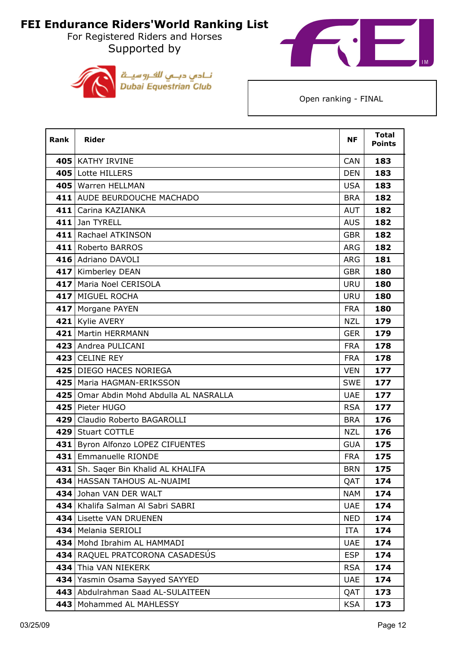For Registered Riders and Horses Supported by





| <b>Rank</b> | <b>Rider</b>                              | <b>NF</b>  | <b>Total</b><br><b>Points</b> |
|-------------|-------------------------------------------|------------|-------------------------------|
|             | 405   KATHY IRVINE                        | <b>CAN</b> | 183                           |
|             | 405 Lotte HILLERS                         | <b>DEN</b> | 183                           |
|             | 405   Warren HELLMAN                      | <b>USA</b> | 183                           |
|             | 411 AUDE BEURDOUCHE MACHADO               | <b>BRA</b> | 182                           |
|             | 411 Carina KAZIANKA                       | <b>AUT</b> | 182                           |
|             | 411 Jan TYRELL                            | <b>AUS</b> | 182                           |
|             | 411 Rachael ATKINSON                      | <b>GBR</b> | 182                           |
|             | 411 Roberto BARROS                        | <b>ARG</b> | 182                           |
|             | 416 Adriano DAVOLI                        | <b>ARG</b> | 181                           |
|             | 417 Kimberley DEAN                        | <b>GBR</b> | 180                           |
|             | 417 Maria Noel CERISOLA                   | <b>URU</b> | 180                           |
|             | 417 MIGUEL ROCHA                          | <b>URU</b> | 180                           |
|             | 417   Morgane PAYEN                       | <b>FRA</b> | 180                           |
|             | 421 Kylie AVERY                           | <b>NZL</b> | 179                           |
|             | 421   Martin HERRMANN                     | <b>GER</b> | 179                           |
|             | 423 Andrea PULICANI                       | <b>FRA</b> | 178                           |
|             | 423 CELINE REY                            | <b>FRA</b> | 178                           |
|             | 425 DIEGO HACES NORIEGA                   | <b>VEN</b> | 177                           |
|             | 425   Maria HAGMAN-ERIKSSON               | <b>SWE</b> | 177                           |
|             | 425   Omar Abdin Mohd Abdulla AL NASRALLA | <b>UAE</b> | 177                           |
|             | 425   Pieter HUGO                         | <b>RSA</b> | 177                           |
|             | 429 Claudio Roberto BAGAROLLI             | <b>BRA</b> | 176                           |
|             | 429 Stuart COTTLE                         | <b>NZL</b> | 176                           |
|             | 431 Byron Alfonzo LOPEZ CIFUENTES         | <b>GUA</b> | 175                           |
|             | 431 Emmanuelle RIONDE                     | <b>FRA</b> | 175                           |
|             | 431 Sh. Sager Bin Khalid AL KHALIFA       | <b>BRN</b> | 175                           |
|             | 434 HASSAN TAHOUS AL-NUAIMI               | QAT        | 174                           |
|             | 434 Johan VAN DER WALT                    | <b>NAM</b> | 174                           |
|             | 434 Khalifa Salman Al Sabri SABRI         | <b>UAE</b> | 174                           |
|             | 434 Lisette VAN DRUENEN                   | <b>NED</b> | 174                           |
|             | 434   Melania SERIOLI                     | <b>ITA</b> | 174                           |
|             | 434 Mohd Ibrahim AL HAMMADI               | <b>UAE</b> | 174                           |
|             | 434 RAQUEL PRATCORONA CASADESÚS           | <b>ESP</b> | 174                           |
|             | 434 Thia VAN NIEKERK                      | <b>RSA</b> | 174                           |
| 434         | Yasmin Osama Sayyed SAYYED                | <b>UAE</b> | 174                           |
| 443         | Abdulrahman Saad AL-SULAITEEN             | QAT        | 173                           |
|             | 443   Mohammed AL MAHLESSY                | <b>KSA</b> | 173                           |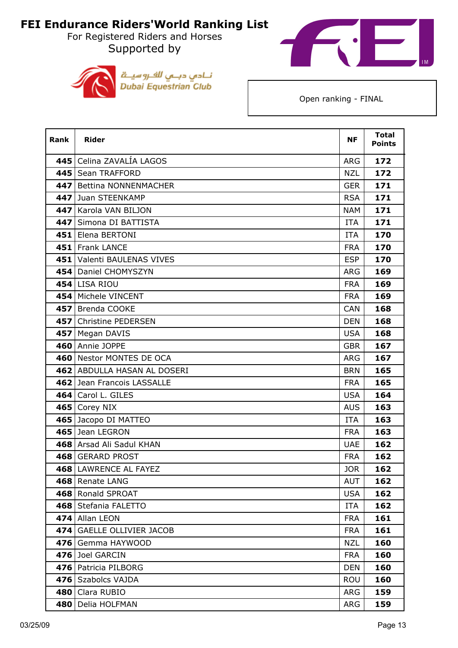For Registered Riders and Horses Supported by





| Rank | <b>Rider</b>                 | <b>NF</b>  | <b>Total</b><br><b>Points</b> |
|------|------------------------------|------------|-------------------------------|
|      | 445 Celina ZAVALÍA LAGOS     | ARG        | 172                           |
|      | 445   Sean TRAFFORD          | <b>NZL</b> | 172                           |
| 447  | <b>Bettina NONNENMACHER</b>  | <b>GER</b> | 171                           |
|      | 447 Juan STEENKAMP           | <b>RSA</b> | 171                           |
|      | 447 Karola VAN BILJON        | <b>NAM</b> | 171                           |
| 447  | Simona DI BATTISTA           | ITA        | 171                           |
|      | 451 Elena BERTONI            | <b>ITA</b> | 170                           |
|      | 451 Frank LANCE              | <b>FRA</b> | 170                           |
|      | 451 Valenti BAULENAS VIVES   | <b>ESP</b> | 170                           |
|      | 454 Daniel CHOMYSZYN         | <b>ARG</b> | 169                           |
|      | <b>454 LISA RIOU</b>         | <b>FRA</b> | 169                           |
|      | 454   Michele VINCENT        | <b>FRA</b> | 169                           |
|      | 457 Brenda COOKE             | <b>CAN</b> | 168                           |
|      | 457 Christine PEDERSEN       | <b>DEN</b> | 168                           |
|      | 457   Megan DAVIS            | <b>USA</b> | 168                           |
|      | 460 Annie JOPPE              | <b>GBR</b> | 167                           |
|      | 460 Nestor MONTES DE OCA     | ARG        | 167                           |
|      | 462 ABDULLA HASAN AL DOSERI  | <b>BRN</b> | 165                           |
|      | 462 Jean Francois LASSALLE   | <b>FRA</b> | 165                           |
|      | 464 Carol L. GILES           | <b>USA</b> | 164                           |
|      | 465 Corey NIX                | <b>AUS</b> | 163                           |
|      | 465 Jacopo DI MATTEO         | <b>ITA</b> | 163                           |
|      | 465 Jean LEGRON              | <b>FRA</b> | 163                           |
|      | 468 Arsad Ali Sadul KHAN     | <b>UAE</b> | 162                           |
|      | 468 GERARD PROST             | <b>FRA</b> | 162                           |
|      | 468 LAWRENCE AL FAYEZ        | <b>JOR</b> | 162                           |
|      | 468 Renate LANG              | <b>AUT</b> | 162                           |
|      | 468 Ronald SPROAT            | <b>USA</b> | 162                           |
|      | 468 Stefania FALETTO         | <b>ITA</b> | 162                           |
|      | 474 Allan LEON               | <b>FRA</b> | 161                           |
| 474  | <b>GAELLE OLLIVIER JACOB</b> | <b>FRA</b> | 161                           |
| 476  | Gemma HAYWOOD                | <b>NZL</b> | 160                           |
| 476  | Joel GARCIN                  | <b>FRA</b> | 160                           |
|      | 476   Patricia PILBORG       | <b>DEN</b> | 160                           |
|      | 476 Szabolcs VAJDA           | <b>ROU</b> | 160                           |
| 480  | Clara RUBIO                  | <b>ARG</b> | 159                           |
| 480  | Delia HOLFMAN                | <b>ARG</b> | 159                           |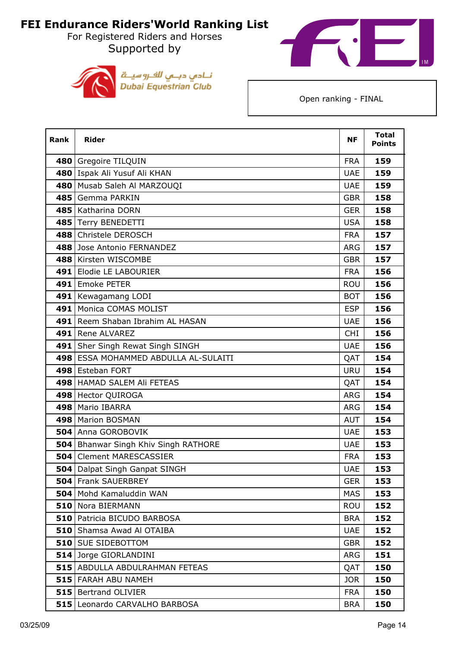For Registered Riders and Horses Supported by





| Rank | <b>Rider</b>                                | <b>NF</b>  | <b>Total</b><br><b>Points</b> |
|------|---------------------------------------------|------------|-------------------------------|
|      | 480 Gregoire TILQUIN                        | <b>FRA</b> | 159                           |
|      | 480 Ispak Ali Yusuf Ali KHAN                | <b>UAE</b> | 159                           |
| 480  | Musab Saleh Al MARZOUQI                     | <b>UAE</b> | 159                           |
|      | 485 Gemma PARKIN                            | <b>GBR</b> | 158                           |
|      | 485   Katharina DORN                        | <b>GER</b> | 158                           |
|      | 485 Terry BENEDETTI                         | <b>USA</b> | 158                           |
|      | 488 Christele DEROSCH                       | <b>FRA</b> | 157                           |
|      | 488 Jose Antonio FERNANDEZ                  | <b>ARG</b> | 157                           |
|      | 488 Kirsten WISCOMBE                        | <b>GBR</b> | 157                           |
|      | 491 Elodie LE LABOURIER                     | <b>FRA</b> | 156                           |
|      | 491 Emoke PETER                             | <b>ROU</b> | 156                           |
| 491  | Kewagamang LODI                             | <b>BOT</b> | 156                           |
|      | 491   Monica COMAS MOLIST                   | <b>ESP</b> | 156                           |
|      | 491 Reem Shaban Ibrahim AL HASAN            | <b>UAE</b> | 156                           |
| 491  | Rene ALVAREZ                                | <b>CHI</b> | 156                           |
|      | 491 Sher Singh Rewat Singh SINGH            | <b>UAE</b> | 156                           |
|      | 498 ESSA MOHAMMED ABDULLA AL-SULAITI        | QAT        | 154                           |
|      | 498 Esteban FORT                            | <b>URU</b> | 154                           |
|      | 498 HAMAD SALEM Ali FETEAS                  | QAT        | 154                           |
|      | 498 Hector QUIROGA                          | <b>ARG</b> | 154                           |
|      | 498   Mario IBARRA                          | <b>ARG</b> | 154                           |
|      | 498   Marion BOSMAN                         | <b>AUT</b> | 154                           |
|      | <b>504</b> Anna GOROBOVIK                   | <b>UAE</b> | 153                           |
|      | <b>504</b> Bhanwar Singh Khiv Singh RATHORE | <b>UAE</b> | 153                           |
|      | <b>504 Clement MARESCASSIER</b>             | <b>FRA</b> | 153                           |
|      | 504   Dalpat Singh Ganpat SINGH             | <b>UAE</b> | 153                           |
|      | <b>504 Frank SAUERBREY</b>                  | <b>GER</b> | 153                           |
|      | 504 Mohd Kamaluddin WAN                     | <b>MAS</b> | 153                           |
|      | 510 Nora BIERMANN                           | <b>ROU</b> | 152                           |
|      | <b>510</b> Patricia BICUDO BARBOSA          | <b>BRA</b> | 152                           |
|      | <b>510</b> Shamsa Awad Al OTAIBA            | <b>UAE</b> | 152                           |
|      | <b>510 SUE SIDEBOTTOM</b>                   | <b>GBR</b> | 152                           |
|      | 514 Jorge GIORLANDINI                       | <b>ARG</b> | 151                           |
|      | <b>515 ABDULLA ABDULRAHMAN FETEAS</b>       | QAT        | 150                           |
|      | 515 FARAH ABU NAMEH                         | <b>JOR</b> | 150                           |
|      | <b>515 Bertrand OLIVIER</b>                 | <b>FRA</b> | 150                           |
|      | 515 Leonardo CARVALHO BARBOSA               | <b>BRA</b> | 150                           |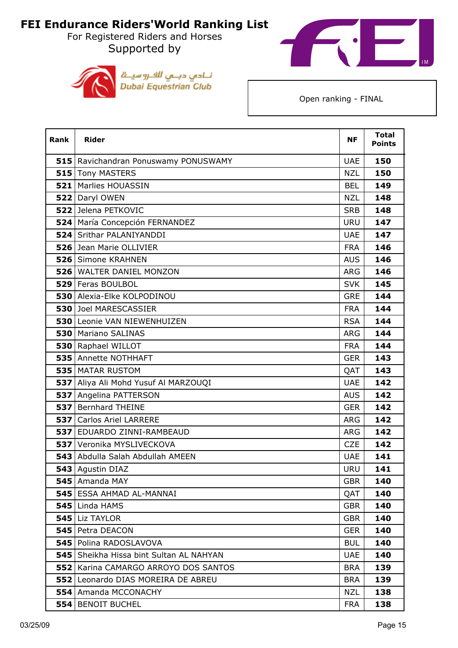For Registered Riders and Horses Supported by





| Rank       | <b>Rider</b>                            | <b>NF</b>  | <b>Total</b><br><b>Points</b> |
|------------|-----------------------------------------|------------|-------------------------------|
|            | 515 Ravichandran Ponuswamy PONUSWAMY    | <b>UAE</b> | 150                           |
|            | 515 Tony MASTERS                        | <b>NZL</b> | 150                           |
|            | 521 Marlies HOUASSIN                    | <b>BEL</b> | 149                           |
|            | 522 Daryl OWEN                          | <b>NZL</b> | 148                           |
|            | 522 Jelena PETKOVIC                     | <b>SRB</b> | 148                           |
|            | 524 María Concepción FERNANDEZ          | <b>URU</b> | 147                           |
|            | 524 Srithar PALANIYANDDI                | <b>UAE</b> | 147                           |
|            | 526 Jean Marie OLLIVIER                 | <b>FRA</b> | 146                           |
|            | 526 Simone KRAHNEN                      | <b>AUS</b> | 146                           |
|            | 526 WALTER DANIEL MONZON                | <b>ARG</b> | 146                           |
|            | 529 Feras BOULBOL                       | <b>SVK</b> | 145                           |
|            | <b>530 Alexia-Elke KOLPODINOU</b>       | <b>GRE</b> | 144                           |
|            | <b>530</b> Joel MARESCASSIER            | <b>FRA</b> | 144                           |
|            | 530 Leonie VAN NIEWENHUIZEN             | <b>RSA</b> | 144                           |
|            | 530 Mariano SALINAS                     | <b>ARG</b> | 144                           |
|            | 530 Raphael WILLOT                      | <b>FRA</b> | 144                           |
|            | 535 Annette NOTHHAFT                    | <b>GER</b> | 143                           |
|            | 535   MATAR RUSTOM                      | QAT        | 143                           |
|            | 537 Aliya Ali Mohd Yusuf Al MARZOUQI    | <b>UAE</b> | 142                           |
| 537        | Angelina PATTERSON                      | <b>AUS</b> | 142                           |
| 537        | <b>Bernhard THEINE</b>                  | <b>GER</b> | 142                           |
|            | <b>537 Carlos Ariel LARRERE</b>         | <b>ARG</b> | 142                           |
| 537        | EDUARDO ZINNI-RAMBEAUD                  | ARG        | 142                           |
| <b>537</b> | Veronika MYSLIVECKOVA                   | <b>CZE</b> | 142                           |
|            | 543 Abdulla Salah Abdullah AMEEN        | <b>UAE</b> | 141                           |
|            | 543 Agustin DIAZ                        | <b>URU</b> | 141                           |
|            | 545   Amanda MAY                        | <b>GBR</b> | 140                           |
|            | 545   ESSA AHMAD AL-MANNAI              | QAT        | 140                           |
|            | 545 Linda HAMS                          | <b>GBR</b> | 140                           |
|            | $545$ Liz TAYLOR                        | <b>GBR</b> | 140                           |
|            | 545   Petra DEACON                      | <b>GER</b> | 140                           |
| 5451       | Polina RADOSLAVOVA                      | <b>BUL</b> | 140                           |
|            | 545 Sheikha Hissa bint Sultan AL NAHYAN | <b>UAE</b> | 140                           |
| 552        | Karina CAMARGO ARROYO DOS SANTOS        | <b>BRA</b> | 139                           |
| 552        | Leonardo DIAS MOREIRA DE ABREU          | <b>BRA</b> | 139                           |
|            | <b>554</b> Amanda MCCONACHY             | <b>NZL</b> | 138                           |
|            | <b>554 BENOIT BUCHEL</b>                | <b>FRA</b> | 138                           |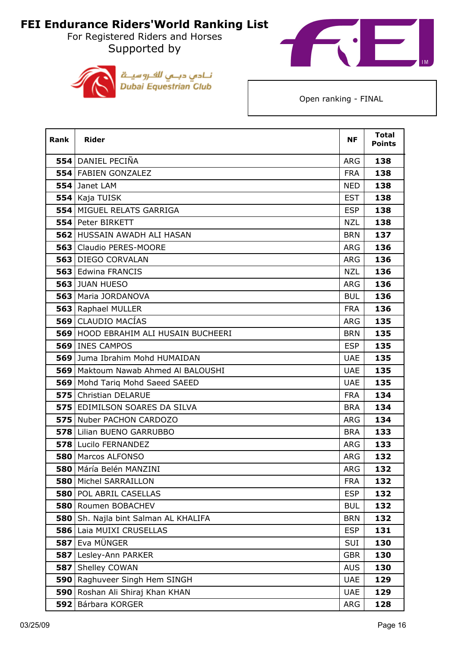For Registered Riders and Horses Supported by





| <b>Rank</b> | <b>Rider</b>                          | <b>NF</b>  | <b>Total</b><br><b>Points</b> |
|-------------|---------------------------------------|------------|-------------------------------|
|             | 554 DANIEL PECIÑA                     | <b>ARG</b> | 138                           |
|             | 554 FABIEN GONZALEZ                   | <b>FRA</b> | 138                           |
|             | 554 Janet LAM                         | <b>NED</b> | 138                           |
|             | 554 Kaja TUISK                        | <b>EST</b> | 138                           |
|             | 554 MIGUEL RELATS GARRIGA             | <b>ESP</b> | 138                           |
|             | 554 Peter BIRKETT                     | <b>NZL</b> | 138                           |
|             | 562 HUSSAIN AWADH ALI HASAN           | <b>BRN</b> | 137                           |
|             | 563   Claudio PERES-MOORE             | <b>ARG</b> | 136                           |
|             | 563 DIEGO CORVALAN                    | <b>ARG</b> | 136                           |
|             | 563 Edwina FRANCIS                    | <b>NZL</b> | 136                           |
|             | <b>563 JUAN HUESO</b>                 | <b>ARG</b> | 136                           |
|             | 563   Maria JORDANOVA                 | <b>BUL</b> | 136                           |
|             | 563 Raphael MULLER                    | <b>FRA</b> | 136                           |
|             | 569 CLAUDIO MACÍAS                    | <b>ARG</b> | 135                           |
|             | 569 HOOD EBRAHIM ALI HUSAIN BUCHEERI  | <b>BRN</b> | 135                           |
|             | 569 INES CAMPOS                       | <b>ESP</b> | 135                           |
|             | 569 Juma Ibrahim Mohd HUMAIDAN        | <b>UAE</b> | 135                           |
|             | 569   Maktoum Nawab Ahmed Al BALOUSHI | <b>UAE</b> | 135                           |
|             | 569   Mohd Tariq Mohd Saeed SAEED     | <b>UAE</b> | 135                           |
|             | 575 Christian DELARUE                 | <b>FRA</b> | 134                           |
|             | <b>575 EDIMILSON SOARES DA SILVA</b>  | <b>BRA</b> | 134                           |
|             | 575 Nuber PACHON CARDOZO              | <b>ARG</b> | 134                           |
|             | 578 Lilian BUENO GARRUBBO             | <b>BRA</b> | 133                           |
|             | 578 Lucilo FERNANDEZ                  | <b>ARG</b> | 133                           |
|             | 580   Marcos ALFONSO                  | ARG        | 132                           |
|             | 580 Máría Belén MANZINI               | ARG        | 132                           |
| 580         | Michel SARRAILLON                     | <b>FRA</b> | 132                           |
|             | 580 POL ABRIL CASELLAS                | <b>ESP</b> | 132                           |
|             | 580 Roumen BOBACHEV                   | <b>BUL</b> | 132                           |
|             | 580 Sh. Najla bint Salman AL KHALIFA  | <b>BRN</b> | 132                           |
|             | 586 Laia MUIXI CRUSELLAS              | <b>ESP</b> | 131                           |
|             | 587 Eva MÜNGER                        | SUI        | 130                           |
|             | 587 Lesley-Ann PARKER                 | <b>GBR</b> | 130                           |
|             | 587 Shelley COWAN                     | <b>AUS</b> | 130                           |
| 590         | Raghuveer Singh Hem SINGH             | <b>UAE</b> | 129                           |
|             | 590 Roshan Ali Shiraj Khan KHAN       | <b>UAE</b> | 129                           |
|             | 592 Bárbara KORGER                    | ARG        | 128                           |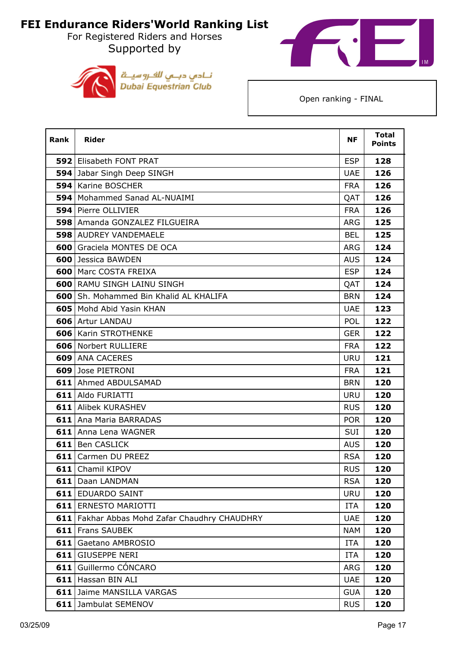For Registered Riders and Horses Supported by





| Rank | <b>Rider</b>                                  | <b>NF</b>  | <b>Total</b><br><b>Points</b> |
|------|-----------------------------------------------|------------|-------------------------------|
|      | <b>592 Elisabeth FONT PRAT</b>                | <b>ESP</b> | 128                           |
|      | 594 Jabar Singh Deep SINGH                    | <b>UAE</b> | 126                           |
|      | <b>594   Karine BOSCHER</b>                   | <b>FRA</b> | 126                           |
|      | 594   Mohammed Sanad AL-NUAIMI                | QAT        | 126                           |
|      | 594 Pierre OLLIVIER                           | <b>FRA</b> | 126                           |
|      | 598 Amanda GONZALEZ FILGUEIRA                 | <b>ARG</b> | 125                           |
|      | <b>598 AUDREY VANDEMAELE</b>                  | <b>BEL</b> | 125                           |
|      | <b>600</b> Graciela MONTES DE OCA             | <b>ARG</b> | 124                           |
|      | <b>600</b> Jessica BAWDEN                     | <b>AUS</b> | 124                           |
|      | <b>600   Marc COSTA FREIXA</b>                | <b>ESP</b> | 124                           |
|      | <b>600 RAMU SINGH LAINU SINGH</b>             | QAT        | 124                           |
|      | <b>600</b> Sh. Mohammed Bin Khalid AL KHALIFA | <b>BRN</b> | 124                           |
|      | 605   Mohd Abid Yasin KHAN                    | <b>UAE</b> | 123                           |
|      | 606 Artur LANDAU                              | <b>POL</b> | 122                           |
|      | <b>606</b> Karin STROTHENKE                   | <b>GER</b> | 122                           |
|      | 606 Norbert RULLIERE                          | <b>FRA</b> | 122                           |
|      | 609 ANA CACERES                               | <b>URU</b> | 121                           |
|      | 609 Jose PIETRONI                             | <b>FRA</b> | 121                           |
|      | 611 Ahmed ABDULSAMAD                          | <b>BRN</b> | 120                           |
|      | 611 Aldo FURIATTI                             | <b>URU</b> | 120                           |
|      | <b>611</b> Alibek KURASHEV                    | <b>RUS</b> | 120                           |
|      | <b>611</b> Ana Maria BARRADAS                 | <b>POR</b> | 120                           |
|      | 611 Anna Lena WAGNER                          | SUI        | 120                           |
|      | 611 Ben CASLICK                               | <b>AUS</b> | 120                           |
|      | <b>611</b> Carmen DU PREEZ                    | <b>RSA</b> | 120                           |
|      | 611 Chamil KIPOV                              | <b>RUS</b> | 120                           |
|      | 611   Daan LANDMAN                            | <b>RSA</b> | 120                           |
|      | <b>611 EDUARDO SAINT</b>                      | <b>URU</b> | 120                           |
|      | <b>611 ERNESTO MARIOTTI</b>                   | <b>ITA</b> | 120                           |
|      | 611 Fakhar Abbas Mohd Zafar Chaudhry CHAUDHRY | <b>UAE</b> | 120                           |
|      | <b>611</b> Frans SAUBEK                       | <b>NAM</b> | 120                           |
| 611  | Gaetano AMBROSIO                              | <b>ITA</b> | 120                           |
|      | 611 GIUSEPPE NERI                             | <b>ITA</b> | 120                           |
|      | 611 Guillermo CÓNCARO                         | ARG        | 120                           |
|      | 611 Hassan BIN ALI                            | <b>UAE</b> | 120                           |
|      | <b>611</b> Jaime MANSILLA VARGAS              | <b>GUA</b> | 120                           |
|      | 611 Jambulat SEMENOV                          | <b>RUS</b> | 120                           |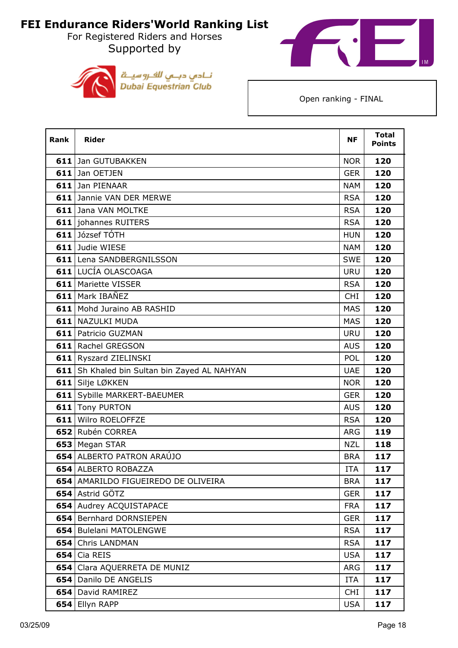For Registered Riders and Horses Supported by





| <b>Rank</b> | <b>Rider</b>                                 | <b>NF</b>  | <b>Total</b><br><b>Points</b> |
|-------------|----------------------------------------------|------------|-------------------------------|
|             | 611 Jan GUTUBAKKEN                           | <b>NOR</b> | 120                           |
|             | 611 Jan OETJEN                               | <b>GER</b> | 120                           |
|             | 611 Jan PIENAAR                              | <b>NAM</b> | 120                           |
|             | 611 Jannie VAN DER MERWE                     | <b>RSA</b> | 120                           |
|             | 611 Jana VAN MOLTKE                          | <b>RSA</b> | 120                           |
|             | <b>611</b> johannes RUITERS                  | <b>RSA</b> | 120                           |
|             | 611 József TÓTH                              | <b>HUN</b> | 120                           |
|             | 611 Judie WIESE                              | <b>NAM</b> | 120                           |
|             | 611 Lena SANDBERGNILSSON                     | <b>SWE</b> | 120                           |
|             | 611 LUCÍA OLASCOAGA                          | <b>URU</b> | 120                           |
|             | 611 Mariette VISSER                          | <b>RSA</b> | 120                           |
|             | 611 Mark IBAÑEZ                              | <b>CHI</b> | 120                           |
|             | 611 Mohd Juraino AB RASHID                   | <b>MAS</b> | 120                           |
|             | <b>611 NAZULKI MUDA</b>                      | <b>MAS</b> | 120                           |
|             | <b>611</b> Patricio GUZMAN                   | <b>URU</b> | 120                           |
|             | 611 Rachel GREGSON                           | <b>AUS</b> | 120                           |
|             | 611 Ryszard ZIELINSKI                        | <b>POL</b> | 120                           |
|             | 611 Sh Khaled bin Sultan bin Zayed AL NAHYAN | <b>UAE</b> | 120                           |
|             | 611 Silje LØKKEN                             | <b>NOR</b> | 120                           |
|             | 611 Sybille MARKERT-BAEUMER                  | <b>GER</b> | 120                           |
|             | 611 Tony PURTON                              | <b>AUS</b> | 120                           |
|             | 611 Wilro ROELOFFZE                          | <b>RSA</b> | 120                           |
|             | 652 Rubén CORREA                             | <b>ARG</b> | 119                           |
|             | 653 Megan STAR                               | <b>NZL</b> | 118                           |
|             | 654 ALBERTO PATRON ARAÚJO                    | <b>BRA</b> | 117                           |
|             | 654 ALBERTO ROBAZZA                          | <b>ITA</b> | 117                           |
|             | 654 AMARILDO FIGUEIREDO DE OLIVEIRA          | <b>BRA</b> | 117                           |
|             | 654 Astrid GÖTZ                              | <b>GER</b> | 117                           |
|             | 654 Audrey ACQUISTAPACE                      | <b>FRA</b> | 117                           |
|             | 654 Bernhard DORNSIEPEN                      | <b>GER</b> | 117                           |
|             | 654 Bulelani MATOLENGWE                      | <b>RSA</b> | 117                           |
|             | 654 Chris LANDMAN                            | <b>RSA</b> | 117                           |
|             | $654$ Cia REIS                               | <b>USA</b> | 117                           |
|             | 654 Clara AQUERRETA DE MUNIZ                 | <b>ARG</b> | 117                           |
|             | 654 Danilo DE ANGELIS                        | <b>ITA</b> | 117                           |
| 654         | David RAMIREZ                                | <b>CHI</b> | 117                           |
|             | 654 Ellyn RAPP                               | <b>USA</b> | 117                           |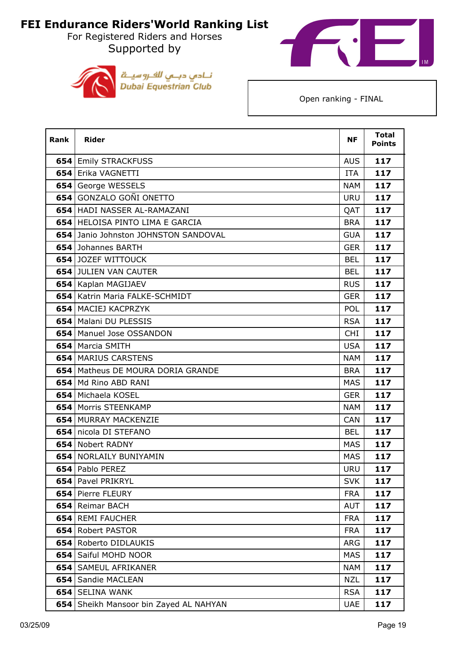For Registered Riders and Horses Supported by





| <b>Rank</b> | <b>Rider</b>                               | <b>NF</b>  | <b>Total</b><br><b>Points</b> |
|-------------|--------------------------------------------|------------|-------------------------------|
|             | <b>654 Emily STRACKFUSS</b>                | <b>AUS</b> | 117                           |
|             | 654 Erika VAGNETTI                         | <b>ITA</b> | 117                           |
|             | 654 George WESSELS                         | <b>NAM</b> | 117                           |
|             | 654 GONZALO GOÑI ONETTO                    | <b>URU</b> | 117                           |
|             | 654 HADI NASSER AL-RAMAZANI                | QAT        | 117                           |
|             | <b>654 HELOISA PINTO LIMA E GARCIA</b>     | <b>BRA</b> | 117                           |
|             | 654 Janio Johnston JOHNSTON SANDOVAL       | <b>GUA</b> | 117                           |
|             | 654 Johannes BARTH                         | <b>GER</b> | 117                           |
|             | <b>654 JOZEF WITTOUCK</b>                  | <b>BEL</b> | 117                           |
|             | <b>654 JULIEN VAN CAUTER</b>               | <b>BEL</b> | 117                           |
|             | 654 Kaplan MAGIJAEV                        | <b>RUS</b> | 117                           |
|             | 654 Katrin Maria FALKE-SCHMIDT             | <b>GER</b> | 117                           |
|             | 654 MACIEJ KACPRZYK                        | <b>POL</b> | 117                           |
|             | 654   Malani DU PLESSIS                    | <b>RSA</b> | 117                           |
|             | 654   Manuel Jose OSSANDON                 | <b>CHI</b> | 117                           |
|             | 654   Marcia SMITH                         | <b>USA</b> | 117                           |
|             | 654 MARIUS CARSTENS                        | <b>NAM</b> | 117                           |
|             | <b>654</b>   Matheus DE MOURA DORIA GRANDE | <b>BRA</b> | 117                           |
|             | 654 Md Rino ABD RANI                       | <b>MAS</b> | 117                           |
|             | 654 Michaela KOSEL                         | <b>GER</b> | 117                           |
|             | 654   Morris STEENKAMP                     | <b>NAM</b> | 117                           |
|             | 654 MURRAY MACKENZIE                       | <b>CAN</b> | 117                           |
|             | 654 nicola DI STEFANO                      | <b>BEL</b> | 117                           |
|             | 654 Nobert RADNY                           | <b>MAS</b> | 117                           |
|             | 654   NORLAILY BUNIYAMIN                   | <b>MAS</b> | 117                           |
|             | 654 Pablo PEREZ                            | <b>URU</b> | 117                           |
|             | 654 Pavel PRIKRYL                          | <b>SVK</b> | 117                           |
| 654         | Pierre FLEURY                              | <b>FRA</b> | 117                           |
| 654         | Reimar BACH                                | <b>AUT</b> | 117                           |
|             | 654 REMI FAUCHER                           | <b>FRA</b> | 117                           |
|             | 654 Robert PASTOR                          | <b>FRA</b> | 117                           |
|             | 654 Roberto DIDLAUKIS                      | <b>ARG</b> | 117                           |
|             | 654 Saiful MOHD NOOR                       | <b>MAS</b> | 117                           |
| 654         | <b>SAMEUL AFRIKANER</b>                    | <b>NAM</b> | 117                           |
| 654         | Sandie MACLEAN                             | <b>NZL</b> | 117                           |
| 654         | <b>SELINA WANK</b>                         | <b>RSA</b> | 117                           |
|             | 654 Sheikh Mansoor bin Zayed AL NAHYAN     | <b>UAE</b> | 117                           |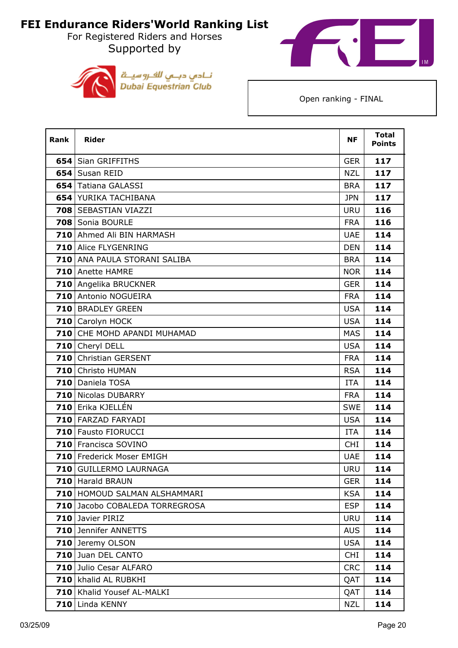For Registered Riders and Horses Supported by





| Rank | <b>Rider</b>                   | <b>NF</b>  | <b>Total</b><br><b>Points</b> |
|------|--------------------------------|------------|-------------------------------|
|      | <b>654   Sian GRIFFITHS</b>    | <b>GER</b> | 117                           |
|      | 654 Susan REID                 | <b>NZL</b> | 117                           |
|      | 654 Tatiana GALASSI            | <b>BRA</b> | 117                           |
|      | <b>654 YURIKA TACHIBANA</b>    | <b>JPN</b> | 117                           |
|      | 708 SEBASTIAN VIAZZI           | <b>URU</b> | 116                           |
|      | 708 Sonia BOURLE               | <b>FRA</b> | 116                           |
|      | 710 Ahmed Ali BIN HARMASH      | <b>UAE</b> | 114                           |
|      | <b>710</b> Alice FLYGENRING    | <b>DEN</b> | 114                           |
|      | 710 ANA PAULA STORANI SALIBA   | <b>BRA</b> | 114                           |
|      | 710 Anette HAMRE               | <b>NOR</b> | 114                           |
|      | 710 Angelika BRUCKNER          | <b>GER</b> | 114                           |
|      | 710 Antonio NOGUEIRA           | <b>FRA</b> | 114                           |
|      | 710 BRADLEY GREEN              | <b>USA</b> | 114                           |
|      | 710 Carolyn HOCK               | <b>USA</b> | 114                           |
|      | 710 CHE MOHD APANDI MUHAMAD    | <b>MAS</b> | 114                           |
|      | 710 Cheryl DELL                | <b>USA</b> | 114                           |
|      | 710 Christian GERSENT          | <b>FRA</b> | 114                           |
|      | 710 Christo HUMAN              | <b>RSA</b> | 114                           |
|      | 710 Daniela TOSA               | <b>ITA</b> | 114                           |
|      | 710 Nicolas DUBARRY            | <b>FRA</b> | 114                           |
|      | 710 Erika KJELLÉN              | <b>SWE</b> | 114                           |
|      | 710 FARZAD FARYADI             | <b>USA</b> | 114                           |
|      | <b>710 Fausto FIORUCCI</b>     | <b>ITA</b> | 114                           |
|      | 710 Francisca SOVINO           | <b>CHI</b> | 114                           |
|      | 710 Frederick Moser EMIGH      | <b>UAE</b> | 114                           |
|      | 710 GUILLERMO LAURNAGA         | <b>URU</b> | 114                           |
|      | 710 Harald BRAUN               | <b>GER</b> | 114                           |
|      | 710 HOMOUD SALMAN ALSHAMMARI   | <b>KSA</b> | 114                           |
|      | 710 Jacobo COBALEDA TORREGROSA | <b>ESP</b> | 114                           |
|      | 710 Javier PIRIZ               | <b>URU</b> | 114                           |
|      | 710 Jennifer ANNETTS           | <b>AUS</b> | 114                           |
|      | 710 Jeremy OLSON               | <b>USA</b> | 114                           |
|      | 710 Juan DEL CANTO             | <b>CHI</b> | 114                           |
|      | 710 Julio Cesar ALFARO         | <b>CRC</b> | 114                           |
|      | 710 khalid AL RUBKHI           | QAT        | 114                           |
|      | 710   Khalid Yousef AL-MALKI   | QAT        | 114                           |
|      | 710 Linda KENNY                | <b>NZL</b> | 114                           |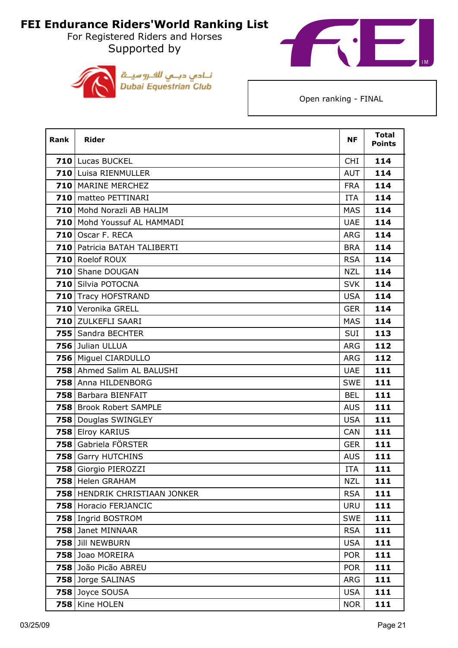For Registered Riders and Horses Supported by





| <b>Rank</b> | <b>Rider</b>                  | <b>NF</b>  | <b>Total</b><br><b>Points</b> |
|-------------|-------------------------------|------------|-------------------------------|
|             | 710 Lucas BUCKEL              | <b>CHI</b> | 114                           |
|             | 710 Luisa RIENMULLER          | <b>AUT</b> | 114                           |
|             | 710 MARINE MERCHEZ            | <b>FRA</b> | 114                           |
|             | 710 matteo PETTINARI          | <b>ITA</b> | 114                           |
|             | 710 Mohd Norazli AB HALIM     | <b>MAS</b> | 114                           |
|             | 710 Mohd Youssuf AL HAMMADI   | <b>UAE</b> | 114                           |
|             | 710 Oscar F. RECA             | <b>ARG</b> | 114                           |
|             | 710 Patricia BATAH TALIBERTI  | <b>BRA</b> | 114                           |
|             | 710 Roelof ROUX               | <b>RSA</b> | 114                           |
|             | 710 Shane DOUGAN              | <b>NZL</b> | 114                           |
|             | 710 Silvia POTOCNA            | <b>SVK</b> | 114                           |
|             | 710 Tracy HOFSTRAND           | <b>USA</b> | 114                           |
|             | 710 Veronika GRELL            | <b>GER</b> | 114                           |
|             | 710 ZULKEFLI SAARI            | <b>MAS</b> | 114                           |
|             | 755 Sandra BECHTER            | <b>SUI</b> | 113                           |
|             | 756 Julian ULLUA              | <b>ARG</b> | 112                           |
|             | 756 Miguel CIARDULLO          | <b>ARG</b> | 112                           |
|             | 758 Ahmed Salim AL BALUSHI    | <b>UAE</b> | 111                           |
|             | 758 Anna HILDENBORG           | <b>SWE</b> | 111                           |
|             | 758 Barbara BIENFAIT          | <b>BEL</b> | 111                           |
| 758         | <b>Brook Robert SAMPLE</b>    | <b>AUS</b> | 111                           |
|             | 758 Douglas SWINGLEY          | <b>USA</b> | 111                           |
|             | 758 Elroy KARIUS              | CAN        | 111                           |
| 758         | Gabriela FÖRSTER              | <b>GER</b> | 111                           |
|             | 758 Garry HUTCHINS            | <b>AUS</b> | 111                           |
|             | 758 Giorgio PIEROZZI          | <b>ITA</b> | 111                           |
|             | 758 Helen GRAHAM              | <b>NZL</b> | 111                           |
|             | 758 HENDRIK CHRISTIAAN JONKER | <b>RSA</b> | 111                           |
|             | 758 Horacio FERJANCIC         | URU        | 111                           |
|             | 758 Ingrid BOSTROM            | <b>SWE</b> | 111                           |
|             | 758 Janet MINNAAR             | <b>RSA</b> | 111                           |
|             | 758 Jill NEWBURN              | <b>USA</b> | 111                           |
|             | 758 Joao MOREIRA              | <b>POR</b> | 111                           |
|             | 758 João Picão ABREU          | <b>POR</b> | 111                           |
|             | 758 Jorge SALINAS             | ARG        | 111                           |
|             | 758 Joyce SOUSA               | <b>USA</b> | 111                           |
|             | 758 Kine HOLEN                | <b>NOR</b> | 111                           |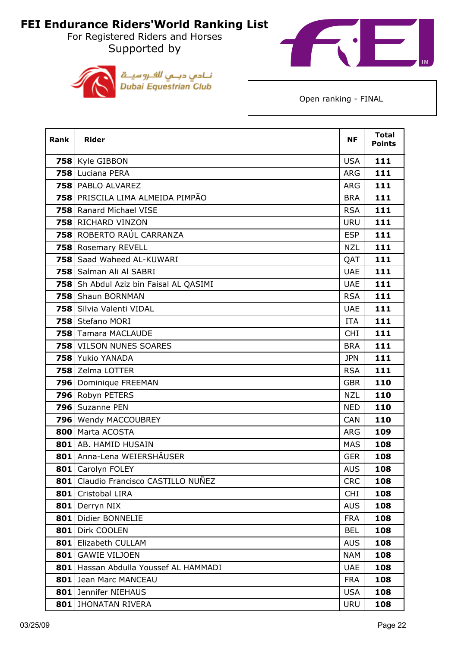For Registered Riders and Horses Supported by





| Rank | <b>Rider</b>                           | <b>NF</b>  | <b>Total</b><br><b>Points</b> |
|------|----------------------------------------|------------|-------------------------------|
|      | 758 Kyle GIBBON                        | <b>USA</b> | 111                           |
|      | 758 Luciana PERA                       | <b>ARG</b> | 111                           |
|      | 758 PABLO ALVAREZ                      | <b>ARG</b> | 111                           |
|      | 758 PRISCILA LIMA ALMEIDA PIMPÃO       | <b>BRA</b> | 111                           |
|      | 758 Ranard Michael VISE                | <b>RSA</b> | 111                           |
|      | 758 RICHARD VINZON                     | <b>URU</b> | 111                           |
|      | 758 ROBERTO RAÚL CARRANZA              | <b>ESP</b> | 111                           |
|      | 758 Rosemary REVELL                    | <b>NZL</b> | 111                           |
|      | 758 Saad Waheed AL-KUWARI              | QAT        | 111                           |
|      | 758 Salman Ali Al SABRI                | <b>UAE</b> | 111                           |
|      | 758 Sh Abdul Aziz bin Faisal AL QASIMI | <b>UAE</b> | 111                           |
|      | 758 Shaun BORNMAN                      | <b>RSA</b> | 111                           |
|      | 758 Silvia Valenti VIDAL               | <b>UAE</b> | 111                           |
|      | 758 Stefano MORI                       | <b>ITA</b> | 111                           |
|      | 758 Tamara MACLAUDE                    | <b>CHI</b> | 111                           |
|      | 758 VILSON NUNES SOARES                | <b>BRA</b> | 111                           |
|      | 758 Yukio YANADA                       | <b>JPN</b> | 111                           |
|      | 758 Zelma LOTTER                       | <b>RSA</b> | 111                           |
|      | 796 Dominique FREEMAN                  | <b>GBR</b> | 110                           |
|      | 796 Robyn PETERS                       | <b>NZL</b> | 110                           |
|      | 796 Suzanne PEN                        | <b>NED</b> | 110                           |
|      | 796 Wendy MACCOUBREY                   | <b>CAN</b> | 110                           |
|      | 800   Marta ACOSTA                     | <b>ARG</b> | 109                           |
|      | 801 AB. HAMID HUSAIN                   | <b>MAS</b> | 108                           |
|      | 801 Anna-Lena WEIERSHÄUSER             | <b>GER</b> | 108                           |
|      | 801 Carolyn FOLEY                      | <b>AUS</b> | 108                           |
| 801  | Claudio Francisco CASTILLO NUÑEZ       | <b>CRC</b> | 108                           |
| 801  | Cristobal LIRA                         | <b>CHI</b> | 108                           |
| 801  | Derryn NIX                             | <b>AUS</b> | 108                           |
| 801  | Didier BONNELIE                        | <b>FRA</b> | 108                           |
| 801  | Dirk COOLEN                            | <b>BEL</b> | 108                           |
| 801  | Elizabeth CULLAM                       | <b>AUS</b> | 108                           |
| 801  | <b>GAWIE VILJOEN</b>                   | <b>NAM</b> | 108                           |
| 801  | Hassan Abdulla Youssef AL HAMMADI      | <b>UAE</b> | 108                           |
|      | 801 Jean Marc MANCEAU                  | <b>FRA</b> | 108                           |
|      | 801 Jennifer NIEHAUS                   | <b>USA</b> | 108                           |
|      | <b>801 JHONATAN RIVERA</b>             | <b>URU</b> | 108                           |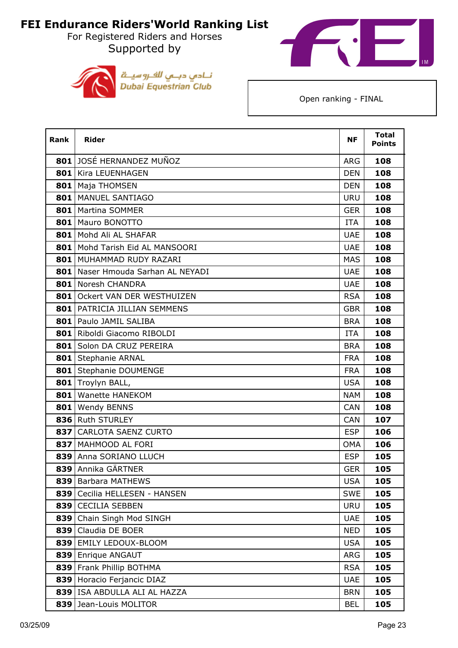For Registered Riders and Horses Supported by





| Rank | <b>Rider</b>                        | <b>NF</b>  | <b>Total</b><br><b>Points</b> |
|------|-------------------------------------|------------|-------------------------------|
|      | 801 JOSÉ HERNANDEZ MUÑOZ            | <b>ARG</b> | 108                           |
|      | 801   Kira LEUENHAGEN               | <b>DEN</b> | 108                           |
|      | 801   Maja THOMSEN                  | <b>DEN</b> | 108                           |
|      | 801   MANUEL SANTIAGO               | <b>URU</b> | 108                           |
|      | 801   Martina SOMMER                | <b>GER</b> | 108                           |
|      | 801   Mauro BONOTTO                 | <b>ITA</b> | 108                           |
|      | 801 Mohd Ali AL SHAFAR              | <b>UAE</b> | 108                           |
|      | 801   Mohd Tarish Eid AL MANSOORI   | <b>UAE</b> | 108                           |
|      | 801 MUHAMMAD RUDY RAZARI            | <b>MAS</b> | 108                           |
|      | 801 Naser Hmouda Sarhan AL NEYADI   | <b>UAE</b> | 108                           |
|      | 801 Noresh CHANDRA                  | <b>UAE</b> | 108                           |
|      | 801 Ockert VAN DER WESTHUIZEN       | <b>RSA</b> | 108                           |
|      | <b>801 PATRICIA JILLIAN SEMMENS</b> | <b>GBR</b> | 108                           |
|      | 801 Paulo JAMIL SALIBA              | <b>BRA</b> | 108                           |
|      | 801 Riboldi Giacomo RIBOLDI         | <b>ITA</b> | 108                           |
| 801  | Solon DA CRUZ PEREIRA               | <b>BRA</b> | 108                           |
|      | 801 Stephanie ARNAL                 | <b>FRA</b> | 108                           |
|      | 801 Stephanie DOUMENGE              | <b>FRA</b> | 108                           |
|      | 801 Troylyn BALL,                   | <b>USA</b> | 108                           |
|      | 801   Wanette HANEKOM               | <b>NAM</b> | 108                           |
|      | 801   Wendy BENNS                   | <b>CAN</b> | 108                           |
|      | 836 Ruth STURLEY                    | <b>CAN</b> | 107                           |
|      | 837 CARLOTA SAENZ CURTO             | <b>ESP</b> | 106                           |
|      | 837 MAHMOOD AL FORI                 | <b>OMA</b> | 106                           |
|      | 839 Anna SORIANO LLUCH              | <b>ESP</b> | 105                           |
|      | 839 Annika GÄRTNER                  | <b>GER</b> | 105                           |
| 839  | Barbara MATHEWS                     | <b>USA</b> | 105                           |
|      | 839 Cecilia HELLESEN - HANSEN       | <b>SWE</b> | 105                           |
|      | 839 CECILIA SEBBEN                  | <b>URU</b> | 105                           |
| 839  | Chain Singh Mod SINGH               | <b>UAE</b> | 105                           |
|      | 839 Claudia DE BOER                 | <b>NED</b> | 105                           |
|      | 839 EMILY LEDOUX-BLOOM              | <b>USA</b> | 105                           |
|      | 839 Enrique ANGAUT                  | ARG        | 105                           |
|      | 839 Frank Phillip BOTHMA            | <b>RSA</b> | 105                           |
|      | 839 Horacio Ferjancic DIAZ          | <b>UAE</b> | 105                           |
|      | 839   ISA ABDULLA ALI AL HAZZA      | <b>BRN</b> | 105                           |
|      | 839 Jean-Louis MOLITOR              | <b>BEL</b> | 105                           |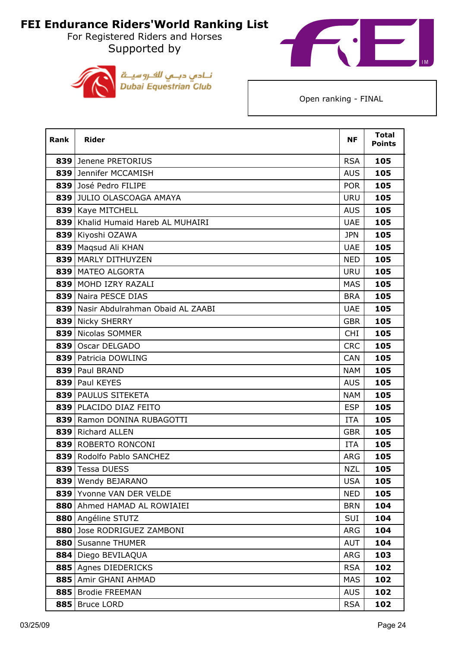For Registered Riders and Horses Supported by





| <b>Rank</b> | <b>Rider</b>                         | <b>NF</b>  | <b>Total</b><br><b>Points</b> |
|-------------|--------------------------------------|------------|-------------------------------|
|             | 839 Jenene PRETORIUS                 | <b>RSA</b> | 105                           |
|             | 839 Jennifer MCCAMISH                | <b>AUS</b> | 105                           |
|             | 839 José Pedro FILIPE                | <b>POR</b> | 105                           |
|             | 839 JULIO OLASCOAGA AMAYA            | <b>URU</b> | 105                           |
|             | 839 Kaye MITCHELL                    | <b>AUS</b> | 105                           |
| 839         | Khalid Humaid Hareb AL MUHAIRI       | <b>UAE</b> | 105                           |
|             | 839 Kiyoshi OZAWA                    | <b>JPN</b> | 105                           |
|             | 839   Maqsud Ali KHAN                | <b>UAE</b> | 105                           |
|             | 839   MARLY DITHUYZEN                | <b>NED</b> | 105                           |
|             | 839   MATEO ALGORTA                  | <b>URU</b> | 105                           |
|             | 839 MOHD IZRY RAZALI                 | <b>MAS</b> | 105                           |
|             | 839 Naira PESCE DIAS                 | <b>BRA</b> | 105                           |
|             | 839 Nasir Abdulrahman Obaid AL ZAABI | <b>UAE</b> | 105                           |
|             | 839 Nicky SHERRY                     | <b>GBR</b> | 105                           |
| 839         | Nicolas SOMMER                       | <b>CHI</b> | 105                           |
|             | 839 Oscar DELGADO                    | <b>CRC</b> | 105                           |
|             | 839 Patricia DOWLING                 | <b>CAN</b> | 105                           |
|             | 839 Paul BRAND                       | <b>NAM</b> | 105                           |
|             | 839 Paul KEYES                       | <b>AUS</b> | 105                           |
|             | 839 PAULUS SITEKETA                  | <b>NAM</b> | 105                           |
|             | 839 PLACIDO DIAZ FEITO               | <b>ESP</b> | 105                           |
|             | 839 Ramon DONINA RUBAGOTTI           | <b>ITA</b> | 105                           |
|             | 839 Richard ALLEN                    | <b>GBR</b> | 105                           |
|             | 839 ROBERTO RONCONI                  | <b>ITA</b> | 105                           |
|             | 839 Rodolfo Pablo SANCHEZ            | <b>ARG</b> | 105                           |
|             | 839 Tessa DUESS                      | <b>NZL</b> | 105                           |
|             | 839 Wendy BEJARANO                   | <b>USA</b> | 105                           |
|             | 839 Yvonne VAN DER VELDE             | <b>NED</b> | 105                           |
| 880         | Ahmed HAMAD AL ROWIAIEI              | <b>BRN</b> | 104                           |
|             | 880 Angéline STUTZ                   | SUI        | 104                           |
|             | 880 Jose RODRIGUEZ ZAMBONI           | ARG        | 104                           |
| 880         | <b>Susanne THUMER</b>                | <b>AUT</b> | 104                           |
|             | 884 Diego BEVILAQUA                  | <b>ARG</b> | 103                           |
|             | 885 Agnes DIEDERICKS                 | <b>RSA</b> | 102                           |
| 885         | Amir GHANI AHMAD                     | <b>MAS</b> | 102                           |
| 885         | <b>Brodie FREEMAN</b>                | <b>AUS</b> | 102                           |
| 885         | <b>Bruce LORD</b>                    | <b>RSA</b> | 102                           |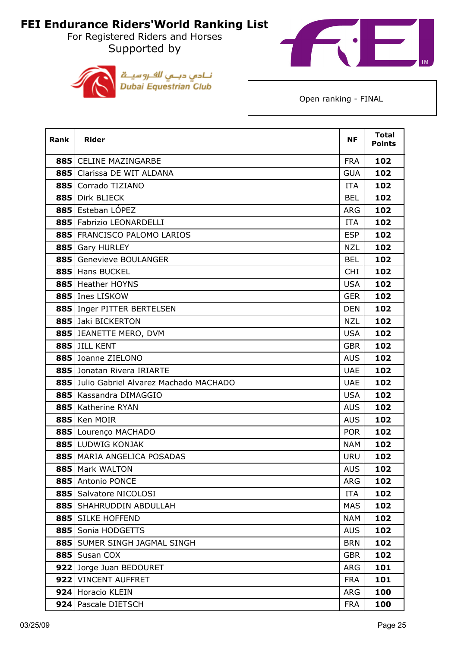For Registered Riders and Horses Supported by





| <b>Rank</b> | <b>Rider</b>                              | <b>NF</b>  | <b>Total</b><br><b>Points</b> |
|-------------|-------------------------------------------|------------|-------------------------------|
|             | 885 CELINE MAZINGARBE                     | <b>FRA</b> | 102                           |
|             | 885 Clarissa DE WIT ALDANA                | <b>GUA</b> | 102                           |
| 885         | Corrado TIZIANO                           | <b>ITA</b> | 102                           |
|             | 885 Dirk BLIECK                           | <b>BEL</b> | 102                           |
|             | 885 Esteban LÓPEZ                         | <b>ARG</b> | 102                           |
|             | 885 Fabrizio LEONARDELLI                  | <b>ITA</b> | 102                           |
|             | 885 FRANCISCO PALOMO LARIOS               | <b>ESP</b> | 102                           |
|             | 885 Gary HURLEY                           | <b>NZL</b> | 102                           |
| 885         | <b>Genevieve BOULANGER</b>                | <b>BEL</b> | 102                           |
|             | 885 Hans BUCKEL                           | <b>CHI</b> | 102                           |
|             | 885   Heather HOYNS                       | <b>USA</b> | 102                           |
|             | 885 Ines LISKOW                           | <b>GER</b> | 102                           |
|             | 885   Inger PITTER BERTELSEN              | <b>DEN</b> | 102                           |
|             | 885 Jaki BICKERTON                        | <b>NZL</b> | 102                           |
|             | 885 JEANETTE MERO, DVM                    | <b>USA</b> | 102                           |
|             | 885 JILL KENT                             | <b>GBR</b> | 102                           |
|             | 885 Joanne ZIELONO                        | <b>AUS</b> | 102                           |
|             | 885 Jonatan Rivera IRIARTE                | <b>UAE</b> | 102                           |
|             | 885 Julio Gabriel Alvarez Machado MACHADO | <b>UAE</b> | 102                           |
|             | 885   Kassandra DIMAGGIO                  | <b>USA</b> | 102                           |
|             | 885   Katherine RYAN                      | <b>AUS</b> | 102                           |
|             | 885 Ken MOIR                              | <b>AUS</b> | 102                           |
|             | 885 Lourenço MACHADO                      | <b>POR</b> | 102                           |
|             | 885 LUDWIG KONJAK                         | <b>NAM</b> | 102                           |
|             | 885   MARIA ANGELICA POSADAS              | <b>URU</b> | 102                           |
|             | 885   Mark WALTON                         | <b>AUS</b> | 102                           |
|             | 885 Antonio PONCE                         | <b>ARG</b> | 102                           |
|             | 885   Salvatore NICOLOSI                  | ITA        | 102                           |
| 885         | SHAHRUDDIN ABDULLAH                       | <b>MAS</b> | 102                           |
|             | 885 SILKE HOFFEND                         | <b>NAM</b> | 102                           |
|             | 885 Sonia HODGETTS                        | <b>AUS</b> | 102                           |
|             | 885   SUMER SINGH JAGMAL SINGH            | <b>BRN</b> | 102                           |
|             | 885   Susan COX                           | <b>GBR</b> | 102                           |
|             | 922 Jorge Juan BEDOURET                   | <b>ARG</b> | 101                           |
|             | 922 VINCENT AUFFRET                       | <b>FRA</b> | 101                           |
|             | 924 Horacio KLEIN                         | <b>ARG</b> | 100                           |
|             | 924 Pascale DIETSCH                       | <b>FRA</b> | 100                           |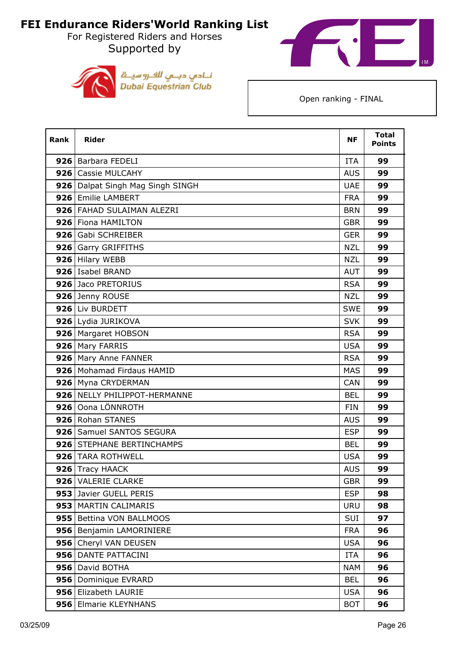For Registered Riders and Horses Supported by





| <b>Rank</b> | <b>Rider</b>                       | <b>NF</b>  | <b>Total</b><br><b>Points</b> |
|-------------|------------------------------------|------------|-------------------------------|
|             | 926   Barbara FEDELI               | <b>ITA</b> | 99                            |
|             | 926 Cassie MULCAHY                 | <b>AUS</b> | 99                            |
|             | 926   Dalpat Singh Mag Singh SINGH | <b>UAE</b> | 99                            |
|             | 926 Emilie LAMBERT                 | <b>FRA</b> | 99                            |
|             | 926 FAHAD SULAIMAN ALEZRI          | <b>BRN</b> | 99                            |
|             | 926 Fiona HAMILTON                 | <b>GBR</b> | 99                            |
|             | 926 Gabi SCHREIBER                 | <b>GER</b> | 99                            |
|             | 926 Garry GRIFFITHS                | <b>NZL</b> | 99                            |
|             | 926 Hilary WEBB                    | <b>NZL</b> | 99                            |
|             | 926   Isabel BRAND                 | <b>AUT</b> | 99                            |
|             | 926 Jaco PRETORIUS                 | <b>RSA</b> | 99                            |
|             | 926 Jenny ROUSE                    | <b>NZL</b> | 99                            |
|             | 926 Liv BURDETT                    | <b>SWE</b> | 99                            |
|             | 926 Lydia JURIKOVA                 | <b>SVK</b> | 99                            |
|             | 926   Margaret HOBSON              | <b>RSA</b> | 99                            |
|             | 926 Mary FARRIS                    | <b>USA</b> | 99                            |
|             | 926 Mary Anne FANNER               | <b>RSA</b> | 99                            |
|             | 926   Mohamad Firdaus HAMID        | <b>MAS</b> | 99                            |
|             | 926 Myna CRYDERMAN                 | <b>CAN</b> | 99                            |
|             | 926 NELLY PHILIPPOT-HERMANNE       | <b>BEL</b> | 99                            |
|             | 926 Oona LÖNNROTH                  | <b>FIN</b> | 99                            |
|             | 926 Rohan STANES                   | <b>AUS</b> | 99                            |
|             | 926 Samuel SANTOS SEGURA           | <b>ESP</b> | 99                            |
|             | 926 STEPHANE BERTINCHAMPS          | <b>BEL</b> | 99                            |
|             | 926 TARA ROTHWELL                  | <b>USA</b> | 99                            |
|             | 926 Tracy HAACK                    | <b>AUS</b> | 99                            |
|             | 926 VALERIE CLARKE                 | <b>GBR</b> | 99                            |
|             | 953 Javier GUELL PERIS             | <b>ESP</b> | 98                            |
|             | 953 MARTIN CALIMARIS               | <b>URU</b> | 98                            |
|             | 955 Bettina VON BALLMOOS           | SUI        | 97                            |
|             | 956   Benjamin LAMORINIERE         | <b>FRA</b> | 96                            |
|             | 956 Cheryl VAN DEUSEN              | <b>USA</b> | 96                            |
|             | 956 DANTE PATTACINI                | ITA        | 96                            |
|             | 956 David BOTHA                    | <b>NAM</b> | 96                            |
|             | 956 Dominique EVRARD               | <b>BEL</b> | 96                            |
|             | 956 Elizabeth LAURIE               | <b>USA</b> | 96                            |
|             | 956 Elmarie KLEYNHANS              | <b>BOT</b> | 96                            |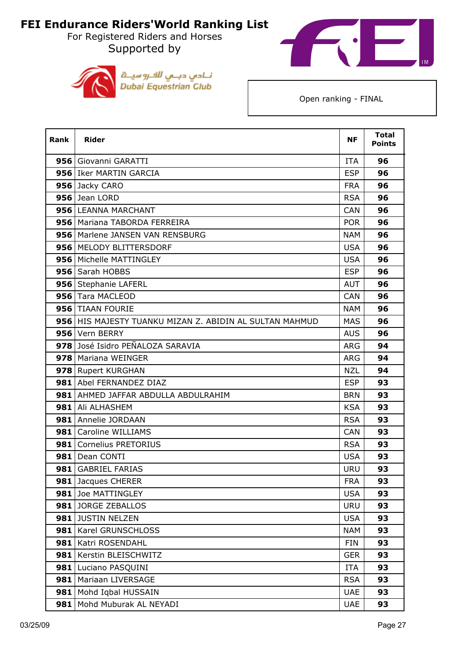For Registered Riders and Horses Supported by





| <b>Rank</b> | <b>Rider</b>                                            | <b>NF</b>  | <b>Total</b><br><b>Points</b> |
|-------------|---------------------------------------------------------|------------|-------------------------------|
|             | 956   Giovanni GARATTI                                  | <b>ITA</b> | 96                            |
|             | 956 Iker MARTIN GARCIA                                  | <b>ESP</b> | 96                            |
|             | 956 Jacky CARO                                          | <b>FRA</b> | 96                            |
|             | 956 Jean LORD                                           | <b>RSA</b> | 96                            |
|             | 956 LEANNA MARCHANT                                     | <b>CAN</b> | 96                            |
|             | 956   Mariana TABORDA FERREIRA                          | <b>POR</b> | 96                            |
|             | 956   Marlene JANSEN VAN RENSBURG                       | <b>NAM</b> | 96                            |
|             | 956   MELODY BLITTERSDORF                               | <b>USA</b> | 96                            |
|             | 956   Michelle MATTINGLEY                               | <b>USA</b> | 96                            |
|             | 956 Sarah HOBBS                                         | <b>ESP</b> | 96                            |
|             | 956 Stephanie LAFERL                                    | <b>AUT</b> | 96                            |
|             | 956 Tara MACLEOD                                        | <b>CAN</b> | 96                            |
|             | 956   TIAAN FOURIE                                      | <b>NAM</b> | 96                            |
|             | 956 HIS MAJESTY TUANKU MIZAN Z. ABIDIN AL SULTAN MAHMUD | <b>MAS</b> | 96                            |
|             | 956 Vern BERRY                                          | <b>AUS</b> | 96                            |
|             | 978 José Isidro PEÑALOZA SARAVIA                        | <b>ARG</b> | 94                            |
|             | 978 Mariana WEINGER                                     | <b>ARG</b> | 94                            |
|             | 978 Rupert KURGHAN                                      | <b>NZL</b> | 94                            |
|             | 981 Abel FERNANDEZ DIAZ                                 | <b>ESP</b> | 93                            |
|             | 981 AHMED JAFFAR ABDULLA ABDULRAHIM                     | <b>BRN</b> | 93                            |
| 981         | Ali ALHASHEM                                            | <b>KSA</b> | 93                            |
|             | 981 Annelie JORDAAN                                     | <b>RSA</b> | 93                            |
|             | 981 Caroline WILLIAMS                                   | <b>CAN</b> | 93                            |
|             | 981   Cornelius PRETORIUS                               | <b>RSA</b> | 93                            |
|             | 981   Dean CONTI                                        | <b>USA</b> | 93                            |
|             | 981 GABRIEL FARIAS                                      | <b>URU</b> | 93                            |
| 981         | Jacques CHERER                                          | <b>FRA</b> | 93                            |
|             | 981 Joe MATTINGLEY                                      | <b>USA</b> | 93                            |
|             | 981 JORGE ZEBALLOS                                      | <b>URU</b> | 93                            |
|             | 981 JUSTIN NELZEN                                       | <b>USA</b> | 93                            |
|             | 981   Karel GRUNSCHLOSS                                 | <b>NAM</b> | 93                            |
|             | 981 Katri ROSENDAHL                                     | <b>FIN</b> | 93                            |
| 981         | Kerstin BLEISCHWITZ                                     | <b>GER</b> | 93                            |
|             | 981 Luciano PASQUINI                                    | <b>ITA</b> | 93                            |
| 981         | Mariaan LIVERSAGE                                       | <b>RSA</b> | 93                            |
| 981         | Mohd Iqbal HUSSAIN                                      | <b>UAE</b> | 93                            |
|             | 981 Mohd Muburak AL NEYADI                              | <b>UAE</b> | 93                            |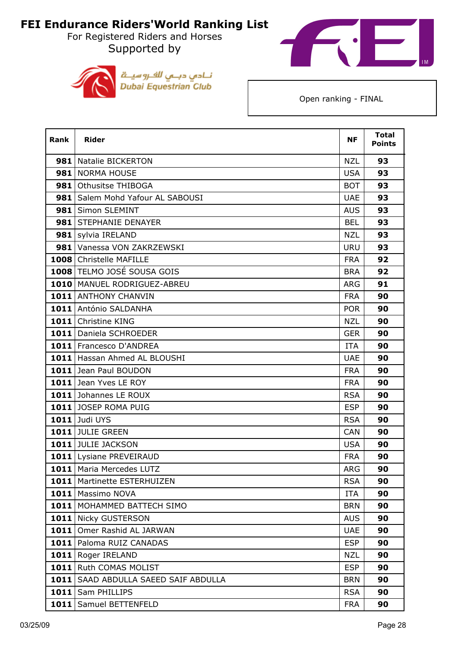For Registered Riders and Horses Supported by





| <b>Rank</b> | <b>Rider</b>                    | <b>NF</b>  | <b>Total</b><br><b>Points</b> |
|-------------|---------------------------------|------------|-------------------------------|
|             | 981 Natalie BICKERTON           | <b>NZL</b> | 93                            |
|             | 981 NORMA HOUSE                 | <b>USA</b> | 93                            |
| 981         | Othusitse THIBOGA               | <b>BOT</b> | 93                            |
| 981         | Salem Mohd Yafour AL SABOUSI    | <b>UAE</b> | 93                            |
| 981         | Simon SLEMINT                   | <b>AUS</b> | 93                            |
|             | 981 STEPHANIE DENAYER           | <b>BEL</b> | 93                            |
|             | 981 sylvia IRELAND              | <b>NZL</b> | 93                            |
|             | 981 Vanessa VON ZAKRZEWSKI      | <b>URU</b> | 93                            |
|             | 1008 Christelle MAFILLE         | <b>FRA</b> | 92                            |
|             | 1008 TELMO JOSÉ SOUSA GOIS      | <b>BRA</b> | 92                            |
|             | 1010   MANUEL RODRIGUEZ-ABREU   | <b>ARG</b> | 91                            |
|             | 1011 ANTHONY CHANVIN            | <b>FRA</b> | 90                            |
|             | 1011 António SALDANHA           | <b>POR</b> | 90                            |
|             | 1011 Christine KING             | <b>NZL</b> | 90                            |
|             | 1011 Daniela SCHROEDER          | <b>GER</b> | 90                            |
|             | 1011 Francesco D'ANDREA         | <b>ITA</b> | 90                            |
|             | 1011 Hassan Ahmed AL BLOUSHI    | <b>UAE</b> | 90                            |
|             | 1011 Jean Paul BOUDON           | <b>FRA</b> | 90                            |
|             | 1011 Jean Yves LE ROY           | <b>FRA</b> | 90                            |
|             | 1011 Johannes LE ROUX           | <b>RSA</b> | 90                            |
|             | 1011 JOSEP ROMA PUIG            | <b>ESP</b> | 90                            |
|             | 1011 Judi UYS                   | <b>RSA</b> | 90                            |
|             | 1011 JULIE GREEN                | <b>CAN</b> | 90                            |
|             | 1011 JULIE JACKSON              | <b>USA</b> | 90                            |
|             | 1011 Lysiane PREVEIRAUD         | <b>FRA</b> | 90                            |
|             | 1011   Maria Mercedes LUTZ      | <b>ARG</b> | 90                            |
|             | 1011   Martinette ESTERHUIZEN   | <b>RSA</b> | 90                            |
|             | 1011   Massimo NOVA             | <b>ITA</b> | 90                            |
|             | 1011   MOHAMMED BATTECH SIMO    | <b>BRN</b> | 90                            |
|             | 1011 Nicky GUSTERSON            | <b>AUS</b> | 90                            |
| 1011        | Omer Rashid AL JARWAN           | <b>UAE</b> | 90                            |
|             | 1011   Paloma RUIZ CANADAS      | <b>ESP</b> | 90                            |
|             | 1011 Roger IRELAND              | <b>NZL</b> | 90                            |
|             | 1011 Ruth COMAS MOLIST          | <b>ESP</b> | 90                            |
| 1011        | SAAD ABDULLA SAEED SAIF ABDULLA | <b>BRN</b> | 90                            |
| 1011        | Sam PHILLIPS                    | <b>RSA</b> | 90                            |
| 1011        | Samuel BETTENFELD               | <b>FRA</b> | 90                            |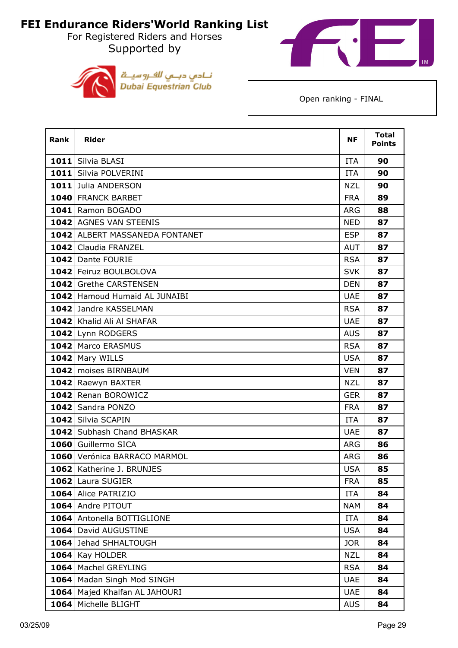For Registered Riders and Horses Supported by





| <b>Rank</b> | <b>Rider</b>                   | <b>NF</b>  | <b>Total</b><br><b>Points</b> |
|-------------|--------------------------------|------------|-------------------------------|
|             | 1011 Silvia BLASI              | <b>ITA</b> | 90                            |
|             | 1011 Silvia POLVERINI          | <b>ITA</b> | 90                            |
|             | 1011 Julia ANDERSON            | <b>NZL</b> | 90                            |
|             | 1040 FRANCK BARBET             | <b>FRA</b> | 89                            |
|             | 1041 Ramon BOGADO              | <b>ARG</b> | 88                            |
|             | 1042 AGNES VAN STEENIS         | <b>NED</b> | 87                            |
|             | 1042 ALBERT MASSANEDA FONTANET | <b>ESP</b> | 87                            |
|             | 1042 Claudia FRANZEL           | <b>AUT</b> | 87                            |
|             | 1042 Dante FOURIE              | <b>RSA</b> | 87                            |
|             | 1042 Feiruz BOULBOLOVA         | <b>SVK</b> | 87                            |
|             | 1042 Grethe CARSTENSEN         | <b>DEN</b> | 87                            |
|             | 1042 Hamoud Humaid AL JUNAIBI  | <b>UAE</b> | 87                            |
|             | 1042 Jandre KASSELMAN          | <b>RSA</b> | 87                            |
|             | 1042 Khalid Ali Al SHAFAR      | <b>UAE</b> | 87                            |
|             | 1042 Lynn RODGERS              | <b>AUS</b> | 87                            |
|             | 1042   Marco ERASMUS           | <b>RSA</b> | 87                            |
|             | 1042 Mary WILLS                | <b>USA</b> | 87                            |
|             | 1042   moises BIRNBAUM         | <b>VEN</b> | 87                            |
|             | 1042 Raewyn BAXTER             | <b>NZL</b> | 87                            |
|             | 1042 Renan BOROWICZ            | <b>GER</b> | 87                            |
|             | 1042 Sandra PONZO              | <b>FRA</b> | 87                            |
|             | 1042 Silvia SCAPIN             | <b>ITA</b> | 87                            |
|             | 1042 Subhash Chand BHASKAR     | <b>UAE</b> | 87                            |
|             | 1060 Guillermo SICA            | <b>ARG</b> | 86                            |
|             | 1060 Verónica BARRACO MARMOL   | <b>ARG</b> | 86                            |
|             | 1062   Katherine J. BRUNJES    | <b>USA</b> | 85                            |
| 1062        | Laura SUGIER                   | <b>FRA</b> | 85                            |
|             | 1064 Alice PATRIZIO            | <b>ITA</b> | 84                            |
|             | 1064 Andre PITOUT              | <b>NAM</b> | 84                            |
|             | 1064 Antonella BOTTIGLIONE     | ITA        | 84                            |
|             | 1064 David AUGUSTINE           | <b>USA</b> | 84                            |
|             | 1064 Jehad SHHALTOUGH          | <b>JOR</b> | 84                            |
| 1064        | Kay HOLDER                     | <b>NZL</b> | 84                            |
|             | 1064   Machel GREYLING         | <b>RSA</b> | 84                            |
|             | 1064   Madan Singh Mod SINGH   | <b>UAE</b> | 84                            |
| 1064        | Majed Khalfan AL JAHOURI       | <b>UAE</b> | 84                            |
| 1064        | Michelle BLIGHT                | <b>AUS</b> | 84                            |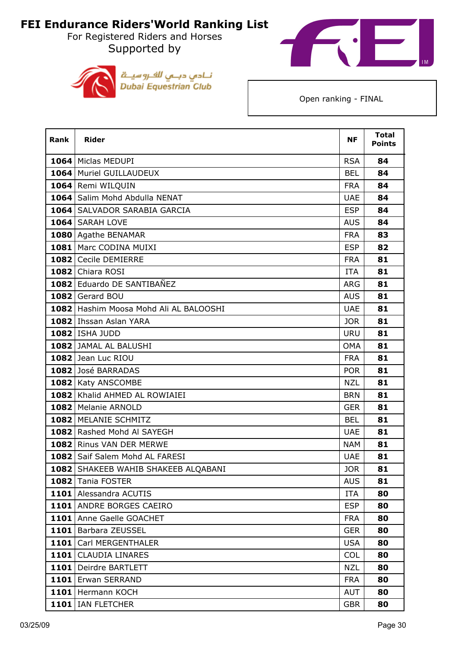For Registered Riders and Horses Supported by





| <b>Rank</b> | <b>Rider</b>                           | <b>NF</b>  | <b>Total</b><br><b>Points</b> |
|-------------|----------------------------------------|------------|-------------------------------|
|             | 1064   Miclas MEDUPI                   | <b>RSA</b> | 84                            |
|             | 1064 Muriel GUILLAUDEUX                | <b>BEL</b> | 84                            |
|             | 1064 Remi WILQUIN                      | <b>FRA</b> | 84                            |
|             | 1064 Salim Mohd Abdulla NENAT          | <b>UAE</b> | 84                            |
|             | 1064 SALVADOR SARABIA GARCIA           | <b>ESP</b> | 84                            |
|             | 1064 SARAH LOVE                        | <b>AUS</b> | 84                            |
|             | 1080 Agathe BENAMAR                    | <b>FRA</b> | 83                            |
|             | 1081 Marc CODINA MUIXI                 | <b>ESP</b> | 82                            |
|             | 1082 Cecile DEMIERRE                   | <b>FRA</b> | 81                            |
|             | 1082 Chiara ROSI                       | <b>ITA</b> | 81                            |
|             | 1082 Eduardo DE SANTIBAÑEZ             | <b>ARG</b> | 81                            |
|             | 1082 Gerard BOU                        | <b>AUS</b> | 81                            |
|             | 1082 Hashim Moosa Mohd Ali AL BALOOSHI | <b>UAE</b> | 81                            |
|             | 1082 Ihssan Aslan YARA                 | <b>JOR</b> | 81                            |
|             | <b>1082   ISHA JUDD</b>                | <b>URU</b> | 81                            |
|             | 1082 JAMAL AL BALUSHI                  | <b>OMA</b> | 81                            |
|             | 1082 Jean Luc RIOU                     | <b>FRA</b> | 81                            |
|             | 1082 José BARRADAS                     | POR        | 81                            |
|             | 1082 Katy ANSCOMBE                     | <b>NZL</b> | 81                            |
|             | 1082 Khalid AHMED AL ROWIAIEI          | <b>BRN</b> | 81                            |
|             | 1082   Melanie ARNOLD                  | <b>GER</b> | 81                            |
|             | 1082 MELANIE SCHMITZ                   | <b>BEL</b> | 81                            |
|             | 1082 Rashed Mohd Al SAYEGH             | <b>UAE</b> | 81                            |
|             | 1082 Rinus VAN DER MERWE               | <b>NAM</b> | 81                            |
|             | 1082 Saif Salem Mohd AL FARESI         | <b>UAE</b> | 81                            |
|             | 1082 SHAKEEB WAHIB SHAKEEB ALQABANI    | <b>JOR</b> | 81                            |
|             | 1082 Tania FOSTER                      | <b>AUS</b> | 81                            |
|             | 1101 Alessandra ACUTIS                 | <b>ITA</b> | 80                            |
|             | 1101 ANDRE BORGES CAEIRO               | <b>ESP</b> | 80                            |
|             | 1101 Anne Gaelle GOACHET               | <b>FRA</b> | 80                            |
|             | 1101 Barbara ZEUSSEL                   | <b>GER</b> | 80                            |
| 1101        | Carl MERGENTHALER                      | <b>USA</b> | 80                            |
|             | 1101   CLAUDIA LINARES                 | <b>COL</b> | 80                            |
|             | 1101 Deirdre BARTLETT                  | <b>NZL</b> | 80                            |
|             | 1101 Erwan SERRAND                     | <b>FRA</b> | 80                            |
|             | 1101 Hermann KOCH                      | AUT        | 80                            |
|             | 1101   IAN FLETCHER                    | <b>GBR</b> | 80                            |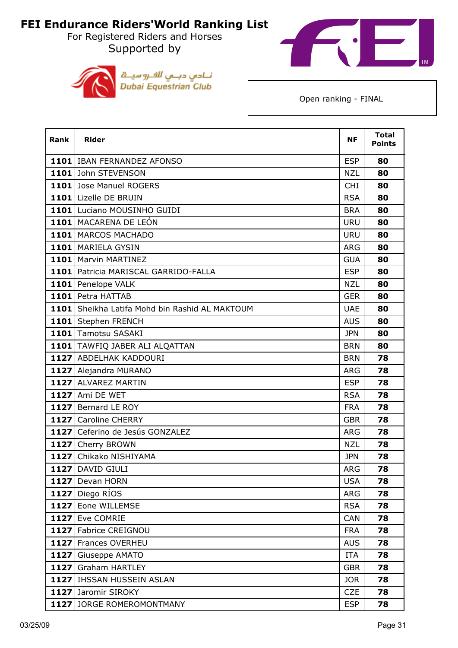For Registered Riders and Horses Supported by





| <b>Rank</b> | <b>Rider</b>                                   | <b>NF</b>  | <b>Total</b><br><b>Points</b> |
|-------------|------------------------------------------------|------------|-------------------------------|
|             | 1101 IBAN FERNANDEZ AFONSO                     | <b>ESP</b> | 80                            |
|             | 1101 John STEVENSON                            | <b>NZL</b> | 80                            |
|             | 1101 Jose Manuel ROGERS                        | <b>CHI</b> | 80                            |
|             | 1101 Lizelle DE BRUIN                          | <b>RSA</b> | 80                            |
|             | 1101 Luciano MOUSINHO GUIDI                    | <b>BRA</b> | 80                            |
|             | 1101   MACARENA DE LEÓN                        | <b>URU</b> | 80                            |
|             | 1101 MARCOS MACHADO                            | <b>URU</b> | 80                            |
|             | 1101 MARIELA GYSIN                             | <b>ARG</b> | 80                            |
|             | 1101   Marvin MARTINEZ                         | <b>GUA</b> | 80                            |
|             | 1101   Patricia MARISCAL GARRIDO-FALLA         | <b>ESP</b> | 80                            |
|             | 1101 Penelope VALK                             | <b>NZL</b> | 80                            |
|             | 1101 Petra HATTAB                              | <b>GER</b> | 80                            |
|             | 1101 Sheikha Latifa Mohd bin Rashid AL MAKTOUM | <b>UAE</b> | 80                            |
|             | 1101 Stephen FRENCH                            | <b>AUS</b> | 80                            |
|             | 1101 Tamotsu SASAKI                            | JPN        | 80                            |
|             | 1101 TAWFIQ JABER ALI ALQATTAN                 | <b>BRN</b> | 80                            |
|             | 1127 ABDELHAK KADDOURI                         | <b>BRN</b> | 78                            |
|             | 1127 Alejandra MURANO                          | ARG        | 78                            |
|             | 1127 ALVAREZ MARTIN                            | <b>ESP</b> | 78                            |
|             | 1127 Ami DE WET                                | <b>RSA</b> | 78                            |
|             | 1127 Bernard LE ROY                            | <b>FRA</b> | 78                            |
|             | 1127 Caroline CHERRY                           | <b>GBR</b> | 78                            |
|             | 1127 Ceferino de Jesús GONZALEZ                | <b>ARG</b> | 78                            |
|             | 1127 Cherry BROWN                              | <b>NZL</b> | 78                            |
|             | 1127 Chikako NISHIYAMA                         | <b>JPN</b> | 78                            |
|             | 1127 DAVID GIULI                               | <b>ARG</b> | 78                            |
|             | 1127 Devan HORN                                | <b>USA</b> | 78                            |
|             | 1127 Diego RÍOS                                | <b>ARG</b> | 78                            |
|             | 1127 Eone WILLEMSE                             | <b>RSA</b> | 78                            |
|             | 1127 Eve COMRIE                                | <b>CAN</b> | 78                            |
|             | 1127 Fabrice CREIGNOU                          | <b>FRA</b> | 78                            |
|             | 1127 Frances OVERHEU                           | <b>AUS</b> | 78                            |
| 1127        | Giuseppe AMATO                                 | <b>ITA</b> | 78                            |
|             | 1127 Graham HARTLEY                            | <b>GBR</b> | 78                            |
|             | 1127 IHSSAN HUSSEIN ASLAN                      | <b>JOR</b> | 78                            |
|             | 1127 Jaromir SIROKY                            | <b>CZE</b> | 78                            |
|             | 1127 JORGE ROMEROMONTMANY                      | <b>ESP</b> | 78                            |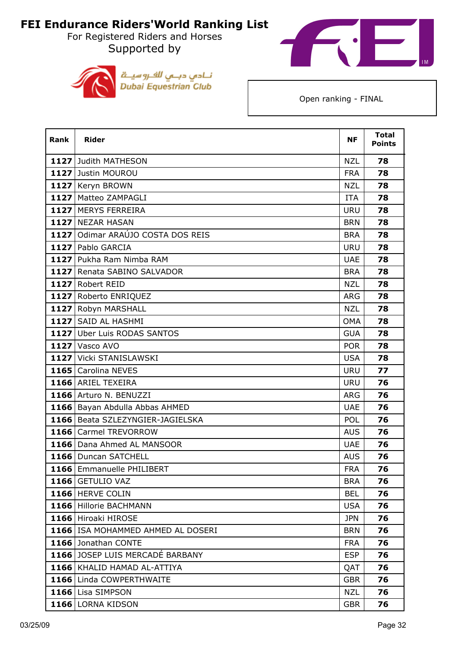For Registered Riders and Horses Supported by





| Rank | <b>Rider</b>                        | <b>NF</b>  | <b>Total</b><br><b>Points</b> |
|------|-------------------------------------|------------|-------------------------------|
|      | 1127 Judith MATHESON                | <b>NZL</b> | 78                            |
|      | 1127 Justin MOUROU                  | <b>FRA</b> | 78                            |
|      | 1127 Keryn BROWN                    | <b>NZL</b> | 78                            |
|      | 1127 Matteo ZAMPAGLI                | <b>ITA</b> | 78                            |
|      | 1127 MERYS FERREIRA                 | <b>URU</b> | 78                            |
|      | 1127 NEZAR HASAN                    | <b>BRN</b> | 78                            |
|      | 1127 Odimar ARAÚJO COSTA DOS REIS   | <b>BRA</b> | 78                            |
|      | 1127 Pablo GARCIA                   | <b>URU</b> | 78                            |
|      | 1127 Pukha Ram Nimba RAM            | <b>UAE</b> | 78                            |
|      | 1127 Renata SABINO SALVADOR         | <b>BRA</b> | 78                            |
|      | 1127 Robert REID                    | <b>NZL</b> | 78                            |
|      | 1127 Roberto ENRIQUEZ               | <b>ARG</b> | 78                            |
|      | 1127 Robyn MARSHALL                 | <b>NZL</b> | 78                            |
|      | 1127 SAID AL HASHMI                 | <b>OMA</b> | 78                            |
|      | 1127 Uber Luis RODAS SANTOS         | <b>GUA</b> | 78                            |
|      | <b>1127 Vasco AVO</b>               | <b>POR</b> | 78                            |
|      | 1127 Vicki STANISLAWSKI             | <b>USA</b> | 78                            |
|      | 1165 Carolina NEVES                 | <b>URU</b> | 77                            |
|      | 1166 ARIEL TEXEIRA                  | <b>URU</b> | 76                            |
|      | 1166 Arturo N. BENUZZI              | <b>ARG</b> | 76                            |
|      | 1166 Bayan Abdulla Abbas AHMED      | <b>UAE</b> | 76                            |
|      | 1166 Beata SZLEZYNGIER-JAGIELSKA    | <b>POL</b> | 76                            |
|      | 1166 Carmel TREVORROW               | <b>AUS</b> | 76                            |
|      | 1166 Dana Ahmed AL MANSOOR          | <b>UAE</b> | 76                            |
|      | 1166 Duncan SATCHELL                | <b>AUS</b> | 76                            |
|      | 1166 Emmanuelle PHILIBERT           | <b>FRA</b> | 76                            |
|      | 1166 GETULIO VAZ                    | <b>BRA</b> | 76                            |
|      | 1166 HERVE COLIN                    | <b>BEL</b> | 76                            |
|      | 1166 Hillorie BACHMANN              | <b>USA</b> | 76                            |
|      | 1166 Hiroaki HIROSE                 | <b>JPN</b> | 76                            |
|      | 1166   ISA MOHAMMED AHMED AL DOSERI | <b>BRN</b> | 76                            |
|      | 1166 Jonathan CONTE                 | <b>FRA</b> | 76                            |
|      | 1166 JOSEP LUIS MERCADÉ BARBANY     | <b>ESP</b> | 76                            |
|      | 1166 KHALID HAMAD AL-ATTIYA         | QAT        | 76                            |
|      | 1166 Linda COWPERTHWAITE            | <b>GBR</b> | 76                            |
|      | 1166 Lisa SIMPSON                   | <b>NZL</b> | 76                            |
|      | 1166 LORNA KIDSON                   | <b>GBR</b> | 76                            |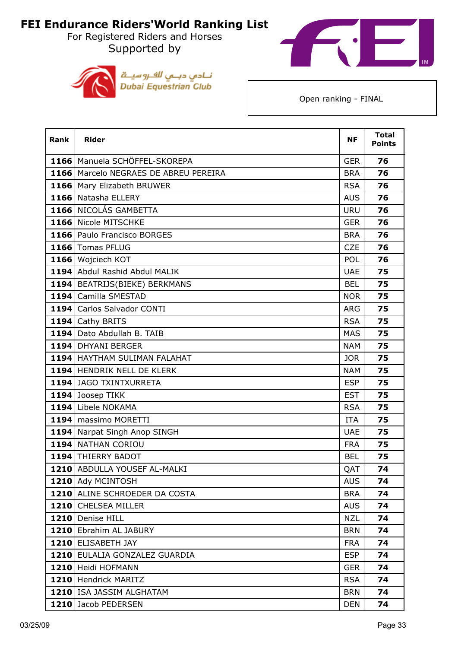For Registered Riders and Horses Supported by





| Rank | <b>Rider</b>                            | <b>NF</b>  | <b>Total</b><br><b>Points</b> |
|------|-----------------------------------------|------------|-------------------------------|
|      | 1166   Manuela SCHÖFFEL-SKOREPA         | <b>GER</b> | 76                            |
|      | 1166   Marcelo NEGRAES DE ABREU PEREIRA | <b>BRA</b> | 76                            |
|      | 1166   Mary Elizabeth BRUWER            | <b>RSA</b> | 76                            |
|      | 1166 Natasha ELLERY                     | <b>AUS</b> | 76                            |
|      | 1166 NICOLÁS GAMBETTA                   | <b>URU</b> | 76                            |
|      | 1166 Nicole MITSCHKE                    | <b>GER</b> | 76                            |
|      | 1166 Paulo Francisco BORGES             | <b>BRA</b> | 76                            |
|      | 1166 Tomas PFLUG                        | <b>CZE</b> | 76                            |
|      | 1166 Wojciech KOT                       | <b>POL</b> | 76                            |
|      | 1194 Abdul Rashid Abdul MALIK           | <b>UAE</b> | 75                            |
|      | 1194   BEATRIJS(BIEKE) BERKMANS         | <b>BEL</b> | 75                            |
|      | 1194 Camilla SMESTAD                    | <b>NOR</b> | 75                            |
|      | 1194 Carlos Salvador CONTI              | <b>ARG</b> | 75                            |
|      | 1194 Cathy BRITS                        | <b>RSA</b> | 75                            |
|      | 1194 Dato Abdullah B. TAIB              | <b>MAS</b> | 75                            |
|      | 1194 DHYANI BERGER                      | <b>NAM</b> | 75                            |
|      | 1194 HAYTHAM SULIMAN FALAHAT            | JOR        | 75                            |
|      | 1194 HENDRIK NELL DE KLERK              | <b>NAM</b> | 75                            |
|      | 1194 JAGO TXINTXURRETA                  | <b>ESP</b> | 75                            |
|      | 1194 Joosep TIKK                        | <b>EST</b> | 75                            |
|      | 1194 Libele NOKAMA                      | <b>RSA</b> | 75                            |
|      | 1194 massimo MORETTI                    | <b>ITA</b> | 75                            |
|      | 1194 Narpat Singh Anop SINGH            | <b>UAE</b> | 75                            |
|      | 1194 NATHAN CORIOU                      | <b>FRA</b> | 75                            |
|      | 1194 THIERRY BADOT                      | <b>BEL</b> | 75                            |
|      | 1210 ABDULLA YOUSEF AL-MALKI            | QAT        | 74                            |
|      | 1210 Ady MCINTOSH                       | <b>AUS</b> | 74                            |
|      | 1210 ALINE SCHROEDER DA COSTA           | <b>BRA</b> | 74                            |
|      | 1210 CHELSEA MILLER                     | <b>AUS</b> | 74                            |
|      | 1210 Denise HILL                        | <b>NZL</b> | 74                            |
|      | 1210 Ebrahim AL JABURY                  | <b>BRN</b> | 74                            |
|      | 1210 ELISABETH JAY                      | <b>FRA</b> | 74                            |
|      | 1210 EULALIA GONZALEZ GUARDIA           | <b>ESP</b> | 74                            |
|      | 1210 Heidi HOFMANN                      | <b>GER</b> | 74                            |
|      | 1210   Hendrick MARITZ                  | <b>RSA</b> | 74                            |
|      | 1210 ISA JASSIM ALGHATAM                | <b>BRN</b> | 74                            |
|      | 1210 Jacob PEDERSEN                     | <b>DEN</b> | 74                            |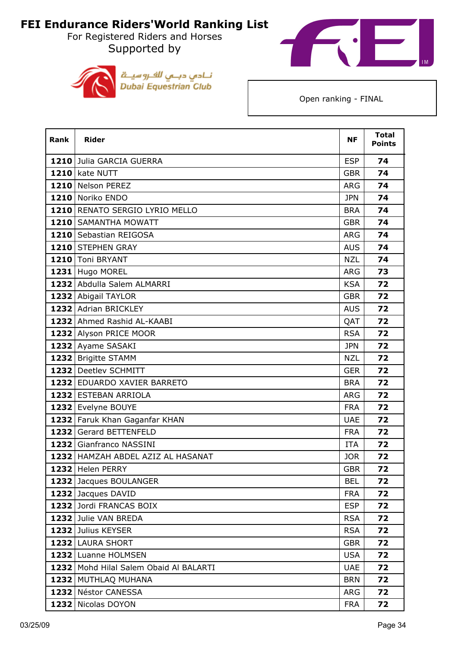For Registered Riders and Horses Supported by





| Rank | <b>Rider</b>                           | <b>NF</b>  | <b>Total</b><br><b>Points</b> |
|------|----------------------------------------|------------|-------------------------------|
|      | 1210 Julia GARCIA GUERRA               | <b>ESP</b> | 74                            |
|      | 1210 kate NUTT                         | <b>GBR</b> | 74                            |
|      | 1210 Nelson PEREZ                      | <b>ARG</b> | 74                            |
|      | 1210 Noriko ENDO                       | <b>JPN</b> | 74                            |
|      | 1210 RENATO SERGIO LYRIO MELLO         | <b>BRA</b> | 74                            |
|      | 1210 SAMANTHA MOWATT                   | <b>GBR</b> | 74                            |
|      | 1210 Sebastian REIGOSA                 | <b>ARG</b> | 74                            |
|      | 1210 STEPHEN GRAY                      | <b>AUS</b> | 74                            |
|      | 1210 Toni BRYANT                       | <b>NZL</b> | 74                            |
|      | 1231 Hugo MOREL                        | <b>ARG</b> | 73                            |
|      | 1232 Abdulla Salem ALMARRI             | <b>KSA</b> | 72                            |
|      | 1232 Abigail TAYLOR                    | <b>GBR</b> | 72                            |
|      | 1232 Adrian BRICKLEY                   | <b>AUS</b> | 72                            |
|      | 1232 Ahmed Rashid AL-KAABI             | QAT        | 72                            |
|      | 1232 Alyson PRICE MOOR                 | <b>RSA</b> | 72                            |
|      | 1232 Ayame SASAKI                      | <b>JPN</b> | 72                            |
|      | 1232 Brigitte STAMM                    | <b>NZL</b> | 72                            |
|      | 1232 Deetlev SCHMITT                   | <b>GER</b> | 72                            |
|      | 1232 EDUARDO XAVIER BARRETO            | <b>BRA</b> | 72                            |
|      | 1232 ESTEBAN ARRIOLA                   | <b>ARG</b> | 72                            |
|      | 1232 Evelyne BOUYE                     | <b>FRA</b> | 72                            |
|      | 1232 Faruk Khan Gaganfar KHAN          | <b>UAE</b> | 72                            |
|      | 1232 Gerard BETTENFELD                 | <b>FRA</b> | 72                            |
|      | 1232 Gianfranco NASSINI                | <b>ITA</b> | 72                            |
|      | 1232 HAMZAH ABDEL AZIZ AL HASANAT      | <b>JOR</b> | 72                            |
|      | 1232 Helen PERRY                       | <b>GBR</b> | 72                            |
|      | 1232 Jacques BOULANGER                 | <b>BEL</b> | 72                            |
|      | 1232 Jacques DAVID                     | <b>FRA</b> | 72                            |
|      | 1232 Jordi FRANCAS BOIX                | <b>ESP</b> | 72                            |
|      | 1232 Julie VAN BREDA                   | <b>RSA</b> | 72                            |
|      | 1232 Julius KEYSER                     | <b>RSA</b> | 72                            |
|      | 1232 LAURA SHORT                       | <b>GBR</b> | 72                            |
|      | 1232 Luanne HOLMSEN                    | <b>USA</b> | 72                            |
|      | 1232 Mohd Hilal Salem Obaid Al BALARTI | <b>UAE</b> | 72                            |
|      | 1232 MUTHLAQ MUHANA                    | <b>BRN</b> | 72                            |
|      | 1232 Néstor CANESSA                    | <b>ARG</b> | 72                            |
|      | 1232 Nicolas DOYON                     | <b>FRA</b> | 72                            |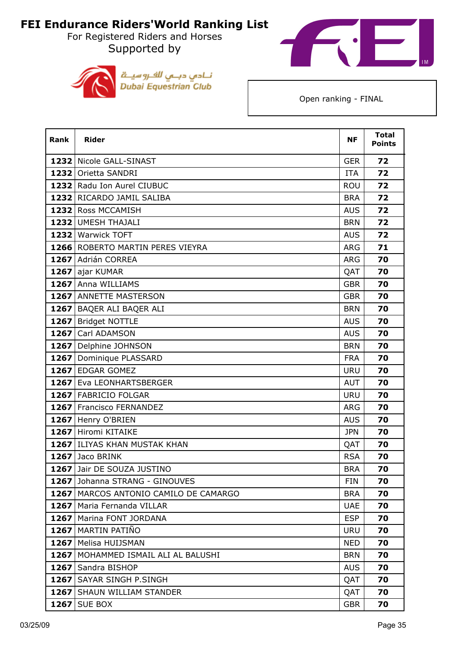For Registered Riders and Horses Supported by





| Rank | <b>Rider</b>                            | ΝF         | <b>Total</b><br><b>Points</b> |
|------|-----------------------------------------|------------|-------------------------------|
|      | 1232 Nicole GALL-SINAST                 | <b>GER</b> | 72                            |
|      | 1232 Orietta SANDRI                     | <b>ITA</b> | 72                            |
|      | 1232 Radu Ion Aurel CIUBUC              | <b>ROU</b> | 72                            |
|      | 1232 RICARDO JAMIL SALIBA               | <b>BRA</b> | 72                            |
|      | 1232 Ross MCCAMISH                      | <b>AUS</b> | 72                            |
|      | 1232 UMESH THAJALI                      | <b>BRN</b> | 72                            |
|      | 1232 Warwick TOFT                       | <b>AUS</b> | 72                            |
|      | 1266 ROBERTO MARTIN PERES VIEYRA        | ARG        | 71                            |
|      | 1267 Adrián CORREA                      | <b>ARG</b> | 70                            |
|      | 1267 ajar KUMAR                         | QAT        | 70                            |
|      | 1267 Anna WILLIAMS                      | <b>GBR</b> | 70                            |
|      | 1267 ANNETTE MASTERSON                  | <b>GBR</b> | 70                            |
|      | 1267 BAQER ALI BAQER ALI                | <b>BRN</b> | 70                            |
| 1267 | <b>Bridget NOTTLE</b>                   | <b>AUS</b> | 70                            |
| 1267 | Carl ADAMSON                            | <b>AUS</b> | 70                            |
|      | 1267 Delphine JOHNSON                   | <b>BRN</b> | 70                            |
|      | 1267 Dominique PLASSARD                 | <b>FRA</b> | 70                            |
|      | 1267 EDGAR GOMEZ                        | <b>URU</b> | 70                            |
|      | 1267 Eva LEONHARTSBERGER                | <b>AUT</b> | 70                            |
|      | 1267 FABRICIO FOLGAR                    | <b>URU</b> | 70                            |
|      | 1267 Francisco FERNANDEZ                | <b>ARG</b> | 70                            |
|      | 1267 Henry O'BRIEN                      | <b>AUS</b> | 70                            |
|      | 1267 Hiromi KITAIKE                     | <b>JPN</b> | 70                            |
|      | 1267 ILIYAS KHAN MUSTAK KHAN            | QAT        | 70                            |
|      | 1267 Jaco BRINK                         | <b>RSA</b> | 70                            |
|      | 1267 Jair DE SOUZA JUSTINO              | <b>BRA</b> | 70                            |
|      | 1267 Johanna STRANG - GINOUVES          | <b>FIN</b> | 70                            |
|      | 1267   MARCOS ANTONIO CAMILO DE CAMARGO | <b>BRA</b> | 70                            |
|      | 1267   Maria Fernanda VILLAR            | <b>UAE</b> | 70                            |
|      | 1267   Marina FONT JORDANA              | <b>ESP</b> | 70                            |
|      | 1267 MARTIN PATIÑO                      | <b>URU</b> | 70                            |
|      | 1267   Melisa HUIJSMAN                  | <b>NED</b> | 70                            |
|      | 1267   MOHAMMED ISMAIL ALI AL BALUSHI   | <b>BRN</b> | 70                            |
|      | 1267 Sandra BISHOP                      | <b>AUS</b> | 70                            |
|      | 1267 SAYAR SINGH P.SINGH                | QAT        | 70                            |
|      | 1267 SHAUN WILLIAM STANDER              | QAT        | 70                            |
|      | <b>1267   SUE BOX</b>                   | <b>GBR</b> | 70                            |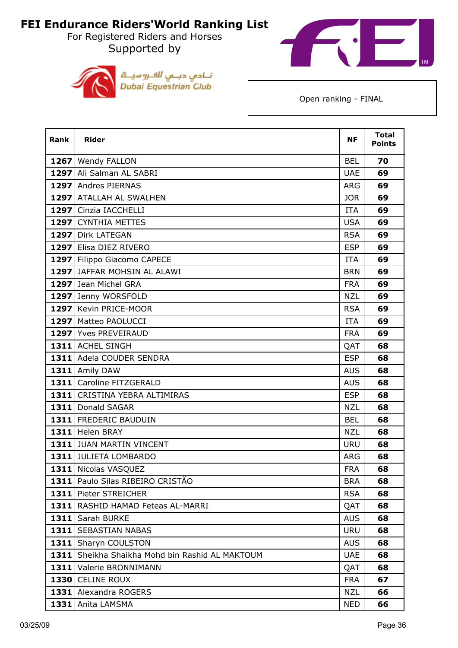For Registered Riders and Horses Supported by





| <b>Rank</b> | <b>Rider</b>                                    | <b>NF</b>  | <b>Total</b><br><b>Points</b> |
|-------------|-------------------------------------------------|------------|-------------------------------|
|             | 1267 Wendy FALLON                               | <b>BEL</b> | 70                            |
|             | 1297 Ali Salman AL SABRI                        | <b>UAE</b> | 69                            |
|             | 1297 Andres PIERNAS                             | <b>ARG</b> | 69                            |
|             | 1297 ATALLAH AL SWALHEN                         | <b>JOR</b> | 69                            |
|             | 1297 Cinzia IACCHELLI                           | <b>ITA</b> | 69                            |
| 1297        | <b>CYNTHIA METTES</b>                           | <b>USA</b> | 69                            |
|             | 1297 Dirk LATEGAN                               | <b>RSA</b> | 69                            |
|             | 1297 Elisa DIEZ RIVERO                          | <b>ESP</b> | 69                            |
| 1297        | Filippo Giacomo CAPECE                          | <b>ITA</b> | 69                            |
|             | 1297 JAFFAR MOHSIN AL ALAWI                     | <b>BRN</b> | 69                            |
|             | 1297 Jean Michel GRA                            | <b>FRA</b> | 69                            |
|             | 1297 Jenny WORSFOLD                             | <b>NZL</b> | 69                            |
|             | 1297 Kevin PRICE-MOOR                           | <b>RSA</b> | 69                            |
|             | 1297 Matteo PAOLUCCI                            | <b>ITA</b> | 69                            |
|             | 1297 Yves PREVEIRAUD                            | <b>FRA</b> | 69                            |
|             | 1311 ACHEL SINGH                                | QAT        | 68                            |
|             | 1311 Adela COUDER SENDRA                        | <b>ESP</b> | 68                            |
|             | 1311 Amily DAW                                  | <b>AUS</b> | 68                            |
|             | 1311 Caroline FITZGERALD                        | <b>AUS</b> | 68                            |
|             | 1311 CRISTINA YEBRA ALTIMIRAS                   | <b>ESP</b> | 68                            |
|             | 1311 Donald SAGAR                               | <b>NZL</b> | 68                            |
|             | 1311 FREDERIC BAUDUIN                           | <b>BEL</b> | 68                            |
|             | 1311 Helen BRAY                                 | <b>NZL</b> | 68                            |
|             | 1311 JUAN MARTIN VINCENT                        | <b>URU</b> | 68                            |
|             | 1311 JULIETA LOMBARDO                           | <b>ARG</b> | 68                            |
|             | 1311 Nicolas VASQUEZ                            | <b>FRA</b> | 68                            |
|             | 1311   Paulo Silas RIBEIRO CRISTÃO              | <b>BRA</b> | 68                            |
|             | 1311 Pieter STREICHER                           | <b>RSA</b> | 68                            |
|             | 1311 RASHID HAMAD Feteas AL-MARRI               | QAT        | 68                            |
|             | 1311 Sarah BURKE                                | <b>AUS</b> | 68                            |
|             | 1311 SEBASTIAN NABAS                            | <b>URU</b> | 68                            |
|             | 1311 Sharyn COULSTON                            | <b>AUS</b> | 68                            |
|             | 1311 Sheikha Shaikha Mohd bin Rashid AL MAKTOUM | <b>UAE</b> | 68                            |
|             | 1311 Valerie BRONNIMANN                         | QAT        | 68                            |
|             | 1330 CELINE ROUX                                | <b>FRA</b> | 67                            |
|             | 1331 Alexandra ROGERS                           | <b>NZL</b> | 66                            |
|             | 1331 Anita LAMSMA                               | <b>NED</b> | 66                            |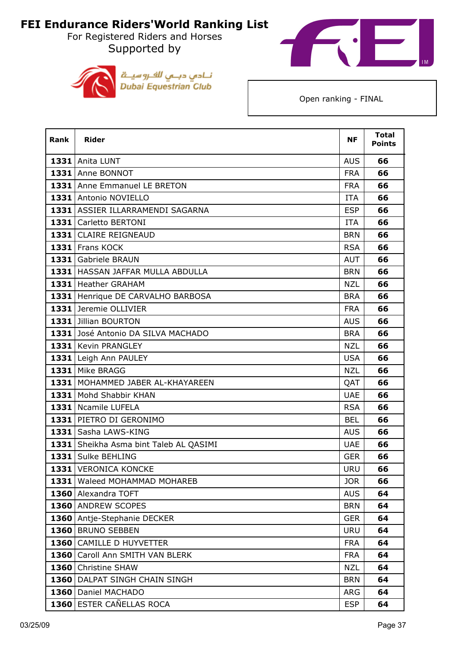For Registered Riders and Horses Supported by





| <b>Rank</b> | <b>Rider</b>                           | <b>NF</b>  | <b>Total</b><br><b>Points</b> |
|-------------|----------------------------------------|------------|-------------------------------|
|             | 1331 Anita LUNT                        | <b>AUS</b> | 66                            |
|             | 1331 Anne BONNOT                       | <b>FRA</b> | 66                            |
|             | 1331 Anne Emmanuel LE BRETON           | <b>FRA</b> | 66                            |
|             | 1331 Antonio NOVIELLO                  | <b>ITA</b> | 66                            |
|             | 1331 ASSIER ILLARRAMENDI SAGARNA       | <b>ESP</b> | 66                            |
| 1331        | Carletto BERTONI                       | <b>ITA</b> | 66                            |
|             | 1331 CLAIRE REIGNEAUD                  | <b>BRN</b> | 66                            |
|             | 1331 Frans KOCK                        | <b>RSA</b> | 66                            |
|             | 1331 Gabriele BRAUN                    | <b>AUT</b> | 66                            |
|             | 1331   HASSAN JAFFAR MULLA ABDULLA     | <b>BRN</b> | 66                            |
|             | 1331 Heather GRAHAM                    | <b>NZL</b> | 66                            |
|             | 1331 Henrique DE CARVALHO BARBOSA      | <b>BRA</b> | 66                            |
|             | 1331 Jeremie OLLIVIER                  | <b>FRA</b> | 66                            |
|             | 1331 Jillian BOURTON                   | <b>AUS</b> | 66                            |
|             | 1331 José Antonio DA SILVA MACHADO     | <b>BRA</b> | 66                            |
|             | 1331 Kevin PRANGLEY                    | <b>NZL</b> | 66                            |
|             | 1331 Leigh Ann PAULEY                  | <b>USA</b> | 66                            |
|             | 1331 Mike BRAGG                        | <b>NZL</b> | 66                            |
|             | 1331 MOHAMMED JABER AL-KHAYAREEN       | QAT        | 66                            |
|             | 1331 Mohd Shabbir KHAN                 | <b>UAE</b> | 66                            |
|             | 1331   Ncamile LUFELA                  | <b>RSA</b> | 66                            |
|             | 1331 PIETRO DI GERONIMO                | <b>BEL</b> | 66                            |
|             | 1331 Sasha LAWS-KING                   | <b>AUS</b> | 66                            |
|             | 1331 Sheikha Asma bint Taleb AL QASIMI | <b>UAE</b> | 66                            |
|             | 1331 Sulke BEHLING                     | <b>GER</b> | 66                            |
|             | 1331 VERONICA KONCKE                   | <b>URU</b> | 66                            |
|             | 1331 Waleed MOHAMMAD MOHAREB           | <b>JOR</b> | 66                            |
|             | 1360 Alexandra TOFT                    | <b>AUS</b> | 64                            |
|             | 1360 ANDREW SCOPES                     | <b>BRN</b> | 64                            |
|             | 1360 Antje-Stephanie DECKER            | <b>GER</b> | 64                            |
|             | 1360 BRUNO SEBBEN                      | <b>URU</b> | 64                            |
|             | 1360 CAMILLE D HUYVETTER               | <b>FRA</b> | 64                            |
|             | 1360 Caroll Ann SMITH VAN BLERK        | <b>FRA</b> | 64                            |
|             | 1360 Christine SHAW                    | <b>NZL</b> | 64                            |
|             | 1360   DALPAT SINGH CHAIN SINGH        | <b>BRN</b> | 64                            |
|             | 1360 Daniel MACHADO                    | ARG        | 64                            |
|             | 1360 ESTER CAÑELLAS ROCA               | <b>ESP</b> | 64                            |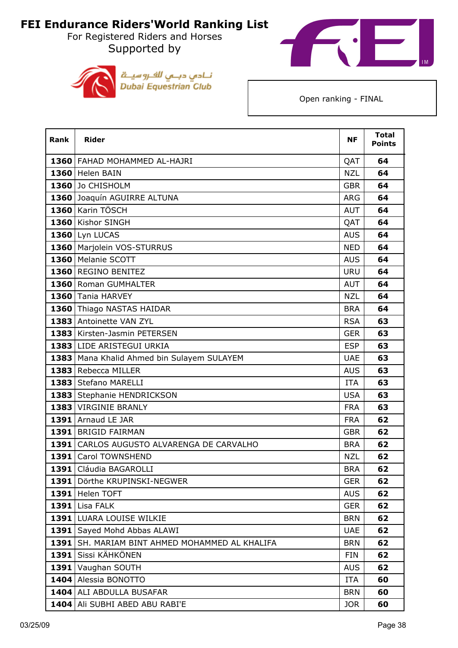For Registered Riders and Horses Supported by





| Rank | <b>Rider</b>                                 | <b>NF</b>  | <b>Total</b><br><b>Points</b> |
|------|----------------------------------------------|------------|-------------------------------|
|      | 1360 FAHAD MOHAMMED AL-HAJRI                 | QAT        | 64                            |
|      | 1360 Helen BAIN                              | <b>NZL</b> | 64                            |
|      | 1360 Jo CHISHOLM                             | <b>GBR</b> | 64                            |
|      | 1360 Joaquín AGUIRRE ALTUNA                  | <b>ARG</b> | 64                            |
|      | 1360 Karin TÖSCH                             | <b>AUT</b> | 64                            |
|      | 1360 Kishor SINGH                            | QAT        | 64                            |
|      | $1360$ Lyn LUCAS                             | <b>AUS</b> | 64                            |
|      | 1360   Marjolein VOS-STURRUS                 | <b>NED</b> | 64                            |
|      | 1360 Melanie SCOTT                           | <b>AUS</b> | 64                            |
|      | 1360 REGINO BENITEZ                          | <b>URU</b> | 64                            |
|      | 1360 Roman GUMHALTER                         | <b>AUT</b> | 64                            |
|      | 1360 Tania HARVEY                            | <b>NZL</b> | 64                            |
|      | 1360 Thiago NASTAS HAIDAR                    | <b>BRA</b> | 64                            |
|      | 1383 Antoinette VAN ZYL                      | <b>RSA</b> | 63                            |
|      | 1383 Kirsten-Jasmin PETERSEN                 | <b>GER</b> | 63                            |
|      | 1383 LIDE ARISTEGUI URKIA                    | <b>ESP</b> | 63                            |
|      | 1383   Mana Khalid Ahmed bin Sulayem SULAYEM | <b>UAE</b> | 63                            |
|      | 1383 Rebecca MILLER                          | <b>AUS</b> | 63                            |
|      | 1383 Stefano MARELLI                         | <b>ITA</b> | 63                            |
|      | 1383 Stephanie HENDRICKSON                   | <b>USA</b> | 63                            |
|      | 1383 VIRGINIE BRANLY                         | <b>FRA</b> | 63                            |
|      | 1391 Arnaud LE JAR                           | <b>FRA</b> | 62                            |
|      | 1391 BRIGID FAIRMAN                          | <b>GBR</b> | 62                            |
|      | 1391 CARLOS AUGUSTO ALVARENGA DE CARVALHO    | <b>BRA</b> | 62                            |
|      | 1391 Carol TOWNSHEND                         | <b>NZL</b> | 62                            |
|      | 1391 Cláudia BAGAROLLI                       | <b>BRA</b> | 62                            |
| 1391 | Dörthe KRUPINSKI-NEGWER                      | <b>GER</b> | 62                            |
|      | 1391 Helen TOFT                              | <b>AUS</b> | 62                            |
| 1391 | Lisa FALK                                    | <b>GER</b> | 62                            |
|      | 1391 LUARA LOUISE WILKIE                     | <b>BRN</b> | 62                            |
|      | 1391 Sayed Mohd Abbas ALAWI                  | <b>UAE</b> | 62                            |
| 1391 | SH. MARIAM BINT AHMED MOHAMMED AL KHALIFA    | <b>BRN</b> | 62                            |
| 1391 | Sissi KÄHKÖNEN                               | <b>FIN</b> | 62                            |
|      | 1391 Vaughan SOUTH                           | <b>AUS</b> | 62                            |
|      | 1404 Alessia BONOTTO                         | <b>ITA</b> | 60                            |
|      | 1404 ALI ABDULLA BUSAFAR                     | <b>BRN</b> | 60                            |
|      | 1404 Ali SUBHI ABED ABU RABI'E               | <b>JOR</b> | 60                            |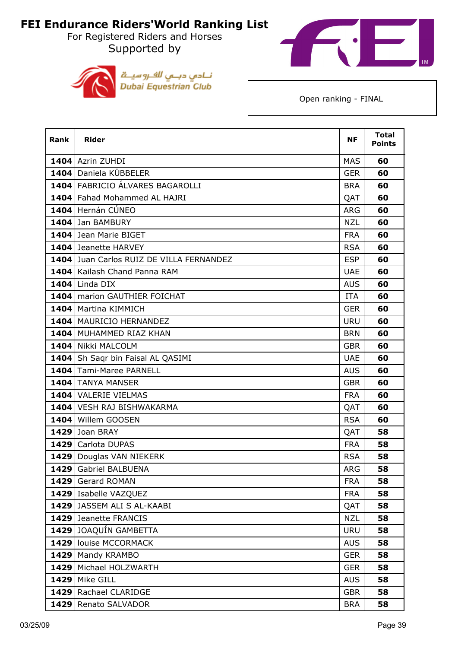For Registered Riders and Horses Supported by





| <b>Rank</b> | <b>Rider</b>                             | <b>NF</b>  | <b>Total</b><br><b>Points</b> |
|-------------|------------------------------------------|------------|-------------------------------|
|             | 1404 Azrin ZUHDI                         | <b>MAS</b> | 60                            |
|             | 1404 Daniela KÜBBELER                    | <b>GER</b> | 60                            |
|             | 1404 FABRICIO ÁLVARES BAGAROLLI          | <b>BRA</b> | 60                            |
|             | 1404 Fahad Mohammed AL HAJRI             | QAT        | 60                            |
|             | 1404 Hernán CÚNEO                        | <b>ARG</b> | 60                            |
|             | 1404 Jan BAMBURY                         | <b>NZL</b> | 60                            |
|             | 1404 Jean Marie BIGET                    | <b>FRA</b> | 60                            |
|             | 1404 Jeanette HARVEY                     | <b>RSA</b> | 60                            |
|             | 1404 Juan Carlos RUIZ DE VILLA FERNANDEZ | <b>ESP</b> | 60                            |
|             | 1404 Kailash Chand Panna RAM             | <b>UAE</b> | 60                            |
|             | 1404 Linda DIX                           | <b>AUS</b> | 60                            |
|             | 1404   marion GAUTHIER FOICHAT           | <b>ITA</b> | 60                            |
|             | 1404   Martina KIMMICH                   | <b>GER</b> | 60                            |
|             | 1404   MAURICIO HERNANDEZ                | <b>URU</b> | 60                            |
|             | 1404 MUHAMMED RIAZ KHAN                  | <b>BRN</b> | 60                            |
|             | 1404 Nikki MALCOLM                       | <b>GBR</b> | 60                            |
|             | 1404 Sh Saqr bin Faisal AL QASIMI        | <b>UAE</b> | 60                            |
|             | 1404 Tami-Maree PARNELL                  | <b>AUS</b> | 60                            |
|             | 1404 TANYA MANSER                        | <b>GBR</b> | 60                            |
|             | 1404 VALERIE VIELMAS                     | <b>FRA</b> | 60                            |
|             | 1404 VESH RAJ BISHWAKARMA                | QAT        | 60                            |
|             | 1404 Willem GOOSEN                       | <b>RSA</b> | 60                            |
|             | 1429 Joan BRAY                           | QAT        | 58                            |
|             | 1429 Carlota DUPAS                       | <b>FRA</b> | 58                            |
|             | 1429 Douglas VAN NIEKERK                 | <b>RSA</b> | 58                            |
|             | 1429 Gabriel BALBUENA                    | <b>ARG</b> | 58                            |
|             | 1429 Gerard ROMAN                        | <b>FRA</b> | 58                            |
|             | 1429 Isabelle VAZQUEZ                    | <b>FRA</b> | 58                            |
|             | 1429 JASSEM ALI S AL-KAABI               | QAT        | 58                            |
|             | 1429 Jeanette FRANCIS                    | <b>NZL</b> | 58                            |
|             | 1429 JOAQUÍN GAMBETTA                    | <b>URU</b> | 58                            |
|             | 1429 louise MCCORMACK                    | <b>AUS</b> | 58                            |
|             | 1429   Mandy KRAMBO                      | <b>GER</b> | 58                            |
|             | 1429   Michael HOLZWARTH                 | <b>GER</b> | 58                            |
|             | <b>1429</b> Mike GILL                    | <b>AUS</b> | 58                            |
|             | 1429 Rachael CLARIDGE                    | <b>GBR</b> | 58                            |
|             | 1429 Renato SALVADOR                     | <b>BRA</b> | 58                            |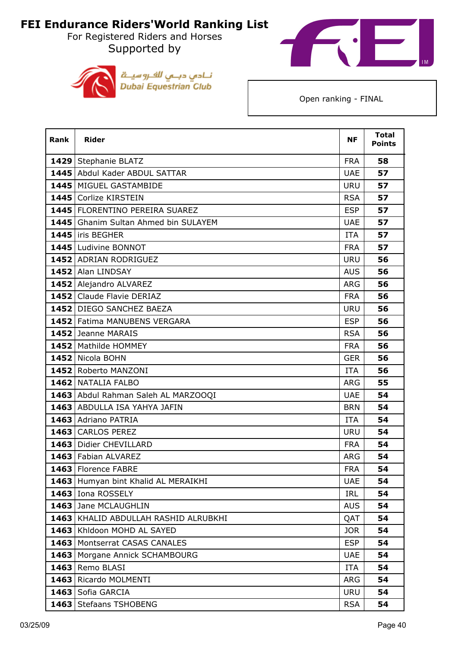For Registered Riders and Horses Supported by





| <b>Rank</b> | <b>Rider</b>                         | <b>NF</b>  | <b>Total</b><br><b>Points</b> |
|-------------|--------------------------------------|------------|-------------------------------|
|             | 1429 Stephanie BLATZ                 | <b>FRA</b> | 58                            |
|             | 1445 Abdul Kader ABDUL SATTAR        | <b>UAE</b> | 57                            |
|             | 1445   MIGUEL GASTAMBIDE             | <b>URU</b> | 57                            |
|             | 1445 Corlize KIRSTEIN                | <b>RSA</b> | 57                            |
|             | 1445   FLORENTINO PEREIRA SUAREZ     | <b>ESP</b> | 57                            |
|             | 1445 Ghanim Sultan Ahmed bin SULAYEM | <b>UAE</b> | 57                            |
|             | 1445 liris BEGHER                    | <b>ITA</b> | 57                            |
|             | 1445 Ludivine BONNOT                 | <b>FRA</b> | 57                            |
|             | 1452 ADRIAN RODRIGUEZ                | <b>URU</b> | 56                            |
|             | 1452 Alan LINDSAY                    | <b>AUS</b> | 56                            |
|             | 1452 Alejandro ALVAREZ               | <b>ARG</b> | 56                            |
|             | 1452 Claude Flavie DERIAZ            | <b>FRA</b> | 56                            |
|             | 1452 DIEGO SANCHEZ BAEZA             | <b>URU</b> | 56                            |
|             | 1452 Fatima MANUBENS VERGARA         | <b>ESP</b> | 56                            |
|             | 1452 Jeanne MARAIS                   | <b>RSA</b> | 56                            |
|             | 1452   Mathilde HOMMEY               | <b>FRA</b> | 56                            |
|             | 1452 Nicola BOHN                     | <b>GER</b> | 56                            |
|             | 1452 Roberto MANZONI                 | <b>ITA</b> | 56                            |
|             | 1462 NATALIA FALBO                   | <b>ARG</b> | 55                            |
|             | 1463 Abdul Rahman Saleh AL MARZOOQI  | <b>UAE</b> | 54                            |
|             | 1463 ABDULLA ISA YAHYA JAFIN         | <b>BRN</b> | 54                            |
|             | 1463 Adriano PATRIA                  | <b>ITA</b> | 54                            |
|             | 1463 CARLOS PEREZ                    | <b>URU</b> | 54                            |
|             | 1463   Didier CHEVILLARD             | <b>FRA</b> | 54                            |
|             | 1463 Fabian ALVAREZ                  | <b>ARG</b> | 54                            |
|             | 1463 Florence FABRE                  | <b>FRA</b> | 54                            |
|             | 1463 Humyan bint Khalid AL MERAIKHI  | <b>UAE</b> | 54                            |
|             | 1463 Iona ROSSELY                    | IRL        | 54                            |
|             | 1463 Jane MCLAUGHLIN                 | <b>AUS</b> | 54                            |
|             | 1463 KHALID ABDULLAH RASHID ALRUBKHI | QAT        | 54                            |
|             | 1463 Khldoon MOHD AL SAYED           | <b>JOR</b> | 54                            |
|             | 1463 Montserrat CASAS CANALES        | <b>ESP</b> | 54                            |
| 1463        | Morgane Annick SCHAMBOURG            | <b>UAE</b> | 54                            |
|             | 1463 Remo BLASI                      | ITA        | 54                            |
|             | 1463 Ricardo MOLMENTI                | <b>ARG</b> | 54                            |
|             | 1463 Sofia GARCIA                    | <b>URU</b> | 54                            |
|             | 1463 Stefaans TSHOBENG               | <b>RSA</b> | 54                            |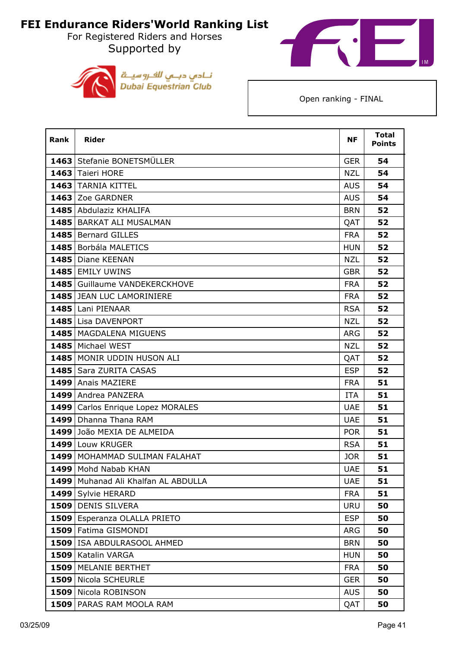For Registered Riders and Horses Supported by





| Rank | <b>Rider</b>                    | <b>NF</b>  | <b>Total</b><br><b>Points</b> |
|------|---------------------------------|------------|-------------------------------|
|      | 1463 Stefanie BONETSMÜLLER      | <b>GER</b> | 54                            |
|      | 1463 Taieri HORE                | <b>NZL</b> | 54                            |
|      | 1463 TARNIA KITTEL              | <b>AUS</b> | 54                            |
|      | 1463 Zoe GARDNER                | <b>AUS</b> | 54                            |
|      | 1485 Abdulaziz KHALIFA          | <b>BRN</b> | 52                            |
|      | 1485   BARKAT ALI MUSALMAN      | QAT        | 52                            |
|      | 1485 Bernard GILLES             | <b>FRA</b> | 52                            |
|      | 1485 Borbála MALETICS           | <b>HUN</b> | 52                            |
|      | 1485   Diane KEENAN             | <b>NZL</b> | 52                            |
|      | 1485 EMILY UWINS                | <b>GBR</b> | 52                            |
|      | 1485 Guillaume VANDEKERCKHOVE   | <b>FRA</b> | 52                            |
|      | 1485 JEAN LUC LAMORINIERE       | <b>FRA</b> | 52                            |
|      | 1485 Lani PIENAAR               | <b>RSA</b> | 52                            |
|      | 1485 Lisa DAVENPORT             | <b>NZL</b> | 52                            |
|      | 1485   MAGDALENA MIGUENS        | <b>ARG</b> | 52                            |
|      | 1485 Michael WEST               | <b>NZL</b> | 52                            |
|      | 1485 MONIR UDDIN HUSON ALI      | QAT        | 52                            |
|      | 1485 Sara ZURITA CASAS          | <b>ESP</b> | 52                            |
|      | 1499 Anais MAZIERE              | <b>FRA</b> | 51                            |
|      | 1499 Andrea PANZERA             | <b>ITA</b> | 51                            |
| 1499 | Carlos Enrique Lopez MORALES    | <b>UAE</b> | 51                            |
|      | 1499   Dhanna Thana RAM         | <b>UAE</b> | 51                            |
|      | 1499 João MEXIA DE ALMEIDA      | <b>POR</b> | 51                            |
|      | 1499 Louw KRUGER                | <b>RSA</b> | 51                            |
|      | 1499   MOHAMMAD SULIMAN FALAHAT | <b>JOR</b> | 51                            |
|      | 1499 Mohd Nabab KHAN            | <b>UAE</b> | 51                            |
| 1499 | Muhanad Ali Khalfan AL ABDULLA  | <b>UAE</b> | 51                            |
|      | 1499 Sylvie HERARD              | <b>FRA</b> | 51                            |
|      | 1509 DENIS SILVERA              | <b>URU</b> | 50                            |
|      | 1509 Esperanza OLALLA PRIETO    | <b>ESP</b> | 50                            |
|      | 1509 Fatima GISMONDI            | <b>ARG</b> | 50                            |
|      | 1509 ISA ABDULRASOOL AHMED      | <b>BRN</b> | 50                            |
|      | 1509 Katalin VARGA              | <b>HUN</b> | 50                            |
|      | 1509   MELANIE BERTHET          | <b>FRA</b> | 50                            |
|      | 1509 Nicola SCHEURLE            | <b>GER</b> | 50                            |
|      | 1509 Nicola ROBINSON            | <b>AUS</b> | 50                            |
|      | 1509 PARAS RAM MOOLA RAM        | QAT        | 50                            |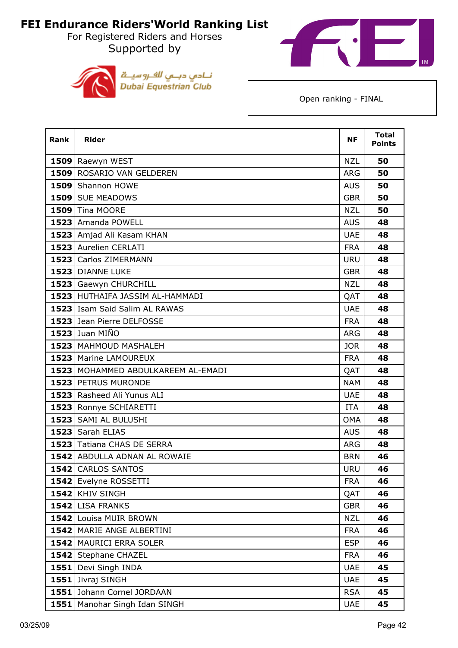For Registered Riders and Horses Supported by





| <b>Rank</b> | <b>Rider</b>                         | <b>NF</b>  | <b>Total</b><br><b>Points</b> |
|-------------|--------------------------------------|------------|-------------------------------|
|             | 1509 Raewyn WEST                     | <b>NZL</b> | 50                            |
|             | 1509 ROSARIO VAN GELDEREN            | <b>ARG</b> | 50                            |
|             | 1509 Shannon HOWE                    | <b>AUS</b> | 50                            |
|             | 1509 SUE MEADOWS                     | <b>GBR</b> | 50                            |
|             | 1509 Tina MOORE                      | <b>NZL</b> | 50                            |
|             | 1523 Amanda POWELL                   | <b>AUS</b> | 48                            |
|             | 1523 Amjad Ali Kasam KHAN            | <b>UAE</b> | 48                            |
|             | 1523 Aurelien CERLATI                | <b>FRA</b> | 48                            |
|             | 1523 Carlos ZIMERMANN                | <b>URU</b> | 48                            |
|             | 1523 DIANNE LUKE                     | <b>GBR</b> | 48                            |
|             | 1523 Gaewyn CHURCHILL                | <b>NZL</b> | 48                            |
|             | 1523 HUTHAIFA JASSIM AL-HAMMADI      | QAT        | 48                            |
|             | 1523 Isam Said Salim AL RAWAS        | <b>UAE</b> | 48                            |
|             | 1523 Jean Pierre DELFOSSE            | <b>FRA</b> | 48                            |
|             | <b>1523 Juan MIÑO</b>                | <b>ARG</b> | 48                            |
|             | 1523   MAHMOUD MASHALEH              | <b>JOR</b> | 48                            |
|             | 1523 Marine LAMOUREUX                | <b>FRA</b> | 48                            |
|             | 1523   MOHAMMED ABDULKAREEM AL-EMADI | QAT        | 48                            |
|             | 1523 PETRUS MURONDE                  | <b>NAM</b> | 48                            |
|             | 1523 Rasheed Ali Yunus ALI           | <b>UAE</b> | 48                            |
|             | 1523 Ronnye SCHIARETTI               | ITA        | 48                            |
|             | 1523 SAMI AL BULUSHI                 | <b>OMA</b> | 48                            |
|             | 1523 Sarah ELIAS                     | <b>AUS</b> | 48                            |
|             | 1523 Tatiana CHAS DE SERRA           | <b>ARG</b> | 48                            |
|             | 1542 ABDULLA ADNAN AL ROWAIE         | <b>BRN</b> | 46                            |
|             | 1542 CARLOS SANTOS                   | <b>URU</b> | 46                            |
|             | 1542 Evelyne ROSSETTI                | <b>FRA</b> | 46                            |
|             | 1542 KHIV SINGH                      | QAT        | 46                            |
|             | 1542 LISA FRANKS                     | <b>GBR</b> | 46                            |
|             | 1542 Louisa MUIR BROWN               | <b>NZL</b> | 46                            |
|             | 1542 MARIE ANGE ALBERTINI            | <b>FRA</b> | 46                            |
|             | 1542 MAURICI ERRA SOLER              | <b>ESP</b> | 46                            |
|             | 1542 Stephane CHAZEL                 | <b>FRA</b> | 46                            |
|             | 1551 Devi Singh INDA                 | <b>UAE</b> | 45                            |
|             | 1551 Jivraj SINGH                    | <b>UAE</b> | 45                            |
|             | 1551 Johann Cornel JORDAAN           | <b>RSA</b> | 45                            |
| 1551        | Manohar Singh Idan SINGH             | <b>UAE</b> | 45                            |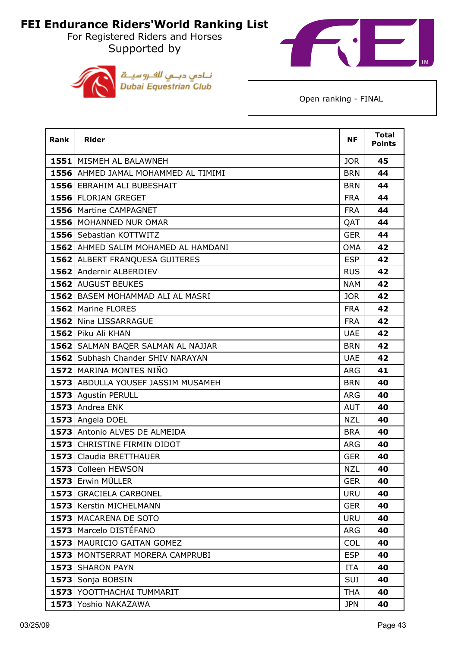For Registered Riders and Horses Supported by





| Rank | <b>Rider</b>                        | ΝF         | <b>Total</b><br><b>Points</b> |
|------|-------------------------------------|------------|-------------------------------|
|      | 1551 MISMEH AL BALAWNEH             | <b>JOR</b> | 45                            |
|      | 1556 AHMED JAMAL MOHAMMED AL TIMIMI | <b>BRN</b> | 44                            |
|      | 1556 EBRAHIM ALI BUBESHAIT          | <b>BRN</b> | 44                            |
|      | 1556 FLORIAN GREGET                 | <b>FRA</b> | 44                            |
|      | <b>1556</b> Martine CAMPAGNET       | <b>FRA</b> | 44                            |
|      | 1556 MOHANNED NUR OMAR              | QAT        | 44                            |
|      | 1556 Sebastian KOTTWITZ             | <b>GER</b> | 44                            |
|      | 1562 AHMED SALIM MOHAMED AL HAMDANI | <b>OMA</b> | 42                            |
|      | 1562 ALBERT FRANQUESA GUITERES      | <b>ESP</b> | 42                            |
|      | 1562 Andernir ALBERDIEV             | <b>RUS</b> | 42                            |
|      | 1562 AUGUST BEUKES                  | <b>NAM</b> | 42                            |
|      | 1562 BASEM MOHAMMAD ALI AL MASRI    | <b>JOR</b> | 42                            |
|      | 1562 Marine FLORES                  | <b>FRA</b> | 42                            |
|      | 1562 Nina LISSARRAGUE               | <b>FRA</b> | 42                            |
|      | 1562 Piku Ali KHAN                  | <b>UAE</b> | 42                            |
|      | 1562 SALMAN BAQER SALMAN AL NAJJAR  | <b>BRN</b> | 42                            |
|      | 1562 Subhash Chander SHIV NARAYAN   | <b>UAE</b> | 42                            |
|      | 1572 MARINA MONTES NIÑO             | ARG        | 41                            |
|      | 1573 ABDULLA YOUSEF JASSIM MUSAMEH  | <b>BRN</b> | 40                            |
|      | 1573 Agustín PERULL                 | <b>ARG</b> | 40                            |
|      | 1573 Andrea ENK                     | <b>AUT</b> | 40                            |
|      | 1573 Angela DOEL                    | <b>NZL</b> | 40                            |
|      | 1573 Antonio ALVES DE ALMEIDA       | <b>BRA</b> | 40                            |
|      | 1573 CHRISTINE FIRMIN DIDOT         | <b>ARG</b> | 40                            |
|      | 1573 Claudia BRETTHAUER             | <b>GER</b> | 40                            |
|      | 1573 Colleen HEWSON                 | <b>NZL</b> | 40                            |
|      | 1573 Erwin MÜLLER                   | <b>GER</b> | 40                            |
|      | 1573 GRACIELA CARBONEL              | <b>URU</b> | 40                            |
|      | 1573   Kerstin MICHELMANN           | <b>GER</b> | 40                            |
|      | 1573 MACARENA DE SOTO               | <b>URU</b> | 40                            |
|      | 1573 Marcelo DISTÉFANO              | <b>ARG</b> | 40                            |
|      | 1573   MAURICIO GAITAN GOMEZ        | <b>COL</b> | 40                            |
|      | 1573   MONTSERRAT MORERA CAMPRUBI   | <b>ESP</b> | 40                            |
|      | 1573 SHARON PAYN                    | <b>ITA</b> | 40                            |
| 1573 | Sonja BOBSIN                        | <b>SUI</b> | 40                            |
|      | 1573 YOOTTHACHAI TUMMARIT           | <b>THA</b> | 40                            |
|      | 1573 Yoshio NAKAZAWA                | <b>JPN</b> | 40                            |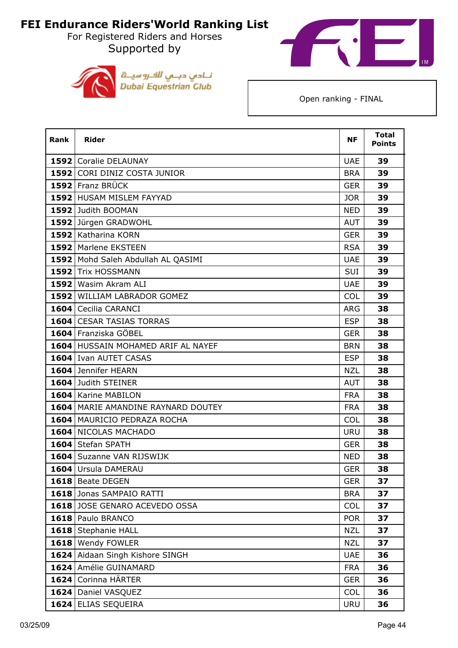For Registered Riders and Horses Supported by





| <b>Rank</b> | <b>Rider</b>                         | <b>NF</b>  | <b>Total</b><br><b>Points</b> |
|-------------|--------------------------------------|------------|-------------------------------|
|             | 1592 Coralie DELAUNAY                | <b>UAE</b> | 39                            |
|             | 1592 CORI DINIZ COSTA JUNIOR         | <b>BRA</b> | 39                            |
|             | 1592 Franz BRÜCK                     | <b>GER</b> | 39                            |
|             | 1592 HUSAM MISLEM FAYYAD             | <b>JOR</b> | 39                            |
|             | 1592 Judith BOOMAN                   | <b>NED</b> | 39                            |
|             | 1592 Jürgen GRADWOHL                 | <b>AUT</b> | 39                            |
|             | 1592 Katharina KORN                  | <b>GER</b> | 39                            |
|             | 1592 Marlene EKSTEEN                 | <b>RSA</b> | 39                            |
|             | 1592 Mohd Saleh Abdullah AL QASIMI   | <b>UAE</b> | 39                            |
|             | 1592 Trix HOSSMANN                   | <b>SUI</b> | 39                            |
|             | 1592 Wasim Akram ALI                 | <b>UAE</b> | 39                            |
|             | 1592 WILLIAM LABRADOR GOMEZ          | <b>COL</b> | 39                            |
|             | 1604 Cecilia CARANCI                 | <b>ARG</b> | 38                            |
|             | 1604 CESAR TASIAS TORRAS             | <b>ESP</b> | 38                            |
|             | 1604 Franziska GÖBEL                 | <b>GER</b> | 38                            |
|             | 1604 HUSSAIN MOHAMED ARIF AL NAYEF   | <b>BRN</b> | 38                            |
|             | 1604 Ivan AUTET CASAS                | <b>ESP</b> | 38                            |
|             | 1604 Jennifer HEARN                  | NZL        | 38                            |
|             | 1604 Judith STEINER                  | <b>AUT</b> | 38                            |
|             | 1604 Karine MABILON                  | <b>FRA</b> | 38                            |
|             | 1604   MARIE AMANDINE RAYNARD DOUTEY | <b>FRA</b> | 38                            |
|             | 1604   MAURICIO PEDRAZA ROCHA        | <b>COL</b> | 38                            |
|             | 1604 NICOLAS MACHADO                 | <b>URU</b> | 38                            |
|             | 1604 Stefan SPATH                    | <b>GER</b> | 38                            |
|             | 1604 Suzanne VAN RIJSWIJK            | <b>NED</b> | 38                            |
|             | 1604 Ursula DAMERAU                  | <b>GER</b> | 38                            |
|             | 1618 Beate DEGEN                     | <b>GER</b> | 37                            |
|             | 1618 Jonas SAMPAIO RATTI             | <b>BRA</b> | 37                            |
|             | 1618 JOSE GENARO ACEVEDO OSSA        | COL        | 37                            |
|             | 1618 Paulo BRANCO                    | <b>POR</b> | 37                            |
|             | 1618 Stephanie HALL                  | <b>NZL</b> | 37                            |
|             | 1618 Wendy FOWLER                    | <b>NZL</b> | 37                            |
|             | 1624 Aidaan Singh Kishore SINGH      | <b>UAE</b> | 36                            |
|             | 1624 Amélie GUINAMARD                | <b>FRA</b> | 36                            |
|             | 1624 Corinna HÄRTER                  | <b>GER</b> | 36                            |
|             | 1624 Daniel VASQUEZ                  | <b>COL</b> | 36                            |
|             | 1624 ELIAS SEQUEIRA                  | <b>URU</b> | 36                            |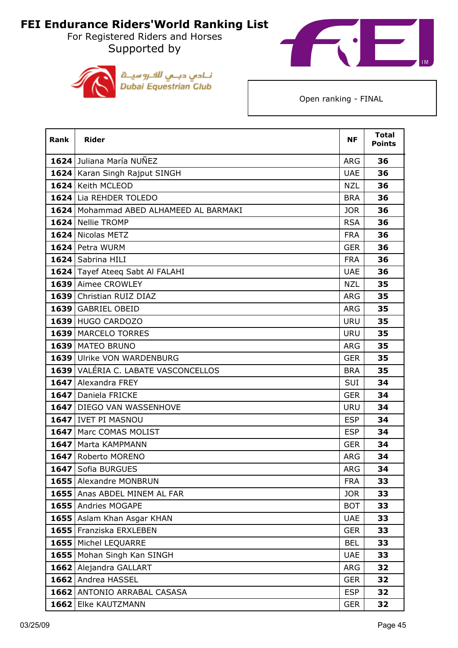For Registered Riders and Horses Supported by





| <b>Rank</b> | <b>Rider</b>                           | <b>NF</b>  | <b>Total</b><br><b>Points</b> |
|-------------|----------------------------------------|------------|-------------------------------|
|             | 1624 Juliana María NUÑEZ               | <b>ARG</b> | 36                            |
|             | 1624 Karan Singh Rajput SINGH          | <b>UAE</b> | 36                            |
|             | 1624 Keith MCLEOD                      | <b>NZL</b> | 36                            |
|             | 1624 Lia REHDER TOLEDO                 | <b>BRA</b> | 36                            |
|             | 1624 Mohammad ABED ALHAMEED AL BARMAKI | <b>JOR</b> | 36                            |
|             | 1624 Nellie TROMP                      | <b>RSA</b> | 36                            |
|             | 1624 Nicolas METZ                      | <b>FRA</b> | 36                            |
|             | 1624 Petra WURM                        | <b>GER</b> | 36                            |
|             | 1624 Sabrina HILI                      | <b>FRA</b> | 36                            |
|             | 1624 Tayef Ateeq Sabt Al FALAHI        | <b>UAE</b> | 36                            |
|             | 1639 Aimee CROWLEY                     | <b>NZL</b> | 35                            |
|             | 1639 Christian RUIZ DIAZ               | <b>ARG</b> | 35                            |
|             | 1639 GABRIEL OBEID                     | <b>ARG</b> | 35                            |
|             | 1639 HUGO CARDOZO                      | <b>URU</b> | 35                            |
|             | 1639   MARCELO TORRES                  | <b>URU</b> | 35                            |
|             | 1639   MATEO BRUNO                     | <b>ARG</b> | 35                            |
|             | 1639 Ulrike VON WARDENBURG             | <b>GER</b> | 35                            |
|             | 1639 VALÉRIA C. LABATE VASCONCELLOS    | <b>BRA</b> | 35                            |
|             | 1647 Alexandra FREY                    | <b>SUI</b> | 34                            |
|             | 1647 Daniela FRICKE                    | <b>GER</b> | 34                            |
|             | 1647 DIEGO VAN WASSENHOVE              | <b>URU</b> | 34                            |
|             | 1647 IVET PI MASNOU                    | <b>ESP</b> | 34                            |
|             | 1647 Marc COMAS MOLIST                 | <b>ESP</b> | 34                            |
|             | 1647   Marta KAMPMANN                  | <b>GER</b> | 34                            |
|             | 1647 Roberto MORENO                    | <b>ARG</b> | 34                            |
|             | 1647 Sofia BURGUES                     | <b>ARG</b> | 34                            |
|             | 1655 Alexandre MONBRUN                 | <b>FRA</b> | 33                            |
|             | 1655 Anas ABDEL MINEM AL FAR           | <b>JOR</b> | 33                            |
|             | 1655 Andries MOGAPE                    | <b>BOT</b> | 33                            |
|             | 1655 Aslam Khan Asgar KHAN             | <b>UAE</b> | 33                            |
|             | 1655 Franziska ERXLEBEN                | <b>GER</b> | 33                            |
|             | 1655 Michel LEQUARRE                   | <b>BEL</b> | 33                            |
|             | 1655   Mohan Singh Kan SINGH           | <b>UAE</b> | 33                            |
|             | 1662 Alejandra GALLART                 | ARG        | 32                            |
|             | 1662 Andrea HASSEL                     | <b>GER</b> | 32                            |
|             | 1662 ANTONIO ARRABAL CASASA            | <b>ESP</b> | 32                            |
|             | 1662 Elke KAUTZMANN                    | <b>GER</b> | 32                            |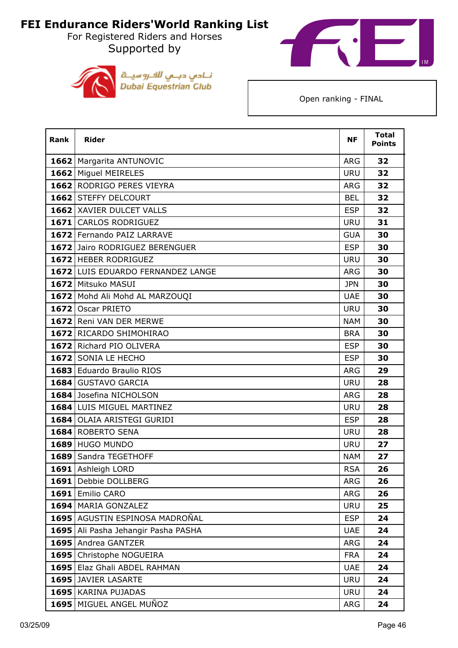For Registered Riders and Horses Supported by





| <b>Rank</b> | <b>Rider</b>                        | <b>NF</b>  | <b>Total</b><br><b>Points</b> |
|-------------|-------------------------------------|------------|-------------------------------|
|             | 1662   Margarita ANTUNOVIC          | <b>ARG</b> | 32                            |
|             | 1662 Miguel MEIRELES                | <b>URU</b> | 32                            |
|             | 1662 RODRIGO PERES VIEYRA           | ARG        | 32                            |
|             | 1662 STEFFY DELCOURT                | <b>BEL</b> | 32                            |
|             | 1662 XAVIER DULCET VALLS            | <b>ESP</b> | 32                            |
|             | 1671 CARLOS RODRIGUEZ               | <b>URU</b> | 31                            |
|             | 1672 Fernando PAIZ LARRAVE          | <b>GUA</b> | 30                            |
|             | 1672 Jairo RODRIGUEZ BERENGUER      | <b>ESP</b> | 30                            |
|             | 1672 HEBER RODRIGUEZ                | <b>URU</b> | 30                            |
|             | 1672 LUIS EDUARDO FERNANDEZ LANGE   | <b>ARG</b> | 30                            |
|             | 1672 Mitsuko MASUI                  | <b>JPN</b> | 30                            |
|             | 1672 Mohd Ali Mohd AL MARZOUQI      | <b>UAE</b> | 30                            |
|             | 1672 Oscar PRIETO                   | <b>URU</b> | 30                            |
|             | 1672 Reni VAN DER MERWE             | <b>NAM</b> | 30                            |
|             | 1672 RICARDO SHIMOHIRAO             | <b>BRA</b> | 30                            |
|             | 1672 Richard PIO OLIVERA            | <b>ESP</b> | 30                            |
|             | 1672 SONIA LE HECHO                 | <b>ESP</b> | 30                            |
|             | 1683 Eduardo Braulio RIOS           | <b>ARG</b> | 29                            |
|             | 1684 GUSTAVO GARCIA                 | <b>URU</b> | 28                            |
|             | 1684 Josefina NICHOLSON             | <b>ARG</b> | 28                            |
|             | 1684 LUIS MIGUEL MARTINEZ           | <b>URU</b> | 28                            |
|             | 1684 OLAIA ARISTEGI GURIDI          | <b>ESP</b> | 28                            |
|             | 1684 ROBERTO SENA                   | <b>URU</b> | 28                            |
|             | 1689 HUGO MUNDO                     | <b>URU</b> | 27                            |
|             | 1689 Sandra TEGETHOFF               | <b>NAM</b> | 27                            |
|             | 1691 Ashleigh LORD                  | <b>RSA</b> | 26                            |
| 1691        | Debbie DOLLBERG                     | <b>ARG</b> | 26                            |
|             | 1691 Emilio CARO                    | <b>ARG</b> | 26                            |
|             | 1694 MARIA GONZALEZ                 | <b>URU</b> | 25                            |
|             | 1695 AGUSTIN ESPINOSA MADROÑAL      | <b>ESP</b> | 24                            |
|             | 1695 Ali Pasha Jehangir Pasha PASHA | <b>UAE</b> | 24                            |
|             | 1695 Andrea GANTZER                 | <b>ARG</b> | 24                            |
|             | 1695 Christophe NOGUEIRA            | <b>FRA</b> | 24                            |
|             | 1695 Elaz Ghali ABDEL RAHMAN        | <b>UAE</b> | 24                            |
|             | 1695 JAVIER LASARTE                 | <b>URU</b> | 24                            |
|             | 1695 KARINA PUJADAS                 | <b>URU</b> | 24                            |
|             | 1695   MIGUEL ANGEL MUÑOZ           | ARG        | 24                            |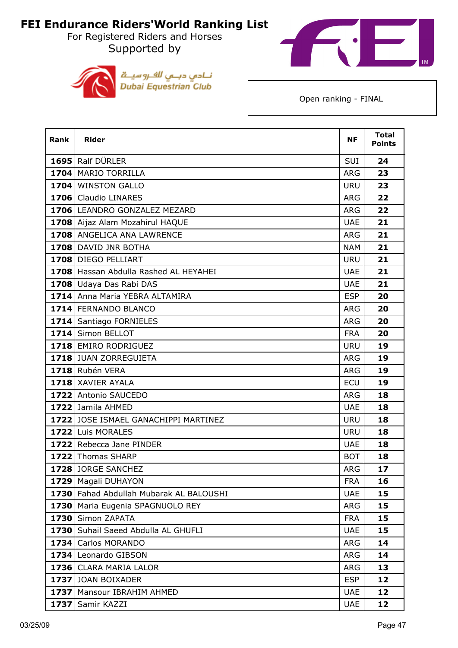For Registered Riders and Horses Supported by





| <b>Rank</b> | <b>Rider</b>                          | <b>NF</b>  | <b>Total</b><br><b>Points</b> |
|-------------|---------------------------------------|------------|-------------------------------|
|             | 1695 Ralf DÜRLER                      | SUI        | 24                            |
|             | 1704 MARIO TORRILLA                   | <b>ARG</b> | 23                            |
|             | 1704 WINSTON GALLO                    | <b>URU</b> | 23                            |
|             | 1706 Claudio LINARES                  | <b>ARG</b> | 22                            |
|             | 1706 LEANDRO GONZALEZ MEZARD          | <b>ARG</b> | 22                            |
|             | 1708 Aijaz Alam Mozahirul HAQUE       | <b>UAE</b> | 21                            |
|             | 1708 ANGELICA ANA LAWRENCE            | <b>ARG</b> | 21                            |
|             | 1708 DAVID JNR BOTHA                  | <b>NAM</b> | 21                            |
|             | 1708 DIEGO PELLIART                   | <b>URU</b> | 21                            |
|             | 1708 Hassan Abdulla Rashed AL HEYAHEI | <b>UAE</b> | 21                            |
|             | 1708 Udaya Das Rabi DAS               | <b>UAE</b> | 21                            |
|             | 1714 Anna Maria YEBRA ALTAMIRA        | <b>ESP</b> | 20                            |
|             | 1714 FERNANDO BLANCO                  | <b>ARG</b> | 20                            |
|             | 1714 Santiago FORNIELES               | <b>ARG</b> | 20                            |
|             | 1714 Simon BELLOT                     | <b>FRA</b> | 20                            |
|             | 1718 EMIRO RODRIGUEZ                  | <b>URU</b> | 19                            |
|             | 1718 JUAN ZORREGUIETA                 | <b>ARG</b> | 19                            |
|             | 1718 Rubén VERA                       | <b>ARG</b> | 19                            |
|             | 1718 XAVIER AYALA                     | <b>ECU</b> | 19                            |
|             | 1722 Antonio SAUCEDO                  | <b>ARG</b> | 18                            |
|             | 1722 Jamila AHMED                     | <b>UAE</b> | 18                            |
|             | 1722 JOSE ISMAEL GANACHIPPI MARTINEZ  | <b>URU</b> | 18                            |
|             | 1722 Luis MORALES                     | <b>URU</b> | 18                            |
|             | 1722 Rebecca Jane PINDER              | <b>UAE</b> | 18                            |
|             | 1722 Thomas SHARP                     | <b>BOT</b> | 18                            |
|             | 1728 JORGE SANCHEZ                    | ARG        | 17                            |
|             | 1729   Magali DUHAYON                 | <b>FRA</b> | 16                            |
| 1730        | Fahad Abdullah Mubarak AL BALOUSHI    | <b>UAE</b> | 15                            |
|             | 1730   Maria Eugenia SPAGNUOLO REY    | <b>ARG</b> | 15                            |
|             | 1730 Simon ZAPATA                     | <b>FRA</b> | 15                            |
|             | 1730 Suhail Saeed Abdulla AL GHUFLI   | <b>UAE</b> | 15                            |
|             | 1734 Carlos MORANDO                   | ARG        | 14                            |
|             | 1734 Leonardo GIBSON                  | <b>ARG</b> | 14                            |
|             | 1736 CLARA MARIA LALOR                | <b>ARG</b> | 13                            |
|             | 1737 JOAN BOIXADER                    | <b>ESP</b> | 12                            |
|             | 1737   Mansour IBRAHIM AHMED          | <b>UAE</b> | 12                            |
| 1737        | Samir KAZZI                           | <b>UAE</b> | 12                            |